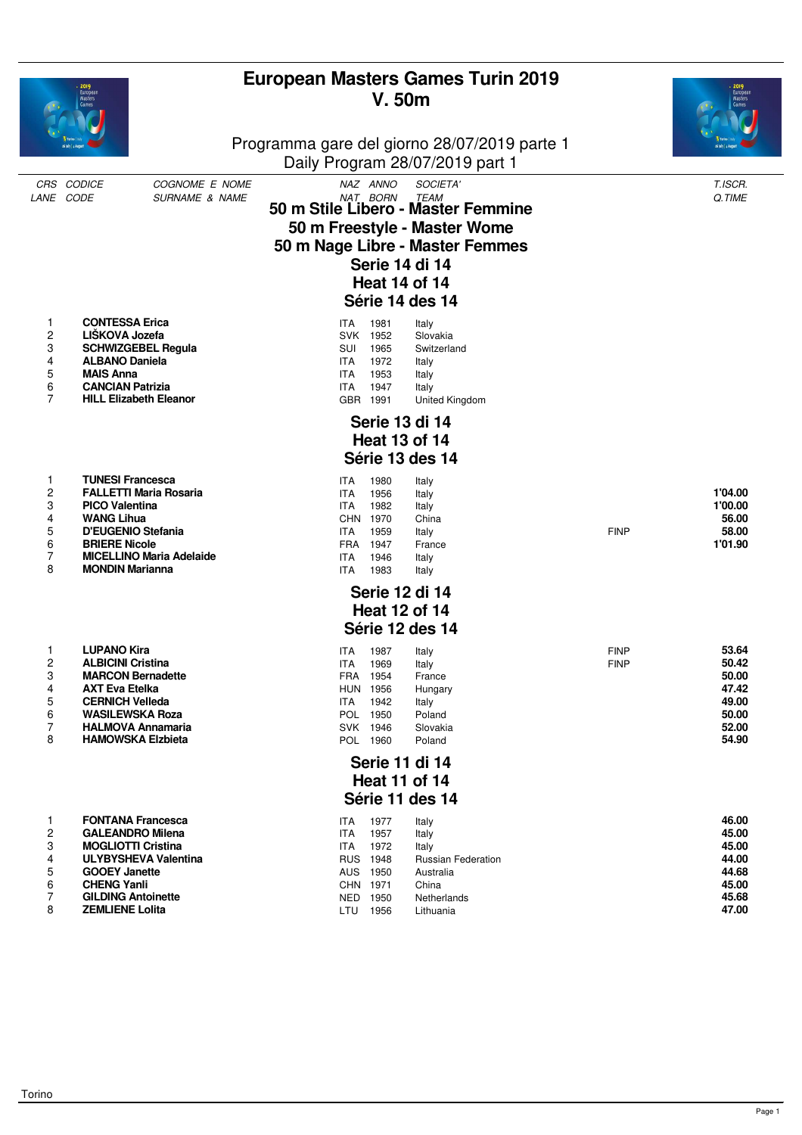|                                              | Masters                                                                                                                                                                                                              |                                  |                                                                                         | V. 50m                                                                           | <b>European Masters Games Turin 2019</b><br>Programma gare del giorno 28/07/2019 parte 1<br>Daily Program 28/07/2019 part 1                                                                   |                            |                                                                      |
|----------------------------------------------|----------------------------------------------------------------------------------------------------------------------------------------------------------------------------------------------------------------------|----------------------------------|-----------------------------------------------------------------------------------------|----------------------------------------------------------------------------------|-----------------------------------------------------------------------------------------------------------------------------------------------------------------------------------------------|----------------------------|----------------------------------------------------------------------|
|                                              | CRS CODICE<br>LANE CODE                                                                                                                                                                                              | COGNOME E NOME<br>SURNAME & NAME |                                                                                         | NAZ ANNO<br>NAT BORN                                                             | SOCIETA'<br><b>TEAM</b><br>50 m Stile Libero - Master Femmine<br>50 m Freestyle - Master Wome<br>50 m Nage Libre - Master Femmes<br>Serie 14 di 14<br><b>Heat 14 of 14</b><br>Série 14 des 14 |                            | T.ISCR.<br>Q.TIME                                                    |
| 1<br>2<br>3<br>4<br>5<br>6<br>$\overline{7}$ | <b>CONTESSA Erica</b><br>LIŠKOVA Jozefa<br><b>SCHWIZGEBEL Regula</b><br><b>ALBANO Daniela</b><br><b>MAIS Anna</b><br><b>CANCIAN Patrizia</b><br><b>HILL Elizabeth Eleanor</b>                                        |                                  | ITA.<br>SUI<br><b>ITA</b><br><b>ITA</b><br><b>ITA</b>                                   | 1981<br>SVK 1952<br>1965<br>1972<br>1953<br>1947<br>GBR 1991                     | Italy<br>Slovakia<br>Switzerland<br>Italy<br>Italy<br>Italy<br>United Kingdom                                                                                                                 |                            |                                                                      |
|                                              |                                                                                                                                                                                                                      |                                  |                                                                                         |                                                                                  | Serie 13 di 14<br><b>Heat 13 of 14</b>                                                                                                                                                        |                            |                                                                      |
| 1<br>2<br>3<br>4<br>5<br>6<br>7<br>8         | <b>TUNESI Francesca</b><br><b>FALLETTI Maria Rosaria</b><br><b>PICO Valentina</b><br><b>WANG Lihua</b><br>D'EUGENIO Stefania<br><b>BRIERE Nicole</b><br><b>MONDIN Marianna</b>                                       | <b>MICELLINO Maria Adelaide</b>  | <b>ITA</b><br><b>ITA</b><br><b>ITA</b><br>ITA<br><b>FRA</b><br><b>ITA</b><br><b>ITA</b> | 1980<br>1956<br>1982<br>CHN 1970<br>1959<br>1947<br>1946<br>1983                 | Série 13 des 14<br>Italy<br>Italy<br>Italy<br>China<br>Italy<br>France<br>Italy<br>Italy                                                                                                      | <b>FINP</b>                | 1'04.00<br>1'00.00<br>56.00<br>58.00<br>1'01.90                      |
|                                              |                                                                                                                                                                                                                      |                                  |                                                                                         |                                                                                  | Serie 12 di 14<br><b>Heat 12 of 14</b>                                                                                                                                                        |                            |                                                                      |
| 1<br>2<br>3<br>4<br>5<br>6<br>7<br>8         | <b>LUPANO Kira</b><br><b>ALBICINI Cristina</b><br><b>MARCON Bernadette</b><br><b>AXT Eva Etelka</b><br><b>CERNICH Velleda</b><br><b>WASILEWSKA Roza</b><br><b>HALMOVA Annamaria</b><br><b>HAMOWSKA Elzbieta</b>      |                                  | ITA<br><b>ITA</b><br>ITA                                                                | 1987<br>1969<br>FRA 1954<br>HUN 1956<br>1942<br>POL 1950<br>SVK 1946<br>POL 1960 | Série 12 des 14<br>Italy<br>Italy<br>France<br>Hungary<br>Italy<br>Poland<br>Slovakia<br>Poland<br>Serie 11 di 14                                                                             | <b>FINP</b><br><b>FINP</b> | 53.64<br>50.42<br>50.00<br>47.42<br>49.00<br>50.00<br>52.00<br>54.90 |
| <b>Heat 11 of 14</b><br>Série 11 des 14      |                                                                                                                                                                                                                      |                                  |                                                                                         |                                                                                  |                                                                                                                                                                                               |                            |                                                                      |
| 1<br>2<br>3<br>4<br>5<br>6<br>7<br>8         | <b>FONTANA Francesca</b><br><b>GALEANDRO Milena</b><br><b>MOGLIOTTI Cristina</b><br><b>ULYBYSHEVA Valentina</b><br><b>GOOEY Janette</b><br><b>CHENG Yanli</b><br><b>GILDING Antoinette</b><br><b>ZEMLIENE Lolita</b> |                                  | <b>ITA</b><br>ITA<br><b>ITA</b>                                                         | 1977<br>1957<br>1972<br>RUS 1948<br>AUS 1950<br>CHN 1971<br>NED 1950<br>LTU 1956 | Italy<br>Italy<br>Italy<br><b>Russian Federation</b><br>Australia<br>China<br>Netherlands<br>Lithuania                                                                                        |                            | 46.00<br>45.00<br>45.00<br>44.00<br>44.68<br>45.00<br>45.68<br>47.00 |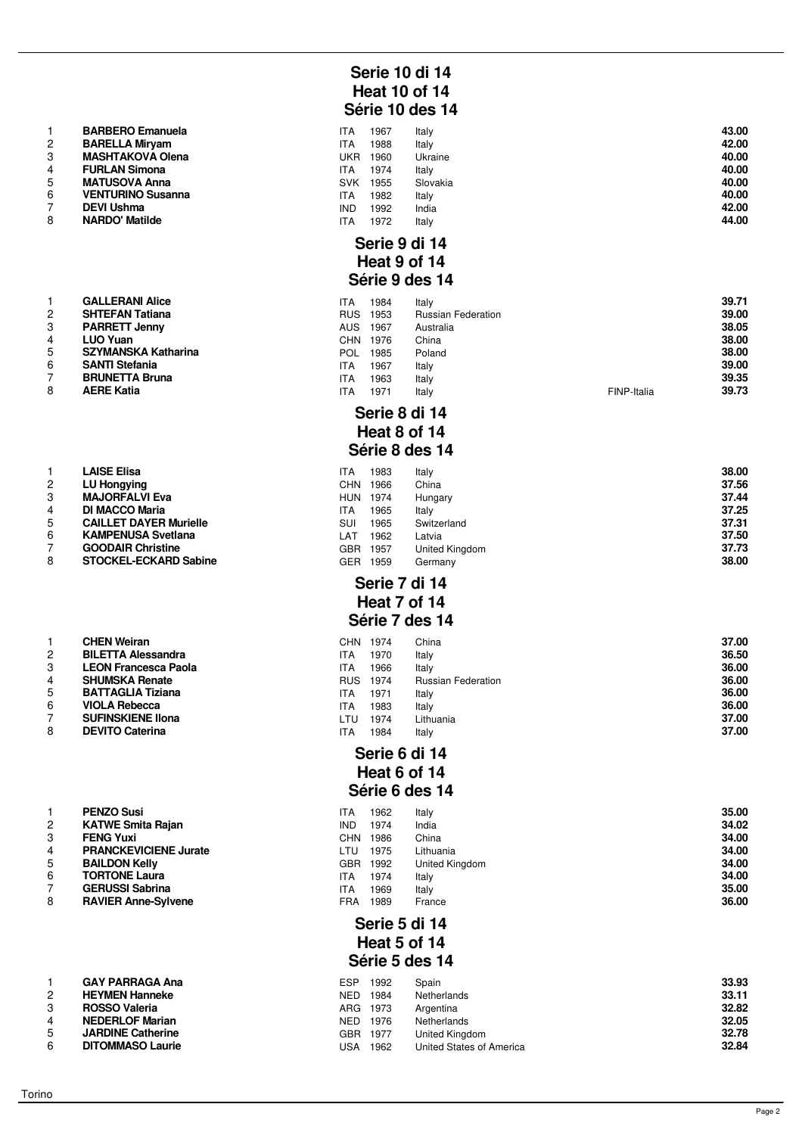|                | <b>BARBERO Emanuela</b>  |
|----------------|--------------------------|
| $\mathcal{P}$  | <b>BARELLA Miryam</b>    |
| 3              | <b>MASHTAKOVA Olena</b>  |
| $\overline{4}$ | <b>FURLAN Simona</b>     |
| 5              | <b>MATUSOVA Anna</b>     |
| 6              | <b>VENTURINO Susanna</b> |
| $\overline{7}$ | <b>DEVI Ushma</b>        |
| 8              | <b>NARDO' Matilde</b>    |

|                | <b>GALLERANI Alice</b>     |
|----------------|----------------------------|
| $\overline{2}$ | <b>SHTEFAN Tatiana</b>     |
| 3              | <b>PARRETT Jenny</b>       |
| 4              | <b>LUO Yuan</b>            |
| 5              | <b>SZYMANSKA Katharina</b> |
| 6              | <b>SANTI Stefania</b>      |
| $\overline{7}$ | <b>BRUNETTA Bruna</b>      |
| -              |                            |

|                | LAISE EIISA                   |
|----------------|-------------------------------|
| 2              | <b>LU Hongying</b>            |
| 3              | <b>MAJORFALVI Eva</b>         |
| 4              | <b>DI MACCO Maria</b>         |
| 5              | <b>CAILLET DAYER Murielle</b> |
| 6              | <b>KAMPENUSA Svetlana</b>     |
| $\overline{7}$ | <b>GOODAIR Christine</b>      |
| 8              | <b>STOCKEL-ECKARD Sabine</b>  |

|               | <b>CHEN Weiran</b>          |
|---------------|-----------------------------|
| $\mathcal{P}$ | <b>BILETTA Alessandra</b>   |
| 3             | <b>LEON Francesca Paola</b> |
| 4             | <b>SHUMSKA Renate</b>       |
| 5             | <b>BATTAGLIA Tiziana</b>    |
| 6             | <b>VIOLA Rebecca</b>        |
| 7             | <b>SUFINSKIENE IIona</b>    |
| 8             | <b>DEVITO Caterina</b>      |

| 1              | <b>PENZO Susi</b>            |
|----------------|------------------------------|
| $\overline{2}$ | <b>KATWE Smita Rajan</b>     |
| 3              | <b>FENG Yuxi</b>             |
| 4              | <b>PRANCKEVICIENE Jurate</b> |
| 5              | <b>BAILDON Kelly</b>         |
| 6              | <b>TORTONE Laura</b>         |
| 7              | <b>GERUSSI Sabrina</b>       |
| 8              | <b>RAVIER Anne-Sylvene</b>   |
|                |                              |

|   | GAY PARRAGA ANA          |
|---|--------------------------|
| 2 | <b>HEYMEN Hanneke</b>    |
| 3 | <b>ROSSO Valeria</b>     |
| 4 | <b>NEDERLOF Marian</b>   |
| 5 | <b>JARDINE Catherine</b> |
| հ | <b>DITOMMASO Laurie</b>  |

# **Serie 10 di 14 Heat 10 of 14 Série 10 des 14**

|   | <b>BARBERO Emanuela</b>  | ITA        | 967  | Italy    | 43.00 |
|---|--------------------------|------------|------|----------|-------|
| 2 | <b>BARELLA Mirvam</b>    | <b>ITA</b> | 1988 | Italy    | 42.00 |
| 3 | <b>MASHTAKOVA Olena</b>  | UKR        | 1960 | Ukraine  | 40.00 |
|   | <b>FURLAN Simona</b>     | <b>ITA</b> | 1974 | Italy    | 40.00 |
| 5 | <b>MATUSOVA Anna</b>     | <b>SVK</b> | 1955 | Slovakia | 40.00 |
| 6 | <b>VENTURINO Susanna</b> | ITA.       | 1982 | Italy    | 40.00 |
|   | <b>DEVI Ushma</b>        | <b>IND</b> | 1992 | India    | 42.00 |
| 8 | NARDO' Matilde           | <b>ITA</b> | 1972 | Italy    | 44.00 |

#### **Serie 9 di 14 Heat 9 of 14 Série 9 des 14**

| 2  | <b>GALLERANI Alice</b><br><b>SHTEFAN Tatiana</b> | ITA<br><b>RUS</b> | 1984<br>1953 | Italy<br><b>Russian Federation</b> |             | 39.71<br>39.00 |
|----|--------------------------------------------------|-------------------|--------------|------------------------------------|-------------|----------------|
| 3  | <b>PARRETT Jenny</b>                             | <b>AUS</b>        | 1967         | Australia                          |             | 38.05          |
|    | <b>LUO Yuan</b>                                  | <b>CHN</b>        | 1976         | China                              |             | 38.00          |
| 5  | SZYMANSKA Katharina                              | <b>POL</b>        | 1985         | Poland                             |             | 38.00          |
| 6. | <b>SANTI Stefania</b>                            | ITA               | 1967         | Italy                              |             | 39.00          |
|    | <b>BRUNETTA Bruna</b>                            | ITA               | 1963         | Italy                              |             | 39.35          |
| 8  | <b>AERE Katia</b>                                | ITA               | 1971         | Italy                              | FINP-Italia | 39.73          |

#### **Serie 8 di 14 Heat 8 of 14 Série 8 des 14**

|   | LAISE Elisa                   | ITA        | 1983 | Italy          | 38.00 |
|---|-------------------------------|------------|------|----------------|-------|
|   | <b>LU Hongying</b>            | <b>CHN</b> | 1966 | China          | 37.56 |
|   | <b>MAJORFALVI Eva</b>         | <b>HUN</b> | 1974 | Hungary        | 37.44 |
|   | <b>DI MACCO Maria</b>         | ITA        | 1965 | Italv          | 37.25 |
| 5 | <b>CAILLET DAYER Murielle</b> | SUI        | 1965 | Switzerland    | 37.31 |
| 6 | <b>KAMPENUSA Svetlana</b>     | LAT        | 1962 | Latvia         | 37.50 |
|   | <b>GOODAIR Christine</b>      | GBR        | 1957 | United Kingdom | 37.73 |
| 8 | <b>STOCKEL-ECKARD Sabine</b>  | GER        | 1959 | Germanv        | 38.00 |

#### **Serie 7 di 14 Heat 7 of 14**

#### **Série 7 des 14**

|   | <b>CHEN Weiran</b>          | <b>CHN</b> | 1974 | China                     | 37.00 |
|---|-----------------------------|------------|------|---------------------------|-------|
|   | <b>BILETTA Alessandra</b>   | <b>ITA</b> | 1970 | Italy                     | 36.50 |
| 3 | <b>LEON Francesca Paola</b> | <b>ITA</b> | 1966 | Italy                     | 36.00 |
|   | <b>SHUMSKA Renate</b>       | <b>RUS</b> | 1974 | <b>Russian Federation</b> | 36.00 |
| 5 | <b>BATTAGLIA Tiziana</b>    | <b>ITA</b> | 1971 | Italy                     | 36.00 |
| 6 | <b>VIOLA Rebecca</b>        | <b>ITA</b> | 1983 | Italy                     | 36.00 |
|   | <b>SUFINSKIENE IIona</b>    | LTU        | 1974 | Lithuania                 | 37.00 |
| 8 | <b>DEVITO Caterina</b>      | <b>ITA</b> | 1984 | Italy                     | 37.00 |
|   |                             |            |      |                           |       |

# **Serie 6 di 14 Heat 6 of 14**

# **Série 6 des 14**

| <b>PENZO Susi</b><br>1962<br>Italy<br>ITA<br><b>KATWE Smita Rajan</b><br><b>IND</b><br>1974<br>India<br><b>FENG Yuxi</b><br>CHN.<br>1986<br>China<br><b>PRANCKEVICIENE Jurate</b><br>1975<br>Lithuania<br>LTU<br>5<br><b>BAILDON Kelly</b><br>1992<br>United Kingdom<br>GBR<br>6<br><b>TORTONE Laura</b><br>1974<br>Italy<br>ITA<br><b>GERUSSI Sabrina</b><br>1969<br>Italy<br><b>ITA</b><br>8<br><b>RAVIER Anne-Sylvene</b><br>1989<br>FRA<br>France |  |  |       |
|-------------------------------------------------------------------------------------------------------------------------------------------------------------------------------------------------------------------------------------------------------------------------------------------------------------------------------------------------------------------------------------------------------------------------------------------------------|--|--|-------|
|                                                                                                                                                                                                                                                                                                                                                                                                                                                       |  |  | 35.00 |
|                                                                                                                                                                                                                                                                                                                                                                                                                                                       |  |  | 34.02 |
|                                                                                                                                                                                                                                                                                                                                                                                                                                                       |  |  | 34.00 |
|                                                                                                                                                                                                                                                                                                                                                                                                                                                       |  |  | 34.00 |
|                                                                                                                                                                                                                                                                                                                                                                                                                                                       |  |  | 34.00 |
|                                                                                                                                                                                                                                                                                                                                                                                                                                                       |  |  | 34.00 |
|                                                                                                                                                                                                                                                                                                                                                                                                                                                       |  |  | 35.00 |
|                                                                                                                                                                                                                                                                                                                                                                                                                                                       |  |  | 36.00 |

# **Serie 5 di 14 Heat 5 of 14 Série 5 des 14**

|   | <b>GAY PARRAGA Ana</b>   | ESP      | 1992 | Spain                    | 33.93 |
|---|--------------------------|----------|------|--------------------------|-------|
|   | <b>HEYMEN Hanneke</b>    | NED.     | 1984 | Netherlands              | 33.11 |
| 3 | <b>ROSSO Valeria</b>     | ARG 1973 |      | Argentina                | 32.82 |
|   | <b>NEDERLOF Marian</b>   | NED 1976 |      | Netherlands              | 32.05 |
|   | <b>JARDINE Catherine</b> | GBR.     | 1977 | United Kingdom           | 32.78 |
| 6 | <b>DITOMMASO Laurie</b>  | USA      | 1962 | United States of America | 32.84 |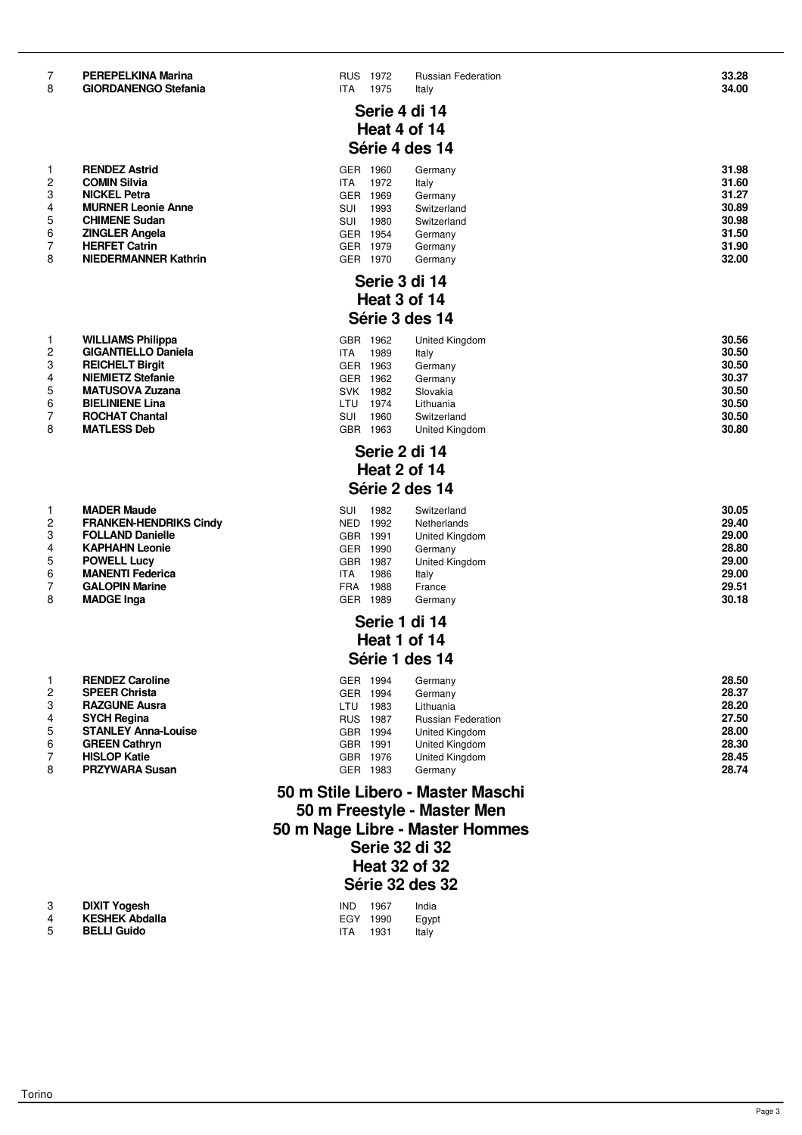#### 7 **PEREPELKINA Marina** RUS 1972 Russian Federation **33.28** GIORDANENGO Stefania **1975** Italy

|                | <b>RENDEZ Astrid</b>        |
|----------------|-----------------------------|
| 2              | <b>COMIN Silvia</b>         |
| 3              | <b>NICKEL Petra</b>         |
| $\overline{4}$ | <b>MURNER Leonie Anne</b>   |
| 5              | <b>CHIMENE Sudan</b>        |
| 6              | <b>ZINGLER Angela</b>       |
| $\overline{7}$ | <b>HERFET Catrin</b>        |
| 8              | <b>NIEDERMANNER Kathrin</b> |
|                |                             |

| 1              | <b>MADER Maude</b>            |
|----------------|-------------------------------|
| $\overline{2}$ | <b>FRANKEN-HENDRIKS Cindy</b> |
| 3              | <b>FOLLAND Danielle</b>       |
| $\overline{4}$ | <b>KAPHAHN Leonie</b>         |
| 5              | <b>POWELL Lucy</b>            |
| 6              | <b>MANENTI Federica</b>       |
| 7              | <b>GALOPIN Marine</b>         |
| 8              | <b>MADGE Inga</b>             |
|                |                               |

|                | <b>RENDEZ Caroline</b>     |
|----------------|----------------------------|
| $\overline{2}$ | <b>SPEER Christa</b>       |
| 3              | <b>RAZGUNE Ausra</b>       |
| $\overline{4}$ | <b>SYCH Regina</b>         |
| 5              | <b>STANLEY Anna-Louise</b> |
| 6              | <b>GREEN Cathryn</b>       |
| $\overline{7}$ | <b>HISLOP Katie</b>        |
| 8              | <b>PRZYWARA Susan</b>      |

| 3 | <b>DIXIT Yogesh</b>  |
|---|----------------------|
| 4 | <b>KESHEK Abdall</b> |

# **Serie 4 di 14 Heat 4 of 14 Série 4 des 14**

|   | <b>RENDEZ Astrid</b>        | GER | 1960 | Germany     | 31.98 |
|---|-----------------------------|-----|------|-------------|-------|
|   | <b>COMIN Silvia</b>         | ITA | 1972 | Italy       | 31.60 |
|   | <b>NICKEL Petra</b>         | GER | 1969 | Germany     | 31.27 |
|   | <b>MURNER Leonie Anne</b>   | SUI | 1993 | Switzerland | 30.89 |
| 5 | <b>CHIMENE Sudan</b>        | SUI | 1980 | Switzerland | 30.98 |
| 6 | <b>ZINGLER Angela</b>       | GER | 1954 | Germany     | 31.50 |
|   | <b>HERFET Catrin</b>        | GER | 1979 | Germany     | 31.90 |
| 8 | <b>NIEDERMANNER Kathrin</b> | GER | 1970 | Germany     | 32.00 |

# **Serie 3 di 14 Heat 3 of 14 Série 3 des 14**

|   | <b>WILLIAMS Philippa</b>   | <b>GBR</b> | 1962 | United Kingdom | 30.56 |
|---|----------------------------|------------|------|----------------|-------|
|   | <b>GIGANTIELLO Daniela</b> | <b>ITA</b> | 1989 | Italy          | 30.50 |
|   | <b>REICHELT Birgit</b>     | <b>GER</b> | 1963 | Germany        | 30.50 |
|   | <b>NIEMIETZ Stefanie</b>   | <b>GER</b> | 1962 | Germany        | 30.37 |
| 5 | <b>MATUSOVA Zuzana</b>     | <b>SVK</b> | 1982 | Slovakia       | 30.50 |
| 6 | <b>BIELINIENE Lina</b>     | LTU        | 1974 | Lithuania      | 30.50 |
|   | <b>ROCHAT Chantal</b>      | SUI        | 1960 | Switzerland    | 30.50 |
| 8 | <b>MATLESS Deb</b>         | GBR        | 1963 | United Kingdom | 30.80 |

# **Serie 2 di 14 Heat 2 of 14 Série 2 des 14**

|   | <b>MADER Maude</b>            | SUI        | 1982 | Switzerland    | 30.05 |
|---|-------------------------------|------------|------|----------------|-------|
| 2 | <b>FRANKEN-HENDRIKS Cindy</b> | <b>NED</b> | 1992 | Netherlands    | 29.40 |
|   | <b>FOLLAND Danielle</b>       | <b>GBR</b> | 1991 | United Kingdom | 29.00 |
|   | <b>KAPHAHN Leonie</b>         | GER.       | 1990 | Germany        | 28.80 |
| 5 | <b>POWELL Lucy</b>            | <b>GBR</b> | 1987 | United Kingdom | 29.00 |
| 6 | <b>MANENTI Federica</b>       | ITA        | 1986 | Italy          | 29.00 |
|   | <b>GALOPIN Marine</b>         | <b>FRA</b> | 1988 | France         | 29.51 |
| 8 | <b>MADGE Inga</b>             | GER        | 1989 | Germany        | 30.18 |

#### **Serie 1 di 14 Heat 1 of 14 Série 1 des 14**

|   | <b>RENDEZ Caroline</b>     | GER        | 1994 | Germany                   | 28.50 |
|---|----------------------------|------------|------|---------------------------|-------|
|   | <b>SPEER Christa</b>       | <b>GER</b> | 1994 | Germany                   | 28.37 |
|   | <b>RAZGUNE Ausra</b>       | LTU        | 1983 | Lithuania                 | 28.20 |
|   | <b>SYCH Regina</b>         | <b>RUS</b> | 1987 | <b>Russian Federation</b> | 27.50 |
| 5 | <b>STANLEY Anna-Louise</b> | <b>GBR</b> | 1994 | United Kingdom            | 28.00 |
| 6 | <b>GREEN Cathryn</b>       | <b>GBR</b> | 1991 | United Kingdom            | 28.30 |
|   | <b>HISLOP Katie</b>        | <b>GBR</b> | 1976 | United Kingdom            | 28.45 |
| 8 | <b>PRZYWARA Susan</b>      | <b>GER</b> | 1983 | Germany                   | 28.74 |

# **50 m Stile Libero - Master Maschi 50 m Freestyle - Master Men 50 m Nage Libre - Master Hommes Serie 32 di 32 Heat 32 of 32 Série 32 des 32**

|    | <b>DIXIT Yogesh</b>   | <b>IND</b> | 1967 | India |
|----|-----------------------|------------|------|-------|
| 4  | <b>KESHEK Abdalla</b> | EGY 1990   |      | Eqypt |
| 5. | <b>BELLI Guido</b>    | ITA.       | 1931 | Italy |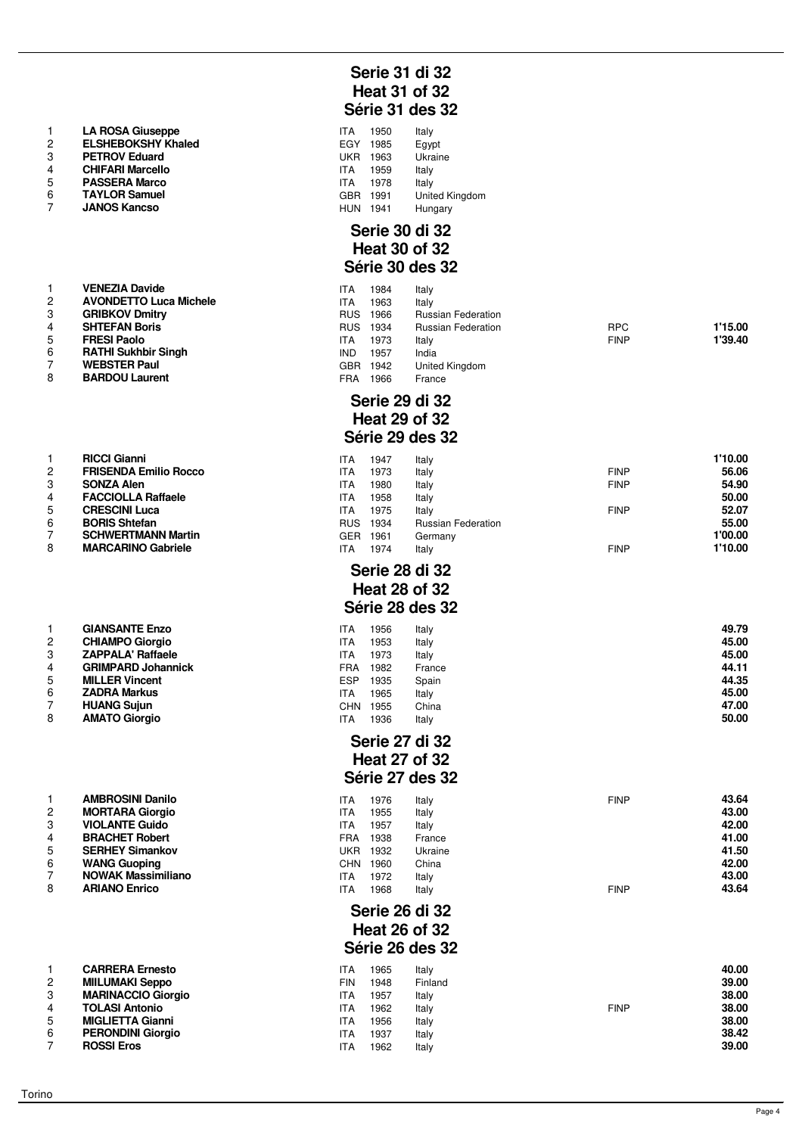|                | <b>LA ROSA Giuseppe</b>   | ITA        | 1950 | Italy                 |
|----------------|---------------------------|------------|------|-----------------------|
| $\overline{2}$ | <b>ELSHEBOKSHY Khaled</b> | EGY        | 1985 | Egypt                 |
| 3              | <b>PETROV Eduard</b>      | UKR        | 1963 | Ukraine               |
| 4              | <b>CHIFARI Marcello</b>   | ITA        | 1959 | Italy                 |
| 5              | <b>PASSERA Marco</b>      | ITA        | 1978 | Italy                 |
| 6              | <b>TAYLOR Samuel</b>      | GBR.       | 1991 | <b>United Kingdom</b> |
|                | <b>JANOS Kancso</b>       | <b>HUN</b> | 1941 | Hungary               |

|                | <b>VENEZIA Davide</b>         | ITA        | 1984 | Italy                     |
|----------------|-------------------------------|------------|------|---------------------------|
| $\overline{2}$ | <b>AVONDETTO Luca Michele</b> | <b>ITA</b> | 1963 | Italy                     |
| 3              | <b>GRIBKOV Dmitry</b>         | <b>RUS</b> | 1966 | <b>Russian Federation</b> |
| 4              | <b>SHTEFAN Boris</b>          | <b>RUS</b> | 1934 | <b>Russian Federation</b> |
| 5              | <b>FRESI Paolo</b>            | <b>ITA</b> | 1973 | Italy                     |
| 6              | <b>RATHI Sukhbir Singh</b>    | IND.       | 1957 | India                     |
| $\overline{7}$ | <b>WEBSTER Paul</b>           | GBR.       | 1942 | United Kingdom            |
| 8              | <b>BARDOU Laurent</b>         | FRA        | 1966 | France                    |

|   | піссі сійні                  |
|---|------------------------------|
| 2 | <b>FRISENDA Emilio Rocco</b> |
| 3 | <b>SONZA Alen</b>            |
| 4 | <b>FACCIOLLA Raffaele</b>    |
| 5 | <b>CRESCINI Luca</b>         |
| 6 | <b>BORIS Shtefan</b>         |
| 7 | <b>SCHWERTMANN Martin</b>    |
| 8 | <b>MARCARINO Gabriele</b>    |
|   |                              |

| 1 | <b>GIANSANTE Enzo</b>     |
|---|---------------------------|
| 2 | <b>CHIAMPO Giorgio</b>    |
| 3 | <b>ZAPPALA' Raffaele</b>  |
| 4 | <b>GRIMPARD Johannick</b> |
| 5 | <b>MILLER Vincent</b>     |
| 6 | <b>ZADRA Markus</b>       |
| 7 | <b>HUANG Sujun</b>        |
| 8 | <b>AMATO Giorgio</b>      |
|   |                           |

|                | AMDRUJINI DAHIIU         |
|----------------|--------------------------|
| 2              | <b>MORTARA Giorgio</b>   |
| 3              | <b>VIOLANTE Guido</b>    |
| 4              | <b>BRACHET Robert</b>    |
| 5              | <b>SERHEY Simankov</b>   |
| 6              | <b>WANG Guoping</b>      |
| $\overline{7}$ | <b>NOWAK Massimilian</b> |
| 8              | <b>ARIANO Enrico</b>     |
|                |                          |
|                |                          |

| 1 | <b>CARRERA Ernesto</b>    |
|---|---------------------------|
| 2 | <b>MIILUMAKI Seppo</b>    |
| 3 | <b>MARINACCIO Giorgio</b> |
| 4 | <b>TOLASI Antonio</b>     |
| 5 | <b>MIGLIETTA Gianni</b>   |
| 6 | <b>PERONDINI Giorgio</b>  |
|   |                           |

# **Serie 31 di 32 Heat 31 of 32 Série 31 des 32**

| ITA        | 1950 | Italy          |
|------------|------|----------------|
| EGY        | 1985 | Egypt          |
| <b>UKR</b> | 1963 | Ukraine        |
| <b>ITA</b> | 1959 | Italy          |
| ITA.       | 1978 | Italy          |
| <b>GBR</b> | 1991 | United Kingdom |
| HUN        | 1941 | Hungary        |

#### **Serie 30 di 32 Heat 30 of 32 Série 30 des 32**

|   | <b>VENEZIA Davide</b>         | ITA        | 1984 | Italy                     |             |         |
|---|-------------------------------|------------|------|---------------------------|-------------|---------|
| 2 | <b>AVONDETTO Luca Michele</b> | ITA        | 1963 | Italy                     |             |         |
| 3 | <b>GRIBKOV Dmitry</b>         | <b>RUS</b> | 1966 | <b>Russian Federation</b> |             |         |
|   | <b>SHTEFAN Boris</b>          | <b>RUS</b> | 1934 | <b>Russian Federation</b> | <b>RPC</b>  | 1'15.00 |
| 5 | <b>FRESI Paolo</b>            | ITA        | 1973 | Italy                     | <b>FINP</b> | 1'39.40 |
| 6 | <b>RATHI Sukhbir Singh</b>    | <b>IND</b> | 1957 | India                     |             |         |
|   | <b>WEBSTER Paul</b>           | <b>GBR</b> | 1942 | United Kingdom            |             |         |
| 8 | <b>BARDOU Laurent</b>         | FRA        | 1966 | France                    |             |         |
|   |                               |            |      |                           |             |         |

## **Serie 29 di 32 Heat 29 of 32 Série 29 des 32**

| 1 | <b>RICCI Gianni</b>          | <b>ITA</b>         | 1947<br>Italy         |                           | 1'10.00 |
|---|------------------------------|--------------------|-----------------------|---------------------------|---------|
| 2 | <b>FRISENDA Emilio Rocco</b> | <b>ITA</b>         | 1973<br>Italy         | <b>FINP</b>               | 56.06   |
| 3 | <b>SONZA Alen</b>            | <b>ITA</b><br>1980 | Italy                 | <b>FINP</b>               | 54.90   |
| 4 | <b>FACCIOLLA Raffaele</b>    | <b>ITA</b>         | 1958<br>Italy         |                           | 50.00   |
| 5 | <b>CRESCINI Luca</b>         | <b>ITA</b>         | 1975<br>Italy         | <b>FINP</b>               | 52.07   |
| 6 | <b>BORIS Shtefan</b>         | <b>RUS</b><br>1934 |                       | <b>Russian Federation</b> | 55.00   |
| 7 | <b>SCHWERTMANN Martin</b>    | GER 1961           | Germany               |                           | 1'00.00 |
| 8 | <b>MARCARINO Gabriele</b>    | <b>ITA</b>         | 1974<br>Italy         | <b>FINP</b>               | 1'10.00 |
|   |                              |                    |                       |                           |         |
|   |                              |                    | Serie 28 di 32        |                           |         |
|   |                              |                    | <b>Heat 28 of 32</b>  |                           |         |
|   |                              |                    | Série 28 des 32       |                           |         |
|   |                              |                    |                       |                           |         |
| 1 | <b>GIANSANTE Enzo</b>        | <b>ITA</b>         | 1956<br>Italy         |                           | 49.79   |
| 2 | <b>CHIAMPO Giorgio</b>       | <b>ITA</b>         | 1953<br>Italy         |                           | 45.00   |
| 3 | <b>ZAPPALA' Raffaele</b>     | <b>ITA</b>         | 1973<br>Italy         |                           | 45.00   |
| 4 | <b>GRIMPARD Johannick</b>    | <b>FRA</b><br>1982 | France                |                           | 44.11   |
| 5 | <b>MILLER Vincent</b>        | <b>ESP</b><br>1935 | Spain                 |                           | 44.35   |
| 6 | <b>ZADRA Markus</b>          | <b>ITA</b>         | 1965<br>Italy         |                           | 45.00   |
| 7 | <b>HUANG Sujun</b>           | CHN 1955           | China                 |                           | 47.00   |
| 8 | <b>AMATO Giorgio</b>         | <b>ITA</b>         | 1936<br>Italy         |                           | 50.00   |
|   |                              |                    | <b>Serie 27 di 32</b> |                           |         |
|   |                              |                    | <b>Heat 27 of 32</b>  |                           |         |
|   |                              |                    |                       |                           |         |
|   |                              |                    | Série 27 des 32       |                           |         |
| 1 | <b>AMBROSINI Danilo</b>      | <b>ITA</b>         | 1976<br>Italy         | <b>FINP</b>               | 43.64   |
| 2 | <b>MORTARA Giorgio</b>       | <b>ITA</b>         | 1955<br>Italy         |                           | 43.00   |
| 3 | <b>VIOLANTE Guido</b>        | <b>ITA</b>         | 1957<br>Italy         |                           | 42.00   |
| 4 | <b>BRACHET Robert</b>        | <b>FRA</b><br>1938 | France                |                           | 41.00   |
| 5 | <b>SERHEY Simankov</b>       | <b>UKR</b><br>1932 | Ukraine               |                           | 41.50   |
| 6 | <b>WANG Guoping</b>          | CHN 1960           | China                 |                           | 42.00   |
| 7 | <b>NOWAK Massimiliano</b>    | <b>ITA</b>         | 1972<br>Italy         |                           | 43.00   |
| 8 | <b>ARIANO Enrico</b>         | <b>ITA</b>         | 1968<br>Italy         | <b>FINP</b>               | 43.64   |
|   |                              |                    | <b>Serie 26 di 32</b> |                           |         |
|   |                              |                    | <b>Heat 26 of 32</b>  |                           |         |
|   |                              |                    |                       |                           |         |
|   |                              |                    | Série 26 des 32       |                           |         |
| 1 | <b>CARRERA Ernesto</b>       | <b>ITA</b>         | 1965<br>Italy         |                           | 40.00   |
| 2 | <b>MIILUMAKI Seppo</b>       | <b>FIN</b>         | 1948<br>Finland       |                           | 39.00   |
| 3 | <b>MARINACCIO Giorgio</b>    | <b>ITA</b><br>1957 | Italy                 |                           | 38.00   |
| 4 | <b>TOLASI Antonio</b>        | <b>ITA</b>         | 1962<br>Italy         | <b>FINP</b>               | 38.00   |
| 5 | <b>MIGLIETTA Gianni</b>      | <b>ITA</b><br>1956 | Italy                 |                           | 38.00   |
| 6 | <b>PERONDINI Giorgio</b>     | <b>ITA</b>         | 1937<br>Italy         |                           | 38.42   |
| 7 | <b>ROSSI Eros</b>            | <b>ITA</b>         | 1962<br>Italy         |                           | 39.00   |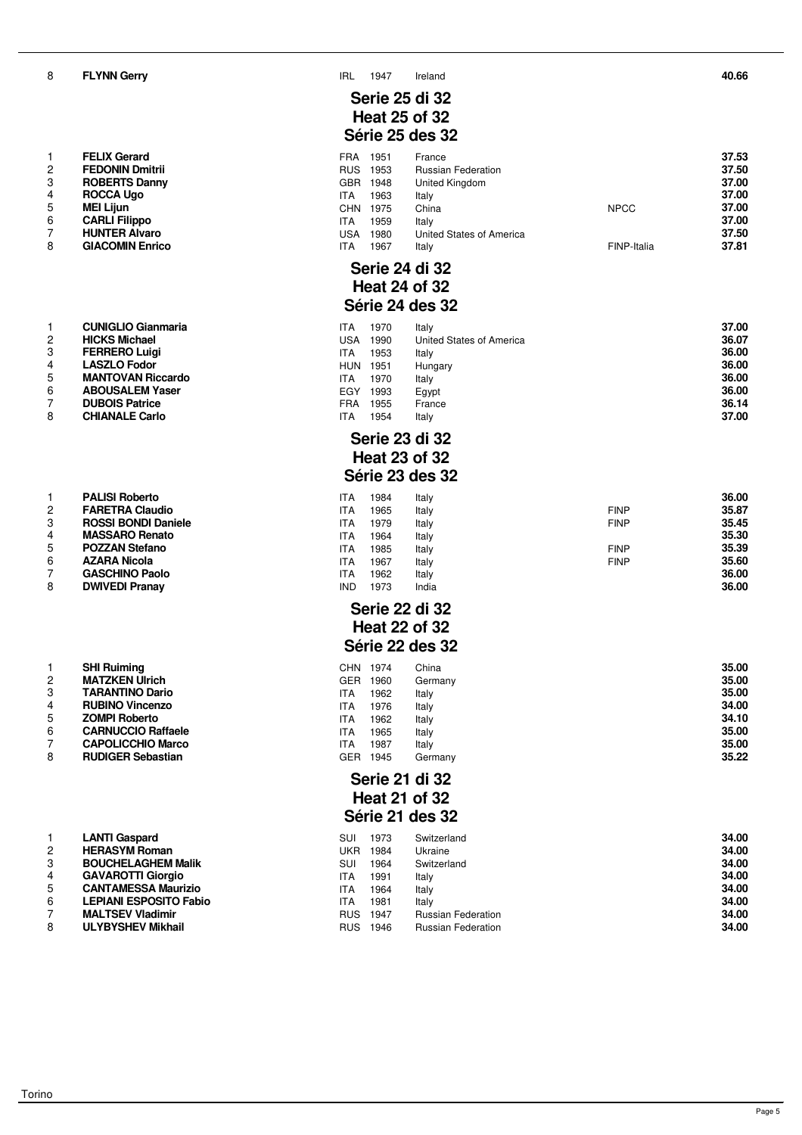**FLYNN Gerry** IRL 1947 Ireland **40.66**

| ı | FELIX Gerard           |
|---|------------------------|
| 2 | <b>FEDONIN Dmitrii</b> |
| 3 | <b>ROBERTS Danny</b>   |
| 4 | <b>ROCCA Ugo</b>       |
| 5 | <b>MEI Lijun</b>       |
| 6 | <b>CARLI Filippo</b>   |
| 7 | <b>HUNTER Alvaro</b>   |
| 8 | <b>GIACOMIN Enrico</b> |

|                | CUNIGLIO GIANMANA        | II A            |
|----------------|--------------------------|-----------------|
| 2              | <b>HICKS Michael</b>     | US/             |
| -3             | <b>FERRERO Luigi</b>     | ITA             |
| $\overline{4}$ | <b>LASZLO Fodor</b>      | HUI             |
| -5             | <b>MANTOVAN Riccardo</b> | ITA             |
| 6              | <b>ABOUSALEM Yaser</b>   | EG <sup>\</sup> |
|                | <b>DUBOIS Patrice</b>    | FR/             |
| 8              | <b>CHIANALE Carlo</b>    | ITA             |

|                         | <b>PALISI Roberto</b>      |
|-------------------------|----------------------------|
| $\mathcal{P}$           | <b>FARETRA Claudio</b>     |
| 3                       | <b>ROSSI BONDI Daniele</b> |
| $\overline{\mathbf{4}}$ | <b>MASSARO Renato</b>      |
| 5                       | <b>POZZAN Stefano</b>      |
| 6                       | <b>AZARA Nicola</b>        |
| 7                       | <b>GASCHINO Paolo</b>      |
| 8                       | <b>DWIVEDI Pranay</b>      |

|   | <b>SHI Ruiming</b>        |
|---|---------------------------|
| 2 | <b>MATZKEN Ulrich</b>     |
| 3 | <b>TARANTINO Dario</b>    |
| 4 | <b>RUBINO Vincenzo</b>    |
| 5 | <b>ZOMPI Roberto</b>      |
| 6 | <b>CARNUCCIO Raffaele</b> |
| 7 | <b>CAPOLICCHIO Marco</b>  |
| 8 | <b>RUDIGER Sebastian</b>  |
|   |                           |

|                | <b>LANTI Gaspard</b>          | Sl |
|----------------|-------------------------------|----|
| $\mathcal{P}$  | <b>HERASYM Roman</b>          | UI |
| 3              | <b>BOUCHELAGHEM Malik</b>     | Sl |
| $\overline{4}$ | <b>GAVAROTTI Giorgio</b>      | ıτ |
| -5             | <b>CANTAMESSA Maurizio</b>    | ıτ |
| 6              | <b>LEPIANI ESPOSITO Fabio</b> | ıτ |
| -7             | <b>MALTSEV Vladimir</b>       | RI |
| 8              | <b>ULYBYSHEV Mikhail</b>      | RI |

#### **Serie 25 di 32 Heat 25 of 32 Série 25 des 32**

|    | <b>FELIX Gerard</b>    | FRA        | 1951 | France                    |             | 37.53 |
|----|------------------------|------------|------|---------------------------|-------------|-------|
|    | <b>FEDONIN Dmitrii</b> | <b>RUS</b> | 1953 | <b>Russian Federation</b> |             | 37.50 |
|    | <b>ROBERTS Danny</b>   | GBR        | 1948 | United Kingdom            |             | 37.00 |
| 4  | <b>ROCCA Ugo</b>       | ITA        | 1963 | Italv                     |             | 37.00 |
| 5  | <b>MEI Liiun</b>       | CHN        | 1975 | China                     | <b>NPCC</b> | 37.00 |
| 6. | <b>CARLI Filippo</b>   | ITA        | 1959 | Italy                     |             | 37.00 |
|    | <b>HUNTER Alvaro</b>   | USA        | 1980 | United States of America  |             | 37.50 |
| 8  | <b>GIACOMIN Enrico</b> | ITA        | 1967 | Italv                     | FINP-Italia | 37.81 |

# **Serie 24 di 32 Heat 24 of 32 Série 24 des 32**

|    | <b>CUNIGLIO Gianmaria</b> | ITA        | 1970 | Italv                    | 37.00 |
|----|---------------------------|------------|------|--------------------------|-------|
|    | <b>HICKS Michael</b>      | USA        | 1990 | United States of America | 36.07 |
|    | <b>FERRERO Luigi</b>      | ITA        | 1953 | Italy                    | 36.00 |
|    | <b>LASZLO Fodor</b>       | <b>HUN</b> | 1951 | Hungary                  | 36.00 |
|    | <b>MANTOVAN Riccardo</b>  | ITA        | 1970 | Italy                    | 36.00 |
| 6. | <b>ABOUSALEM Yaser</b>    | EGY        | 1993 | Egypt                    | 36.00 |
|    | <b>DUBOIS Patrice</b>     | FRA        | 1955 | France                   | 36.14 |
| 8  | <b>CHIANALE Carlo</b>     | ITA        | 1954 | Italv                    | 37.00 |

#### **Serie 23 di 32 Heat 23 of 32 Série 23 des 32**

|   | <b>PALISI Roberto</b>      | ITA        | 1984 | Italy |             | 36.00 |
|---|----------------------------|------------|------|-------|-------------|-------|
| 2 | <b>FARETRA Claudio</b>     | ITA        | 1965 | Italy | <b>FINP</b> | 35.87 |
| 3 | <b>ROSSI BONDI Daniele</b> | ITA        | 1979 | Italy | <b>FINP</b> | 35.45 |
|   | <b>MASSARO Renato</b>      | ITA        | 1964 | Italy |             | 35.30 |
| 5 | <b>POZZAN Stefano</b>      | ITA        | 1985 | Italy | <b>FINP</b> | 35.39 |
| 6 | <b>AZARA Nicola</b>        | ITA        | 1967 | Italy | <b>FINP</b> | 35.60 |
|   | <b>GASCHINO Paolo</b>      | ITA        | 1962 | Italy |             | 36.00 |
| 8 | <b>DWIVEDI Pranav</b>      | <b>IND</b> | 1973 | India |             | 36.00 |
|   |                            |            |      |       |             |       |

#### **Serie 22 di 32 Heat 22 of 32 Série 22 des 32**

|   | <b>SHI Ruiming</b>        | CHN | 1974 | China   | 35.00 |
|---|---------------------------|-----|------|---------|-------|
| 2 | <b>MATZKEN Ulrich</b>     | GER | 1960 | Germany | 35.00 |
| 3 | <b>TARANTINO Dario</b>    | ITA | 1962 | Italy   | 35.00 |
|   | <b>RUBINO Vincenzo</b>    | ITA | 1976 | Italy   | 34.00 |
| 5 | <b>ZOMPI Roberto</b>      | ITA | 1962 | Italy   | 34.10 |
| 6 | <b>CARNUCCIO Raffaele</b> | ITA | 1965 | Italy   | 35.00 |
|   | <b>CAPOLICCHIO Marco</b>  | ITA | 1987 | Italv   | 35.00 |
| 8 | <b>RUDIGER Sebastian</b>  | GER | 1945 | Germanv | 35.22 |

#### **Serie 21 di 32 Heat 21 of 32 Série 21 des 32**

|   | <b>LANTI Gaspard</b>          | SUI        | 1973 | Switzerland               | 34.00 |
|---|-------------------------------|------------|------|---------------------------|-------|
|   | <b>HERASYM Roman</b>          | UKR        | 1984 | Ukraine                   | 34.00 |
| 3 | <b>BOUCHELAGHEM Malik</b>     | SUI        | 1964 | Switzerland               | 34.00 |
|   | <b>GAVAROTTI Giorgio</b>      | ITA        | 1991 | Italy                     | 34.00 |
| 5 | <b>CANTAMESSA Maurizio</b>    | ITA        | 1964 | Italy                     | 34.00 |
| 6 | <b>LEPIANI ESPOSITO Fabio</b> | ITA        | 1981 | Italy                     | 34.00 |
|   | <b>MALTSEV Vladimir</b>       | <b>RUS</b> | 1947 | <b>Russian Federation</b> | 34.00 |
| 8 | <b>ULYBYSHEV Mikhail</b>      | <b>RUS</b> | 1946 | <b>Russian Federation</b> | 34.00 |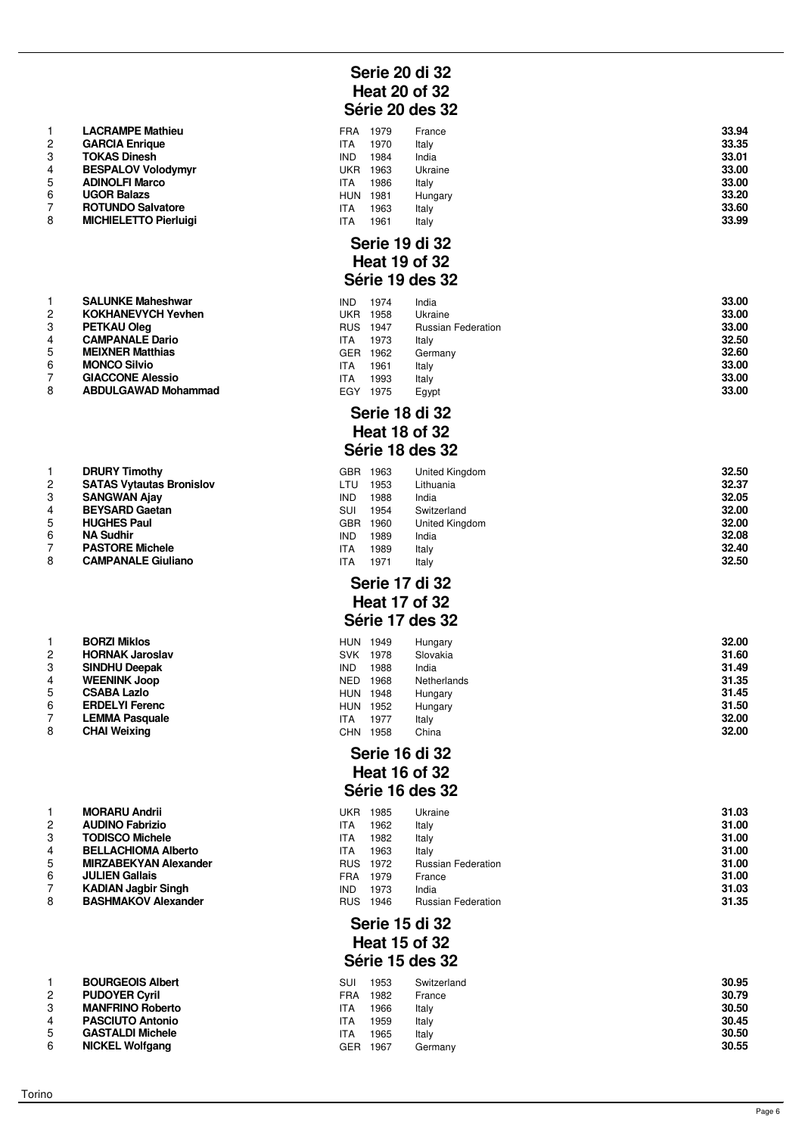| 1 | <b>LACRAMPE Mathieu</b>      |
|---|------------------------------|
| 2 | <b>GARCIA Enrique</b>        |
| 3 | <b>TOKAS Dinesh</b>          |
| 4 | <b>BESPALOV Volodymyr</b>    |
| 5 | <b>ADINOLFI Marco</b>        |
| 6 | <b>UGOR Balazs</b>           |
| 7 | <b>ROTUNDO Salvatore</b>     |
| 8 | <b>MICHIELETTO Pierluigi</b> |
|   |                              |

|                | <b>DRURY TIMOTHY</b>            |
|----------------|---------------------------------|
| 2              | <b>SATAS Vytautas Bronislov</b> |
| 3              | <b>SANGWAN Ajay</b>             |
| $\overline{4}$ | <b>BEYSARD Gaetan</b>           |
| 5              | <b>HUGHES Paul</b>              |
| 6              | <b>NA Sudhir</b>                |
| $\overline{7}$ | <b>PASTORE Michele</b>          |
| 8              | <b>CAMPANALE Giuliano</b>       |
|                |                                 |

|   | DUNAI MIKIOS           |
|---|------------------------|
| 2 | <b>HORNAK Jaroslav</b> |
| 3 | <b>SINDHU Deepak</b>   |
| 4 | <b>WEENINK Joop</b>    |
| 5 | <b>CSABA Lazlo</b>     |
| 6 | <b>ERDELYI Ferenc</b>  |
| 7 | <b>LEMMA Pasquale</b>  |
| 8 | <b>CHAI Weixing</b>    |

|                | <b>MORARU Andrii</b>         |
|----------------|------------------------------|
| $\mathcal{P}$  | <b>AUDINO Fabrizio</b>       |
| 3              | <b>TODISCO Michele</b>       |
| 4              | <b>BELLACHIOMA Alberto</b>   |
| 5              | <b>MIRZABEKYAN Alexander</b> |
| 6              | <b>JULIEN Gallais</b>        |
| $\overline{7}$ | <b>KADIAN Jagbir Singh</b>   |
| 8              | <b>BASHMAKOV Alexander</b>   |
|                |                              |

| 1 | <b>BOURGEOIS Albert</b> |
|---|-------------------------|
| 2 | <b>PUDOYER Cyril</b>    |
| 3 | <b>MANFRINO Roberto</b> |
| 4 | <b>PASCIUTO Antonio</b> |
| 5 | <b>GASTALDI Michele</b> |
| 6 | <b>NICKEL Wolfgang</b>  |
|   |                         |

# **Serie 20 di 32 Heat 20 of 32 Série 20 des 32**

|   | <b>LACRAMPE Mathieu</b>      | <b>FRA</b> | 1979 | France  | 33.94 |
|---|------------------------------|------------|------|---------|-------|
|   | <b>GARCIA Enrique</b>        | ITA        | 1970 | Italy   | 33.35 |
|   | <b>TOKAS Dinesh</b>          | <b>IND</b> | 1984 | India   | 33.01 |
|   | <b>BESPALOV Volodymyr</b>    | <b>UKR</b> | 1963 | Ukraine | 33.00 |
| 5 | <b>ADINOLFI Marco</b>        | <b>ITA</b> | 1986 | Italy   | 33.00 |
| 6 | <b>UGOR Balazs</b>           | <b>HUN</b> | 1981 | Hungary | 33.20 |
|   | <b>ROTUNDO Salvatore</b>     | ITA        | 1963 | Italy   | 33.60 |
| 8 | <b>MICHIELETTO Pierluigi</b> | ITA        | 1961 | Italy   | 33.99 |
|   |                              |            |      |         |       |

#### **Serie 19 di 32 Heat 19 of 32 Série 19 des 32**

|   | <b>SALUNKE Maheshwar</b>   | <b>IND</b> | 1974 | India                     | 33.00 |
|---|----------------------------|------------|------|---------------------------|-------|
| 2 | <b>KOKHANEVYCH Yevhen</b>  | UKR        | 1958 | Ukraine                   | 33.00 |
| 3 | <b>PETKAU Oleg</b>         | <b>RUS</b> | 1947 | <b>Russian Federation</b> | 33.00 |
|   | <b>CAMPANALE Dario</b>     | ITA        | 1973 | Italv                     | 32.50 |
| 5 | <b>MEIXNER Matthias</b>    | GER.       | 1962 | Germany                   | 32.60 |
| 6 | <b>MONCO Silvio</b>        | ITA        | 1961 | Italv                     | 33.00 |
|   | <b>GIACCONE Alessio</b>    | ITA        | 1993 | Italy                     | 33.00 |
| 8 | <b>ABDULGAWAD Mohammad</b> | EGY        | 1975 | Egypt                     | 33.00 |

#### **Serie 18 di 32 Heat 18 of 32 Série 18 des 32**

|   | <b>DRURY Timothy</b>            | GBR        | 1963 | United Kingdom | 32.50 |
|---|---------------------------------|------------|------|----------------|-------|
| 2 | <b>SATAS Vytautas Bronislov</b> | LTU        | 1953 | Lithuania      | 32.37 |
|   | <b>SANGWAN Ajay</b>             | <b>IND</b> | 1988 | India          | 32.05 |
|   | <b>BEYSARD Gaetan</b>           | SUI        | 1954 | Switzerland    | 32.00 |
| 5 | <b>HUGHES Paul</b>              | GBR        | 1960 | United Kingdom | 32.00 |
| 6 | <b>NA Sudhir</b>                | <b>IND</b> | 1989 | India          | 32.08 |
|   | <b>PASTORE Michele</b>          | ITA        | 1989 | Italy          | 32.40 |
| 8 | <b>CAMPANALE Giuliano</b>       | ITA        | 1971 | Italy          | 32.50 |

#### **Serie 17 di 32 Heat 17 of 32 Série 17 des 32**

|   | <b>BORZI Miklos</b>    | <b>HUN</b> | 1949 | Hungary     | 32.00 |
|---|------------------------|------------|------|-------------|-------|
|   | <b>HORNAK Jaroslav</b> | <b>SVK</b> | 1978 | Slovakia    | 31.60 |
| 3 | <b>SINDHU Deepak</b>   | <b>IND</b> | 1988 | India       | 31.49 |
|   | <b>WEENINK Joop</b>    | <b>NED</b> | 1968 | Netherlands | 31.35 |
| 5 | <b>CSABA Lazlo</b>     | <b>HUN</b> | 1948 | Hungary     | 31.45 |
| 6 | <b>ERDELYI Ferenc</b>  | <b>HUN</b> | 1952 | Hungary     | 31.50 |
|   | <b>LEMMA Pasquale</b>  | <b>ITA</b> | 1977 | Italy       | 32.00 |
| 8 | <b>CHAI Weixing</b>    | <b>CHN</b> | 1958 | China       | 32.00 |
|   |                        |            |      |             |       |

#### **Serie 16 di 32 Heat 16 of 32 Série 16 des 32**

|   | <b>MORARU Andrii</b>         | UKR        | 1985 | Ukraine                   | 31.03 |
|---|------------------------------|------------|------|---------------------------|-------|
|   | <b>AUDINO Fabrizio</b>       | ITA        | 1962 | Italy                     | 31.00 |
|   | <b>TODISCO Michele</b>       | ITA        | 1982 | Italy                     | 31.00 |
|   | <b>BELLACHIOMA Alberto</b>   | ITA        | 1963 | Italy                     | 31.00 |
| 5 | <b>MIRZABEKYAN Alexander</b> | <b>RUS</b> | 1972 | <b>Russian Federation</b> | 31.00 |
| 6 | <b>JULIEN Gallais</b>        | FRA        | 1979 | France                    | 31.00 |
|   | <b>KADIAN Jagbir Singh</b>   | <b>IND</b> | 1973 | India                     | 31.03 |
| 8 | <b>BASHMAKOV Alexander</b>   | <b>RUS</b> | 1946 | <b>Russian Federation</b> | 31.35 |

# **Serie 15 di 32 Heat 15 of 32 Série 15 des 32**

|                    | <b>BOURGEOIS Albert</b> | SUI        | 1953 | Switzerland | 30.95 |
|--------------------|-------------------------|------------|------|-------------|-------|
|                    | <b>PUDOYER Cyril</b>    | FRA        | 1982 | France      | 30.79 |
|                    | <b>MANFRINO Roberto</b> | ITA        | 1966 | Italy       | 30.50 |
|                    | <b>PASCIUTO Antonio</b> | <b>ITA</b> | 1959 | Italy       | 30.45 |
|                    | <b>GASTALDI Michele</b> | <b>ITA</b> | 1965 | Italy       | 30.50 |
| $\mathbf{\hat{c}}$ | <b>NICKEL Wolfgang</b>  | <b>GER</b> | 1967 | Germany     | 30.55 |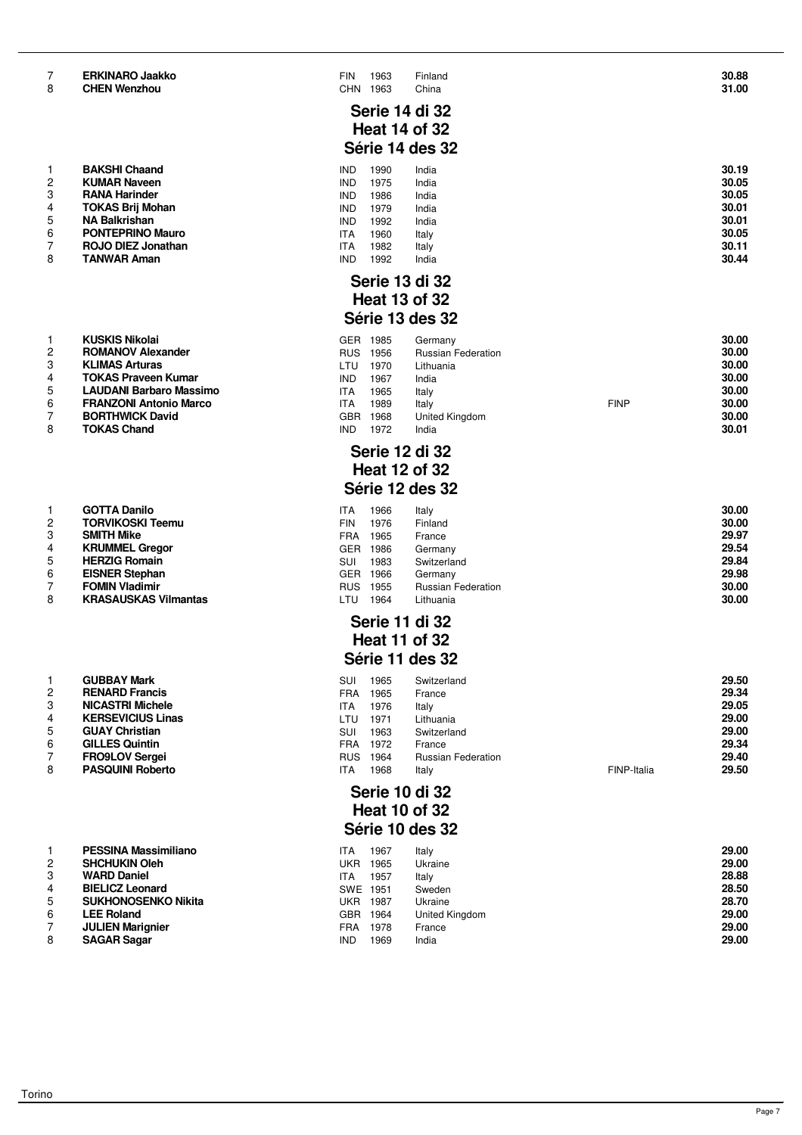| <b>ERKINARO Jaakko</b> |  |
|------------------------|--|
|                        |  |

| 1              | <b>BAKSHI Chaand</b>      |
|----------------|---------------------------|
| $\overline{c}$ | <b>KUMAR Naveen</b>       |
| 3              | <b>RANA Harinder</b>      |
| 4              | <b>TOKAS Brij Mohan</b>   |
| 5              | <b>NA Balkrishan</b>      |
| 6              | <b>PONTEPRINO Mauro</b>   |
| $\overline{7}$ | <b>ROJO DIEZ Jonathan</b> |
| 8              | <b>TANWAR Aman</b>        |

| ı              | KUSKIS NIKOJAI                 |
|----------------|--------------------------------|
| 2              | <b>ROMANOV Alexander</b>       |
| 3              | <b>KLIMAS Arturas</b>          |
| $\overline{4}$ | <b>TOKAS Praveen Kumar</b>     |
| 5              | <b>LAUDANI Barbaro Massimo</b> |
| 6              | <b>FRANZONI Antonio Marco</b>  |
| 7              | <b>BORTHWICK David</b>         |
| 8              | <b>TOKAS Chand</b>             |

| 1              | <b>GOTTA Danilo</b>         |
|----------------|-----------------------------|
| 2              | <b>TORVIKOSKI Teemu</b>     |
| 3              | <b>SMITH Mike</b>           |
| $\overline{4}$ | <b>KRUMMEL Gregor</b>       |
| 5              | <b>HERZIG Romain</b>        |
| 6              | <b>EISNER Stephan</b>       |
| $\overline{7}$ | <b>FOMIN Vladimir</b>       |
| 8              | <b>KRASAUSKAS Vilmantas</b> |
|                |                             |

|   | GUBBAY MAIK              |
|---|--------------------------|
| 2 | <b>RENARD Francis</b>    |
| 3 | <b>NICASTRI Michele</b>  |
| 4 | <b>KERSEVICIUS Linas</b> |
| 5 | <b>GUAY Christian</b>    |
| 6 | <b>GILLES Quintin</b>    |
| 7 | <b>FRO9LOV Sergei</b>    |
| 8 | <b>PASQUINI Roberto</b>  |

| 1              | <b>PESSINA Massimiliano</b> |
|----------------|-----------------------------|
| 2              | <b>SHCHUKIN Oleh</b>        |
| 3              | <b>WARD Daniel</b>          |
| 4              | <b>BIELICZ Leonard</b>      |
| 5              | <b>SUKHONOSENKO Nikita</b>  |
| 6              | <b>LEE Roland</b>           |
| $\overline{ }$ | <b>UU IEN Morianior</b>     |

**SAGAR Sagar** 

| 7<br>8         | <b>ERKINARO Jaakko</b><br><b>CHEN Wenzhou</b> | <b>FIN</b><br><b>CHN</b> | 1963<br>1963 | Finland<br>China          |             | 30.88<br>31.00 |
|----------------|-----------------------------------------------|--------------------------|--------------|---------------------------|-------------|----------------|
|                |                                               |                          |              | Serie 14 di 32            |             |                |
|                |                                               |                          |              | <b>Heat 14 of 32</b>      |             |                |
|                |                                               |                          |              | Série 14 des 32           |             |                |
| 1              | <b>BAKSHI Chaand</b>                          | <b>IND</b>               | 1990         | India                     |             | 30.19          |
| $\overline{2}$ | <b>KUMAR Naveen</b>                           | <b>IND</b>               | 1975         | India                     |             | 30.05          |
| 3              | <b>RANA Harinder</b>                          | <b>IND</b>               | 1986         | India                     |             | 30.05          |
| 4              | <b>TOKAS Brij Mohan</b>                       | <b>IND</b>               | 1979         | India                     |             | 30.01          |
| 5              | <b>NA Balkrishan</b>                          | <b>IND</b>               | 1992         | India                     |             | 30.01          |
| 6              | <b>PONTEPRINO Mauro</b>                       | <b>ITA</b>               | 1960         | Italy                     |             | 30.05          |
| 7              | ROJO DIEZ Jonathan                            | <b>ITA</b>               | 1982         | Italy                     |             | 30.11          |
| 8              | <b>TANWAR Aman</b>                            | <b>IND</b>               | 1992         | India                     |             | 30.44          |
|                |                                               |                          |              | <b>Serie 13 di 32</b>     |             |                |
|                |                                               |                          |              |                           |             |                |
|                |                                               |                          |              | <b>Heat 13 of 32</b>      |             |                |
|                |                                               |                          |              | Série 13 des 32           |             |                |
| 1              | <b>KUSKIS Nikolai</b>                         | GER                      | 1985         | Germany                   |             | 30.00          |
| $\overline{c}$ | <b>ROMANOV Alexander</b>                      | <b>RUS</b>               | 1956         | <b>Russian Federation</b> |             | 30.00          |
| 3              | <b>KLIMAS Arturas</b>                         | <b>LTU</b>               | 1970         | Lithuania                 |             | 30.00          |
| 4              | <b>TOKAS Praveen Kumar</b>                    | <b>IND</b>               | 1967         | India                     |             | 30.00          |
| 5              | <b>LAUDANI Barbaro Massimo</b>                | <b>ITA</b>               | 1965         | Italy                     |             | 30.00          |
| 6              | <b>FRANZONI Antonio Marco</b>                 | <b>ITA</b>               | 1989         | Italy                     | <b>FINP</b> | 30.00          |
| 7              | <b>BORTHWICK David</b>                        | <b>GBR</b>               | 1968         | United Kingdom            |             | 30.00          |
| 8              | <b>TOKAS Chand</b>                            | <b>IND</b>               | 1972         | India                     |             | 30.01          |
|                |                                               |                          |              | <b>Serie 12 di 32</b>     |             |                |
|                |                                               |                          |              | <b>Heat 12 of 32</b>      |             |                |
|                |                                               |                          |              |                           |             |                |
|                |                                               |                          |              | Série 12 des 32           |             |                |

#### **GOTTA Danilo** ITA 1966 Italy **30.00 TORVIKOSKI Teemu** FIN 1976 Finland **30.00 SMITH Mike** FRA 1965 France **29.97 KRUMMEL Gregor** GER 1986 Germany **29.54 HERZIG Romain** SUI 1983 Switzerland **29.84 EISNER Stephan** GER 1966 Germany **29.98 FOMIN Vladimir** RUS 1955 Russian Federation **30.00 KRASAUSKAS Vilmantas** LTU 1964 Lithuania **30.00**

#### **Serie 11 di 32 Heat 11 of 32 Série 11 des 32**

|   | <b>GUBBAY Mark</b>       | SUI        | 1965 | Switzerland               |             | 29.50 |
|---|--------------------------|------------|------|---------------------------|-------------|-------|
|   | <b>RENARD Francis</b>    | FRA        | 1965 | France                    |             | 29.34 |
| 3 | <b>NICASTRI Michele</b>  | ITA        | 1976 | Italy                     |             | 29.05 |
|   | <b>KERSEVICIUS Linas</b> | LTU        | 1971 | Lithuania                 |             | 29.00 |
| 5 | <b>GUAY Christian</b>    | <b>SUI</b> | 1963 | Switzerland               |             | 29.00 |
| 6 | <b>GILLES Quintin</b>    | FRA        | 1972 | France                    |             | 29.34 |
|   | <b>FRO9LOV Sergei</b>    | <b>RUS</b> | 1964 | <b>Russian Federation</b> |             | 29.40 |
| 8 | <b>PASQUINI Roberto</b>  | ITA        | 1968 | Italy                     | FINP-Italia | 29.50 |

#### **Serie 10 di 32 Heat 10 of 32 Série 10 des 32**

|   | <b>PESSINA Massimiliano</b> | <b>ITA</b> | 1967 | Italy          | 29.00 |
|---|-----------------------------|------------|------|----------------|-------|
|   | <b>SHCHUKIN Oleh</b>        | UKR        | 1965 | Ukraine        | 29.00 |
| 3 | <b>WARD Daniel</b>          | ITA.       | 1957 | Italy          | 28.88 |
|   | <b>BIELICZ Leonard</b>      | SWE        | 1951 | Sweden         | 28.50 |
|   | <b>SUKHONOSENKO Nikita</b>  | UKR        | 1987 | Ukraine        | 28.70 |
| 6 | <b>LEE Roland</b>           | <b>GBR</b> | 1964 | United Kingdom | 29.00 |
|   | <b>JULIEN Marignier</b>     | <b>FRA</b> | 1978 | France         | 29.00 |
|   | <b>SAGAR Sagar</b>          | <b>IND</b> | 1969 | India          | 29.00 |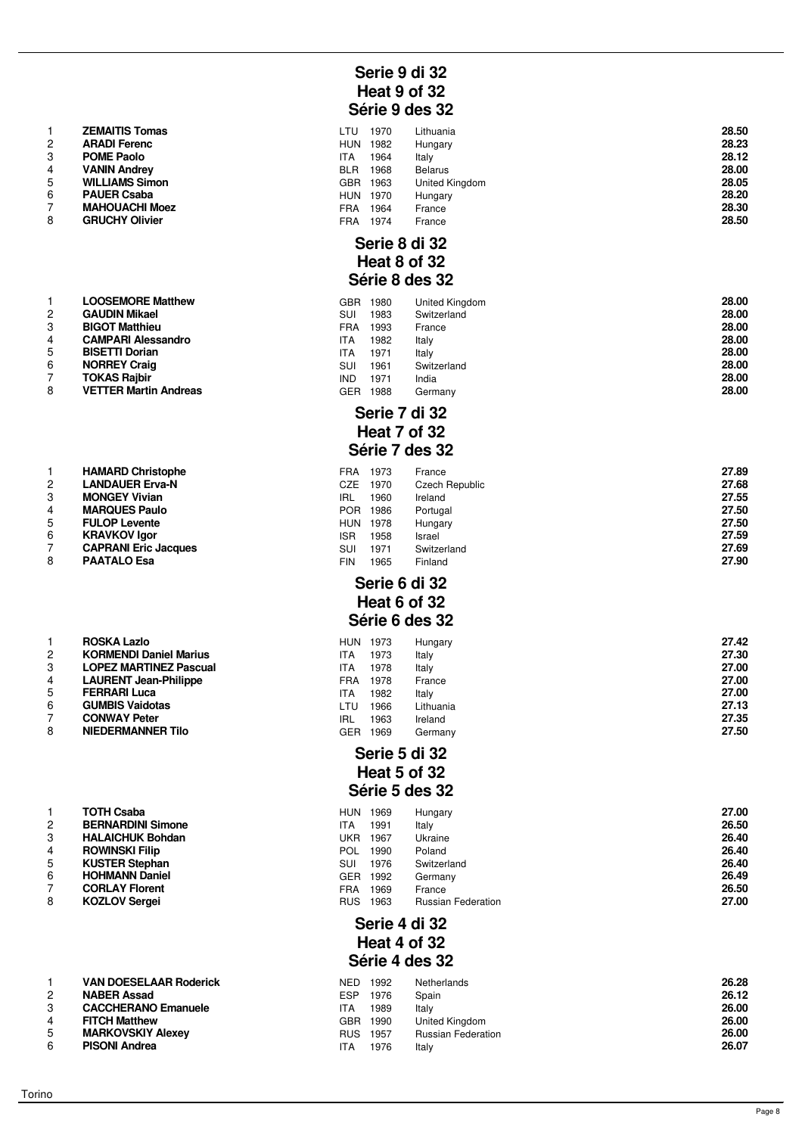|                | <b>ZEMAITIS Tomas</b> |
|----------------|-----------------------|
| $\mathcal{P}$  | <b>ARADI Ferenc</b>   |
| 3              | <b>POME Paolo</b>     |
| $\overline{4}$ | <b>VANIN Andrey</b>   |
| 5              | <b>WILLIAMS Simon</b> |
| 6              | <b>PAUER Csaba</b>    |
| $\overline{7}$ | <b>MAHOUACHI Moez</b> |
| 8              | <b>GRUCHY Olivier</b> |

|                         | <b>LOOSEMORE Matthew</b>     |
|-------------------------|------------------------------|
| $\mathcal{P}$           | <b>GAUDIN Mikael</b>         |
| 3                       | <b>BIGOT Matthieu</b>        |
| $\overline{\mathbf{4}}$ | <b>CAMPARI Alessandro</b>    |
| 5                       | <b>BISETTI Dorian</b>        |
| 6                       | <b>NORREY Craig</b>          |
| $\overline{7}$          | <b>TOKAS Rajbir</b>          |
| 8                       | <b>VETTER Martin Andreas</b> |

|                | <b>HAMARD CHISLOPHIC</b>    |
|----------------|-----------------------------|
| 2              | <b>LANDAUER Erva-N</b>      |
| 3              | <b>MONGEY Vivian</b>        |
| $\overline{4}$ | <b>MARQUES Paulo</b>        |
| 5              | <b>FULOP Levente</b>        |
| 6              | <b>KRAVKOV Igor</b>         |
| 7              | <b>CAPRANI Eric Jacques</b> |
| 8              | <b>PAATALO Esa</b>          |
|                |                             |

|                | RUSKA LAZIO                   |
|----------------|-------------------------------|
| $\overline{2}$ | <b>KORMENDI Daniel Marius</b> |
| 3              | <b>LOPEZ MARTINEZ Pascual</b> |
| 4              | <b>LAURENT Jean-Philippe</b>  |
| 5              | <b>FERRARI Luca</b>           |
| 6              | <b>GUMBIS Vaidotas</b>        |
| 7              | <b>CONWAY Peter</b>           |
| 8              | <b>NIEDERMANNER Tilo</b>      |

| 1              | TOTH Csaba               |
|----------------|--------------------------|
| 2              | <b>BERNARDINI Simone</b> |
| 3              | <b>HALAICHUK Bohdan</b>  |
| 4              | <b>ROWINSKI Filip</b>    |
| 5              | <b>KUSTER Stephan</b>    |
| 6              | <b>HOHMANN Daniel</b>    |
| $\overline{7}$ | <b>CORLAY Florent</b>    |
| 8              | <b>KOZLOV Sergei</b>     |
|                |                          |

| 1. | <b>VAN DOESELAAR Roderick</b> |
|----|-------------------------------|
| 2  | <b>NABER Assad</b>            |
| 3  | <b>CACCHERANO Emanuele</b>    |
| 4  | <b>FITCH Matthew</b>          |
| 5  | <b>MARKOVSKIY Alexev</b>      |
| 6  | <b>PISONI Andrea</b>          |

# **Serie 9 di 32 Heat 9 of 32 Série 9 des 32**

|   | <b>ZEMAITIS Tomas</b> | LTU        | 1970 | Lithuania      | 28.50 |
|---|-----------------------|------------|------|----------------|-------|
| 2 | <b>ARADI Ferenc</b>   | <b>HUN</b> | 1982 | Hungary        | 28.23 |
|   | <b>POME Paolo</b>     | ITA        | 1964 | Italy          | 28.12 |
|   | <b>VANIN Andrey</b>   | <b>BLR</b> | 1968 | <b>Belarus</b> | 28.00 |
| 5 | <b>WILLIAMS Simon</b> | <b>GBR</b> | 1963 | United Kingdom | 28.05 |
| 6 | <b>PAUER Csaba</b>    | <b>HUN</b> | 1970 | Hungary        | 28.20 |
|   | <b>MAHOUACHI Moez</b> | <b>FRA</b> | 1964 | France         | 28.30 |
| 8 | <b>GRUCHY Olivier</b> | FRA        | 1974 | France         | 28.50 |

#### **Serie 8 di 32 Heat 8 of 32 Série 8 des 32**

|   | <b>LOOSEMORE Matthew</b>     | GBR        | 1980 | United Kingdom | 28.00 |
|---|------------------------------|------------|------|----------------|-------|
|   | <b>GAUDIN Mikael</b>         | SUI        | 1983 | Switzerland    | 28.00 |
| 3 | <b>BIGOT Matthieu</b>        | FRA        | 1993 | France         | 28.00 |
| 4 | <b>CAMPARI Alessandro</b>    | ITA        | 1982 | Italy          | 28.00 |
| 5 | <b>BISETTI Dorian</b>        | ITA        | 1971 | Italy          | 28.00 |
| 6 | <b>NORREY Craig</b>          | SUI        | 1961 | Switzerland    | 28.00 |
|   | <b>TOKAS Rajbir</b>          | <b>IND</b> | 1971 | India          | 28.00 |
| 8 | <b>VETTER Martin Andreas</b> | GER        | 1988 | Germany        | 28.00 |
|   |                              |            |      |                |       |

## **Serie 7 di 32 Heat 7 of 32 Série 7 des 32**

|   | <b>HAMARD Christophe</b>    | FRA        | 1973 | France         | 27.89 |
|---|-----------------------------|------------|------|----------------|-------|
| 2 | <b>LANDAUER Erva-N</b>      | CZE        | 1970 | Czech Republic | 27.68 |
| 3 | <b>MONGEY Vivian</b>        | IRL        | 1960 | Ireland        | 27.55 |
|   | <b>MARQUES Paulo</b>        | POR        | 1986 | Portugal       | 27.50 |
| 5 | <b>FULOP Levente</b>        | <b>HUN</b> | 1978 | Hungary        | 27.50 |
| 6 | <b>KRAVKOV Igor</b>         | <b>ISR</b> | 1958 | Israel         | 27.59 |
|   | <b>CAPRANI Eric Jacques</b> | SUI        | 1971 | Switzerland    | 27.69 |
| 8 | <b>PAATALO Esa</b>          | FIN        | 1965 | Finland        | 27.90 |

#### **Serie 6 di 32 Heat 6 of 32 Série 6 des 32**

|    | <b>ROSKA Lazlo</b>            | <b>HUN</b> | 1973 | Hungary   | 27.42 |
|----|-------------------------------|------------|------|-----------|-------|
| 2  | <b>KORMENDI Daniel Marius</b> | ITA        | 1973 | Italy     | 27.30 |
| 3  | <b>LOPEZ MARTINEZ Pascual</b> | <b>ITA</b> | 1978 | Italy     | 27.00 |
|    | <b>LAURENT Jean-Philippe</b>  | FRA        | 1978 | France    | 27.00 |
| 5  | <b>FERRARI Luca</b>           | <b>ITA</b> | 1982 | Italv     | 27.00 |
| 6. | <b>GUMBIS Vaidotas</b>        | LTU        | 1966 | Lithuania | 27.13 |
|    | <b>CONWAY Peter</b>           | <b>IRL</b> | 1963 | Ireland   | 27.35 |
| 8  | <b>NIEDERMANNER Tilo</b>      | GER        | 1969 | Germany   | 27.50 |
|    |                               |            |      |           |       |

#### **Serie 5 di 32 Heat 5 of 32 Série 5 des 32**

|   | <b>TOTH Csaba</b>        | <b>HUN</b> | 1969 | Hungary                   | 27.00 |
|---|--------------------------|------------|------|---------------------------|-------|
| 2 | <b>BERNARDINI Simone</b> | ITA        | 1991 | Italy                     | 26.50 |
|   | <b>HALAICHUK Bohdan</b>  | UKR        | 1967 | Ukraine                   | 26.40 |
|   | <b>ROWINSKI Filip</b>    | <b>POL</b> | 1990 | Poland                    | 26.40 |
| 5 | <b>KUSTER Stephan</b>    | SUI        | 1976 | Switzerland               | 26.40 |
| 6 | <b>HOHMANN Daniel</b>    | <b>GER</b> | 1992 | Germany                   | 26.49 |
|   | <b>CORLAY Florent</b>    | FRA        | 1969 | France                    | 26.50 |
| 8 | <b>KOZLOV Sergei</b>     | <b>RUS</b> | 1963 | <b>Russian Federation</b> | 27.00 |

# **Serie 4 di 32 Heat 4 of 32 Série 4 des 32**

|   | <b>VAN DOESELAAR Roderick</b> | NED  | 1992 | <b>Netherlands</b>        | 26.28 |
|---|-------------------------------|------|------|---------------------------|-------|
|   | <b>NABER Assad</b>            | ESP  | 1976 | Spain                     | 26.12 |
|   | <b>CACCHERANO Emanuele</b>    | ITA  | 1989 | Italv                     | 26.00 |
|   | <b>FITCH Matthew</b>          | GBR. | 1990 | United Kingdom            | 26.00 |
|   | <b>MARKOVSKIY Alexev</b>      | RUS. | 1957 | <b>Russian Federation</b> | 26.00 |
| 6 | <b>PISONI Andrea</b>          | ITA  | 1976 | Italv                     | 26.07 |
|   |                               |      |      |                           |       |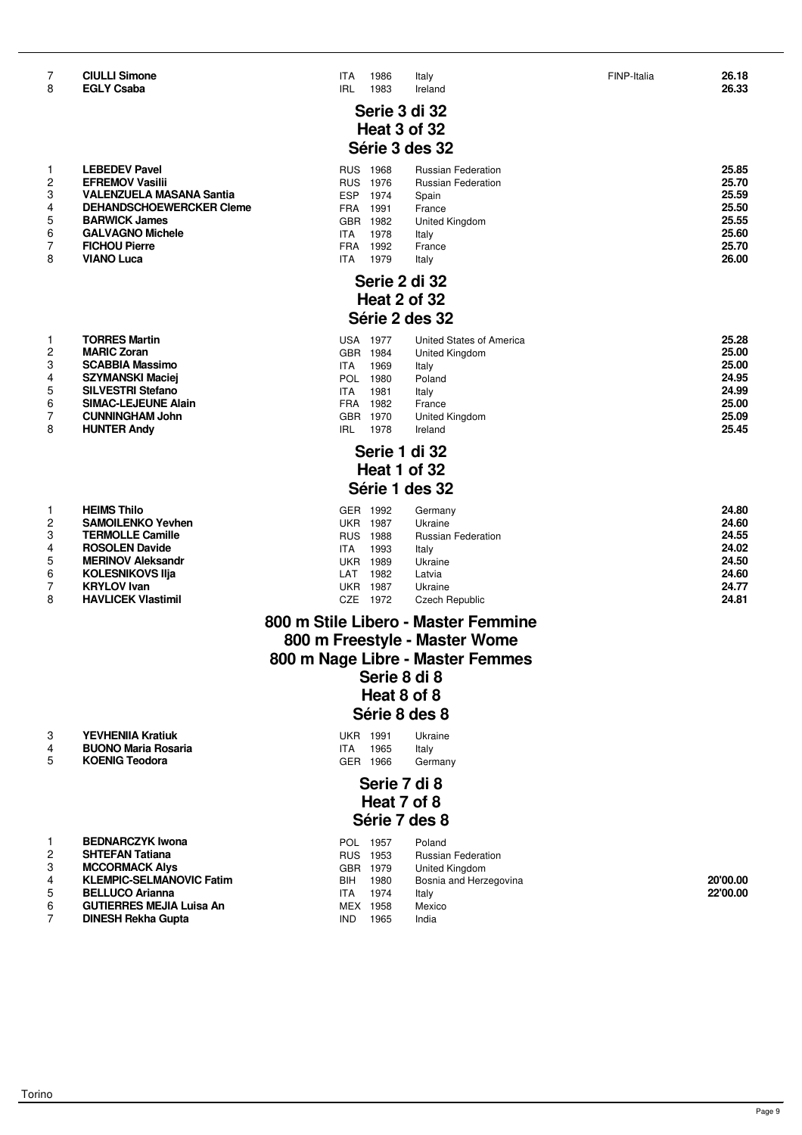| 1 | <b>LEBEDEV Pavel</b>            |
|---|---------------------------------|
| 2 | <b>EFREMOV Vasilii</b>          |
| 3 | <b>VALENZUELA MASANA Santia</b> |
| 4 | <b>DEHANDSCHOEWERCKER Cler</b>  |
| 5 | <b>BARWICK James</b>            |
| 6 | <b>GALVAGNO Michele</b>         |
| 7 | <b>FICHOU Pierre</b>            |
| 8 | <b>VIANO Luca</b>               |
|   |                                 |

| 25.00<br><b>MARIC Zoran</b><br>GBR<br>1984<br>United Kingdom<br>25.00<br><b>SCABBIA Massimo</b><br>1969<br><b>ITA</b><br>Italy<br>24.95<br><b>SZYMANSKI Maciej</b><br>1980<br>POL<br>Poland<br>24.99<br><b>SILVESTRI Stefano</b><br>1981<br><b>ITA</b><br>Italv<br>25.00<br><b>SIMAC-LEJEUNE Alain</b><br>1982<br>FRA<br>France<br>25.09<br><b>CUNNINGHAM John</b><br>GBR.<br>1970<br>United Kingdom<br>25.45<br><b>HUNTER Andy</b><br>IRL<br>Ireland<br>1978 |                | I ORRES Martin | USA | - 1977 | United States of America | 25.28 |
|---------------------------------------------------------------------------------------------------------------------------------------------------------------------------------------------------------------------------------------------------------------------------------------------------------------------------------------------------------------------------------------------------------------------------------------------------------------|----------------|----------------|-----|--------|--------------------------|-------|
|                                                                                                                                                                                                                                                                                                                                                                                                                                                               | $\overline{c}$ |                |     |        |                          |       |
|                                                                                                                                                                                                                                                                                                                                                                                                                                                               | 3              |                |     |        |                          |       |
|                                                                                                                                                                                                                                                                                                                                                                                                                                                               | 4              |                |     |        |                          |       |
|                                                                                                                                                                                                                                                                                                                                                                                                                                                               | 5              |                |     |        |                          |       |
|                                                                                                                                                                                                                                                                                                                                                                                                                                                               | 6              |                |     |        |                          |       |
|                                                                                                                                                                                                                                                                                                                                                                                                                                                               |                |                |     |        |                          |       |
|                                                                                                                                                                                                                                                                                                                                                                                                                                                               | 8              |                |     |        |                          |       |

| 1              | <b>HEIMS Thilo</b>        |
|----------------|---------------------------|
| 2              | <b>SAMOILENKO Yevhen</b>  |
| 3              | <b>TERMOLLE Camille</b>   |
| 4              | <b>ROSOLEN Davide</b>     |
| 5              | <b>MERINOV Aleksandr</b>  |
| 6              | <b>KOLESNIKOVS IIja</b>   |
| $\overline{7}$ | <b>KRYLOV Ivan</b>        |
| 8              | <b>HAVLICEK Vlastimil</b> |

| <b>YEVHENIIA Kratiuk</b> | 1991 | Ukraine |
|--------------------------|------|---------|
| --------                 |      |         |

# 4 **BUONO Maria Rosaria**<br>5 **KOENIG Teodora**

|    | <b>BEDNARCZYK Iwona</b>         | POL.       | 1957     | Poland          |
|----|---------------------------------|------------|----------|-----------------|
| 2  | <b>SHTEFAN Tatiana</b>          | <b>RUS</b> | 1953     | Russian Federa  |
| -3 | <b>MCCORMACK Alys</b>           |            | GBR 1979 | United Kingdom  |
| 4  | <b>KLEMPIC-SELMANOVIC Fatim</b> | BIH        | 1980     | Bosnia and Her: |
| -5 | <b>BELLUCO Arianna</b>          | <b>ITA</b> | 1974     | Italy           |
| -6 | <b>GUTIERRES MEJIA Luisa An</b> |            | MFX 1958 | Mexico          |

| 7<br>8 | <b>CIULLI Simone</b><br><b>EGLY Csaba</b> | <b>ITA</b><br><b>IRL</b> | 1986<br>1983    | Italy<br>Ireland          | FINP-Italia | 26.18<br>26.33 |
|--------|-------------------------------------------|--------------------------|-----------------|---------------------------|-------------|----------------|
|        |                                           |                          |                 | Serie 3 di 32             |             |                |
|        |                                           |                          |                 | Heat 3 of 32              |             |                |
|        |                                           |                          |                 | Série 3 des 32            |             |                |
| 1      | <b>LEBEDEV Pavel</b>                      |                          | RUS 1968        | <b>Russian Federation</b> |             | 25.85          |
| 2      | <b>EFREMOV Vasilii</b>                    |                          | RUS 1976        | <b>Russian Federation</b> |             | 25.70          |
| 3      | <b>VALENZUELA MASANA Santia</b>           | <b>ESP</b>               | 1974            | Spain                     |             | 25.59          |
| 4      | <b>DEHANDSCHOEWERCKER Cleme</b>           |                          | FRA 1991        | France                    |             | 25.50          |
| 5      | <b>BARWICK James</b>                      |                          | GBR 1982        | United Kingdom            |             | 25.55          |
| 6      | <b>GALVAGNO Michele</b>                   | <b>ITA</b>               | 1978            | Italy                     |             | 25.60          |
| 7      | <b>FICHOU Pierre</b>                      | <b>FRA</b>               | 1992            | France                    |             | 25.70          |
| 8      | <b>VIANO Luca</b>                         | <b>ITA</b>               | 1979            | Italy                     |             | 26.00          |
|        |                                           |                          |                 | Serie 2 di 32             |             |                |
|        |                                           |                          |                 | Heat 2 of 32              |             |                |
|        |                                           |                          |                 |                           |             |                |
|        |                                           |                          |                 | Série 2 des 32            |             |                |
| 1      | <b>TORRES Martin</b>                      |                          | <b>USA 1977</b> | United States of America  |             | 25.28          |
| 2      | <b>MARIC Zoran</b>                        |                          | GBR 1984        | United Kingdom            |             | 25.00          |
| 3      | <b>SCABBIA Massimo</b>                    | <b>ITA</b>               | 1969            | Italy                     |             | 25.00          |
| 4      | <b>SZYMANSKI Maciej</b>                   | <b>POL</b>               | 1980            | Poland                    |             | 24.95          |
| 5      | <b>SILVESTRI Stefano</b>                  | <b>ITA</b>               | 1981            | Italy                     |             | 24.99          |
| 6      | <b>SIMAC-LEJEUNE Alain</b>                | <b>FRA</b>               | 1982            | France                    |             | 25.00          |
| 7      | <b>CUNNINGHAM John</b>                    |                          | GBR 1970        | United Kingdom            |             | 25.09          |

# **Serie 1 di 32 Heat 1 of 32 Série 1 des 32**

|   | <b>HEIMS Thilo</b>        | <b>GER</b> | 1992 | Germany                   | 24.80 |
|---|---------------------------|------------|------|---------------------------|-------|
| 2 | <b>SAMOILENKO Yevhen</b>  | UKR        | 1987 | Ukraine                   | 24.60 |
|   | <b>TERMOLLE Camille</b>   | <b>RUS</b> | 1988 | <b>Russian Federation</b> | 24.55 |
|   | <b>ROSOLEN Davide</b>     | <b>ITA</b> | 1993 | Italy                     | 24.02 |
|   | <b>MERINOV Aleksandr</b>  | <b>UKR</b> | 1989 | Ukraine                   | 24.50 |
| 6 | <b>KOLESNIKOVS IIja</b>   | LAT        | 1982 | Latvia                    | 24.60 |
|   | <b>KRYLOV</b> Ivan        | UKR        | 1987 | Ukraine                   | 24.77 |
| 8 | <b>HAVLICEK Vlastimil</b> | CZE        | 1972 | Czech Republic            | 24.81 |

### **800 m Stile Libero - Master Femmine 800 m Freestyle - Master Wome 800 m Nage Libre - Master Femmes Serie 8 di 8 Heat 8 of 8 Série 8 des 8**

| <b>YEVHENIIA Kratiuk</b>   | LIKR 1991 |      | Ukraine |
|----------------------------|-----------|------|---------|
| <b>BUONO Maria Rosaria</b> | ITA       | 1965 | Italy   |
| <b>KOENIG Teodora</b>      | GER 1966  |      | Germany |

# **Serie 7 di 8 Heat 7 of 8 Série 7 des 8**

|   | <b>BEDNARCZYK Iwona</b>         | POL.       | 1957     | Poland                    |          |
|---|---------------------------------|------------|----------|---------------------------|----------|
|   | <b>SHTEFAN Tatiana</b>          | <b>RUS</b> | 1953     | <b>Russian Federation</b> |          |
|   | <b>MCCORMACK Alvs</b>           |            | GBR 1979 | United Kingdom            |          |
|   | <b>KLEMPIC-SELMANOVIC Fatim</b> | BIH.       | 1980     | Bosnia and Herzegovina    | 20'00.00 |
|   | <b>BELLUCO Arianna</b>          | ITA.       | 1974     | Italv                     | 22'00.00 |
| 6 | <b>GUTIERRES MEJIA Luisa An</b> | MEX        | 1958     | Mexico                    |          |
|   | <b>DINESH Rekha Gupta</b>       | <b>IND</b> | 1965     | India                     |          |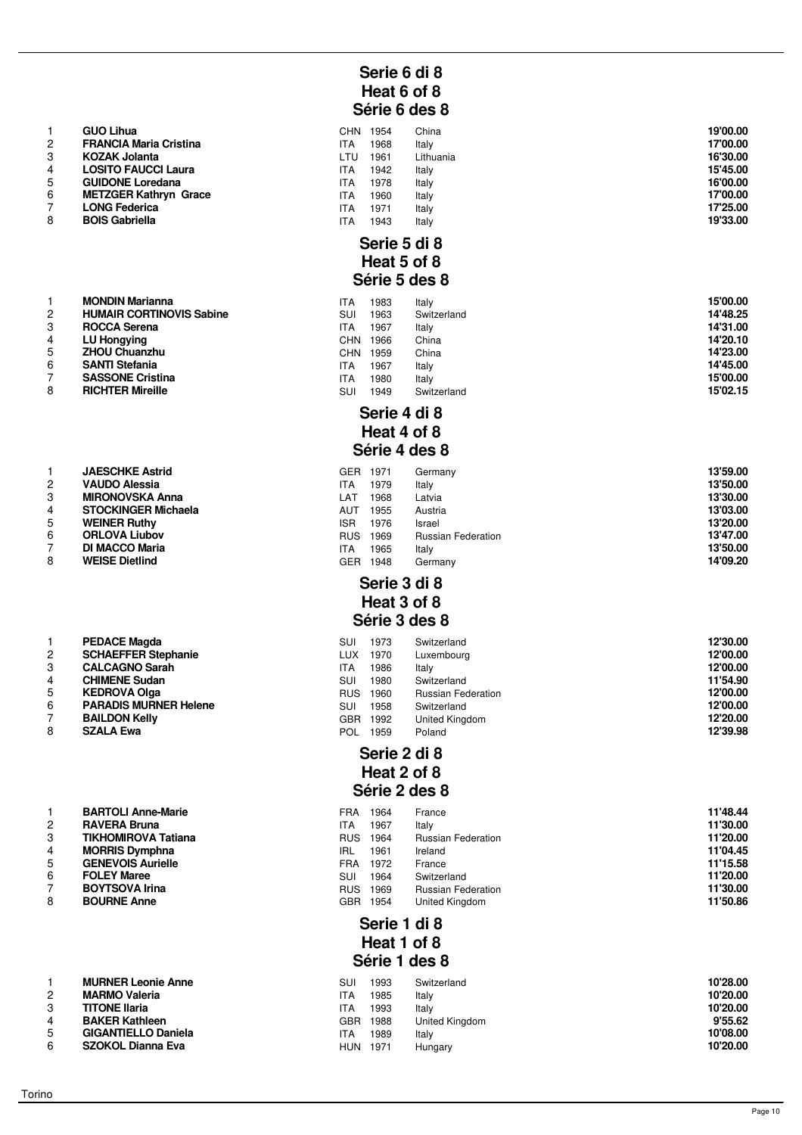# **Serie 6 di 8 Heat 6 of 8 Série 6 des 8**

|   | <b>GUO Lihua</b>              | CHN        | 1954 | China     | 19'00.00 |
|---|-------------------------------|------------|------|-----------|----------|
|   | <b>FRANCIA Maria Cristina</b> | ITA        | 1968 | Italy     | 17'00.00 |
| 3 | <b>KOZAK Jolanta</b>          | LTU        | 1961 | Lithuania | 16'30.00 |
|   | <b>LOSITO FAUCCI Laura</b>    | <b>ITA</b> | 1942 | Italy     | 15'45.00 |
| 5 | <b>GUIDONE Loredana</b>       | <b>ITA</b> | 1978 | Italy     | 16'00.00 |
| 6 | <b>METZGER Kathryn Grace</b>  | <b>ITA</b> | 1960 | Italy     | 17'00.00 |
|   | <b>LONG Federica</b>          | <b>ITA</b> | 1971 | Italy     | 17'25.00 |
| 8 | <b>BOIS Gabriella</b>         | <b>ITA</b> | 1943 | Italy     | 19'33.00 |

### **Serie 5 di 8 Heat 5 of 8 Série 5 des 8**

|                | <b>MONDIN Marianna</b>          | ITA        | 1983 | Italy       | 15'00.00 |
|----------------|---------------------------------|------------|------|-------------|----------|
| $\overline{2}$ | <b>HUMAIR CORTINOVIS Sabine</b> | SUI        | 1963 | Switzerland | 14'48.25 |
| 3              | <b>ROCCA Serena</b>             | ITA        | 1967 | Italy       | 14'31.00 |
| 4              | LU Hongying                     | <b>CHN</b> | 1966 | China       | 14'20.10 |
| 5              | <b>ZHOU Chuanzhu</b>            | CHN        | 1959 | China       | 14'23.00 |
| 6              | <b>SANTI Stefania</b>           | ITA        | 1967 | Italy       | 14'45.00 |
|                | <b>SASSONE Cristina</b>         | ITA        | 1980 | Italy       | 15'00.00 |
| 8              | <b>RICHTER Mireille</b>         | SUI        | 1949 | Switzerland | 15'02.15 |

## **Serie 4 di 8 Heat 4 of 8 Série 4 des 8**

|   | <b>JAESCHKE Astrid</b>     | <b>GER</b> | 1971 | Germany                   | 13'59.00 |
|---|----------------------------|------------|------|---------------------------|----------|
| 2 | <b>VAUDO Alessia</b>       | ITA        | 1979 | Italy                     | 13'50.00 |
| 3 | <b>MIRONOVSKA Anna</b>     | LAT        | 1968 | Latvia                    | 13'30.00 |
|   | <b>STOCKINGER Michaela</b> | AUT        | 1955 | Austria                   | 13'03.00 |
| 5 | <b>WEINER Ruthy</b>        | <b>ISR</b> | 1976 | Israel                    | 13'20.00 |
| 6 | <b>ORLOVA Liubov</b>       | <b>RUS</b> | 1969 | <b>Russian Federation</b> | 13'47.00 |
|   | <b>DI MACCO Maria</b>      | ITA.       | 1965 | Italy                     | 13'50.00 |
| 8 | <b>WEISE Dietlind</b>      | GER        | 1948 | Germany                   | 14'09.20 |

#### **Serie 3 di 8 Heat 3 of 8 Série 3 des 8**

|  | <b>Derie 3 des 8</b> |  |
|--|----------------------|--|
|  |                      |  |

|   | <b>PEDACE Magda</b>          | SUI        | 1973 | Switzerland               | 12'30.00 |
|---|------------------------------|------------|------|---------------------------|----------|
| 2 | <b>SCHAEFFER Stephanie</b>   | LUX.       | 1970 | Luxembourg                | 12'00.00 |
|   | <b>CALCAGNO Sarah</b>        | ITA.       | 1986 | Italy                     | 12'00.00 |
|   | <b>CHIMENE Sudan</b>         | SUI        | 1980 | Switzerland               | 11'54.90 |
| 5 | <b>KEDROVA Olga</b>          | <b>RUS</b> | 1960 | <b>Russian Federation</b> | 12'00.00 |
| 6 | <b>PARADIS MURNER Helene</b> | SUI        | 1958 | Switzerland               | 12'00.00 |
|   | <b>BAILDON Kelly</b>         | <b>GBR</b> | 1992 | United Kingdom            | 12'20.00 |
| 8 | <b>SZALA Ewa</b>             | <b>POL</b> | 1959 | Poland                    | 12'39.98 |

#### **Serie 2 di 8 Heat 2 of 8 Série 2 des 8**

|   | <b>BARTOLI Anne-Marie</b>  | FRA        | 1964 | France                    | 11'48.44 |
|---|----------------------------|------------|------|---------------------------|----------|
|   | <b>RAVERA Bruna</b>        | ITA        | 1967 | Italy                     | 11'30.00 |
| 3 | <b>TIKHOMIROVA Tatiana</b> | <b>RUS</b> | 1964 | <b>Russian Federation</b> | 11'20.00 |
|   | <b>MORRIS Dymphna</b>      | IRL        | 1961 | Ireland                   | 11'04.45 |
| 5 | <b>GENEVOIS Aurielle</b>   | FRA        | 1972 | France                    | 11'15.58 |
| 6 | <b>FOLEY Maree</b>         | SUI        | 1964 | Switzerland               | 11'20.00 |
|   | <b>BOYTSOVA Irina</b>      | <b>RUS</b> | 1969 | <b>Russian Federation</b> | 11'30.00 |
| 8 | <b>BOURNE Anne</b>         | GBR.       | 1954 | United Kingdom            | 11'50.86 |

# **Serie 1 di 8 Heat 1 of 8 Série 1 des 8**

|        | <b>MURNER Leonie Anne</b>  | SU         | 1993 | Switzerland    | 10'28.00 |
|--------|----------------------------|------------|------|----------------|----------|
|        | <b>MARMO Valeria</b>       | <b>ITA</b> | 1985 | Italy          | 10'20.00 |
|        | <b>TITONE Ilaria</b>       | <b>ITA</b> | 1993 | Italy          | 10'20.00 |
|        | <b>BAKER Kathleen</b>      | GBR        | 1988 | United Kingdom | 9'55.62  |
|        | <b>GIGANTIELLO Daniela</b> | <b>ITA</b> | 1989 | Italy          | 10'08.00 |
| $\sim$ | SZOKOL Dianna Eva          | <b>HUN</b> | 1971 | Hungary        | 10'20.00 |

|                | <b>GUO Lihua</b>              |
|----------------|-------------------------------|
| $\overline{2}$ | <b>FRANCIA Maria Cristina</b> |
| 3              | <b>KOZAK Jolanta</b>          |
| $\overline{4}$ | <b>LOSITO FAUCCI Laura</b>    |
| 5              | <b>GUIDONE Loredana</b>       |
| 6              | <b>METZGER Kathryn Grace</b>  |
| $\overline{7}$ | <b>LONG Federica</b>          |
| 8              | <b>BOIS Gabriella</b>         |
|                |                               |

|                | <b>MONDIN Marianna</b>         |
|----------------|--------------------------------|
| 2              | <b>HUMAIR CORTINOVIS Sabir</b> |
| 3              | <b>ROCCA Serena</b>            |
| $\overline{4}$ | <b>LU Hongying</b>             |
| 5              | <b>ZHOU Chuanzhu</b>           |
| 6              | <b>SANTI Stefania</b>          |
| 7              | <b>SASSONE Cristina</b>        |
|                |                                |

|                | <b>JAESCHKE Astrid</b>     |
|----------------|----------------------------|
| $\mathcal{P}$  | <b>VAUDO Alessia</b>       |
| 3              | <b>MIRONOVSKA Anna</b>     |
| 4              | <b>STOCKINGER Michaela</b> |
| 5              | <b>WEINER Ruthy</b>        |
| 6              | <b>ORLOVA Liubov</b>       |
| $\overline{7}$ | <b>DI MACCO Maria</b>      |
| 8              | <b>WEISE Dietlind</b>      |
|                |                            |

| 1              | <b>PEDACE Magda</b>          |
|----------------|------------------------------|
| $\overline{2}$ | <b>SCHAEFFER Stephanie</b>   |
| 3              | <b>CALCAGNO Sarah</b>        |
| 4              | <b>CHIMENE Sudan</b>         |
| 5              | <b>KEDROVA Olga</b>          |
| 6              | <b>PARADIS MURNER Helene</b> |
| $\overline{7}$ | <b>BAILDON Kelly</b>         |
| 8              | <b>SZALA Ewa</b>             |

| $\mathbf{1}$   | <b>BARTOLI Anne-Marie</b>  |
|----------------|----------------------------|
| 2              | <b>RAVERA Bruna</b>        |
| 3              | <b>TIKHOMIROVA Tatiana</b> |
| $\overline{4}$ | <b>MORRIS Dymphna</b>      |
| 5              | <b>GENEVOIS Aurielle</b>   |
| 6              | <b>FOLEY Maree</b>         |
| $\overline{7}$ | <b>BOYTSOVA Irina</b>      |
| 8              | <b>BOURNE Anne</b>         |
|                |                            |

| <b>MURNER Leonie Anne</b>  |
|----------------------------|
| <b>MARMO Valeria</b>       |
| <b>TITONE Ilaria</b>       |
| <b>BAKER Kathleen</b>      |
| <b>GIGANTIELLO Daniela</b> |
| <b>SZOKOL Dianna Eva</b>   |
|                            |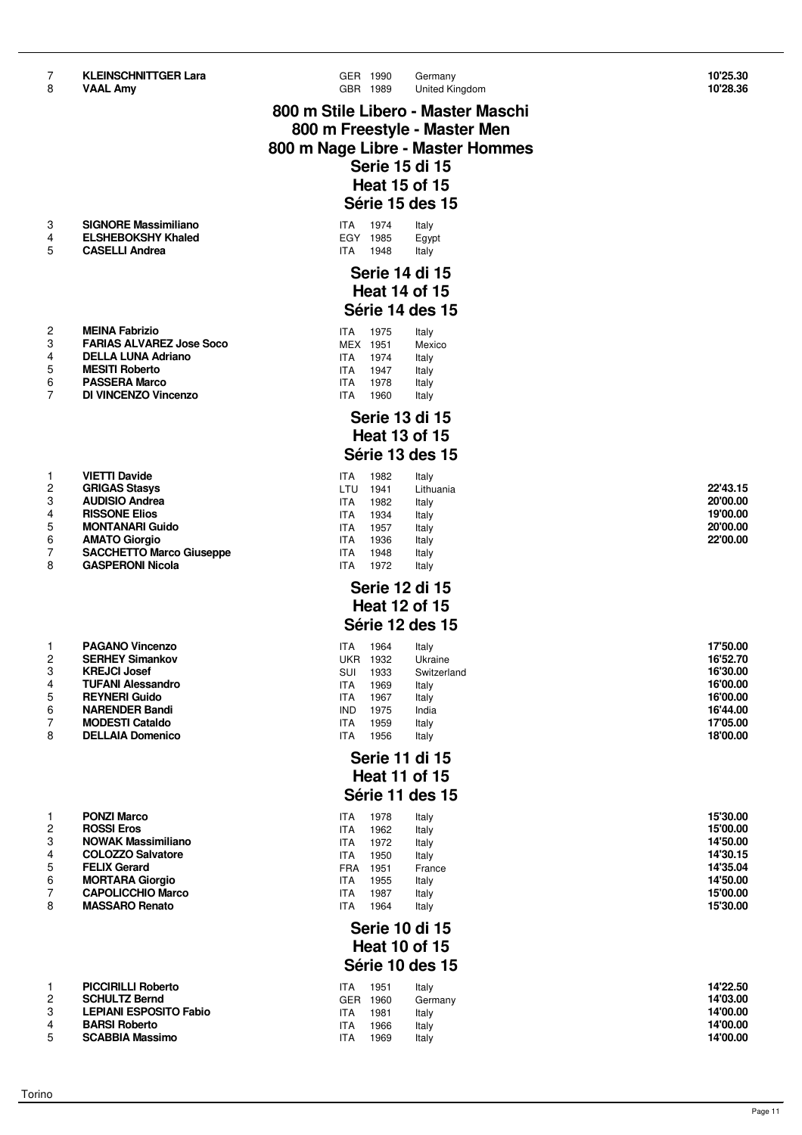| 7<br>8 | <b>KLEINSCHNITTGER Lara</b><br><b>VAAL Amy</b>     | GER 1990<br>GBR 1989               |              | Germany<br>United Kingdom    | 10'25.30<br>10'28.36 |
|--------|----------------------------------------------------|------------------------------------|--------------|------------------------------|----------------------|
|        |                                                    | 800 m Stile Libero - Master Maschi |              |                              |                      |
|        |                                                    |                                    |              | 800 m Freestyle - Master Men |                      |
|        |                                                    | 800 m Nage Libre - Master Hommes   |              |                              |                      |
|        |                                                    |                                    |              | Serie 15 di 15               |                      |
|        |                                                    |                                    |              | <b>Heat 15 of 15</b>         |                      |
|        |                                                    |                                    |              | Série 15 des 15              |                      |
| 3      | <b>SIGNORE Massimiliano</b>                        | <b>ITA</b>                         | 1974         | Italy                        |                      |
| 4      | <b>ELSHEBOKSHY Khaled</b>                          | EGY 1985                           |              | Egypt                        |                      |
| 5      | <b>CASELLI Andrea</b>                              | <b>ITA</b>                         | 1948         | Italy                        |                      |
|        |                                                    |                                    |              | <b>Serie 14 di 15</b>        |                      |
|        |                                                    |                                    |              | <b>Heat 14 of 15</b>         |                      |
|        |                                                    |                                    |              | Série 14 des 15              |                      |
| 2      | <b>MEINA Fabrizio</b>                              | <b>ITA</b>                         | 1975         | Italy                        |                      |
| 3      | <b>FARIAS ALVAREZ Jose Soco</b>                    | MEX 1951                           |              | Mexico                       |                      |
| 4<br>5 | <b>DELLA LUNA Adriano</b><br><b>MESITI Roberto</b> | <b>ITA</b>                         | 1974         | Italy                        |                      |
| 6      | <b>PASSERA Marco</b>                               | ITA.<br><b>ITA</b>                 | 1947<br>1978 | Italy<br>Italy               |                      |
| 7      | DI VINCENZO Vincenzo                               | <b>ITA</b>                         | 1960         | Italy                        |                      |
|        |                                                    |                                    |              | <b>Serie 13 di 15</b>        |                      |
|        |                                                    |                                    |              | <b>Heat 13 of 15</b>         |                      |
|        |                                                    |                                    |              | Série 13 des 15              |                      |
| 1      | <b>VIETTI Davide</b>                               | <b>ITA</b>                         | 1982         | Italy                        |                      |
| 2      | <b>GRIGAS Stasys</b>                               | LTU 1941                           |              | Lithuania                    | 22'43.15             |
| 3      | <b>AUDISIO Andrea</b>                              | <b>ITA</b>                         | 1982         | Italy                        | 20'00.00             |
| 4<br>5 | <b>RISSONE Elios</b><br><b>MONTANARI Guido</b>     | <b>ITA</b><br><b>ITA</b>           | 1934<br>1957 | Italy<br>Italy               | 19'00.00<br>20'00.00 |
| 6      | <b>AMATO Giorgio</b>                               | ITA.                               | 1936         | Italy                        | 22'00.00             |
| 7      | <b>SACCHETTO Marco Giuseppe</b>                    | <b>ITA</b>                         | 1948         | Italy                        |                      |
| 8      | <b>GASPERONI Nicola</b>                            | <b>ITA</b>                         | 1972         | Italy                        |                      |
|        |                                                    |                                    |              | Serie 12 di 15               |                      |
|        |                                                    |                                    |              | <b>Heat 12 of 15</b>         |                      |
|        |                                                    |                                    |              | Série 12 des 15              |                      |
| 1      | <b>PAGANO Vincenzo</b>                             | ITA                                | 1964         | Italy                        | 17'50.00             |
| 2      | <b>SERHEY Simankov</b><br><b>KREJCI Josef</b>      | <b>UKR 1932</b>                    |              | Ukraine                      | 16'52.70             |
| 3<br>4 | <b>TUFANI Alessandro</b>                           | SUI<br><b>ITA</b>                  | 1933<br>1969 | Switzerland<br>Italy         | 16'30.00<br>16'00.00 |
| 5      | <b>REYNERI Guido</b>                               | <b>ITA</b>                         | 1967         | Italy                        | 16'00.00             |
| 6      | <b>NARENDER Bandi</b>                              | <b>IND</b>                         | 1975         | India                        | 16'44.00             |
| 7<br>8 | <b>MODESTI Cataldo</b><br><b>DELLAIA Domenico</b>  | <b>ITA</b><br><b>ITA</b>           | 1959<br>1956 | Italy<br>Italy               | 17'05.00<br>18'00.00 |
|        |                                                    |                                    |              |                              |                      |
|        |                                                    |                                    |              | Serie 11 di 15               |                      |
|        |                                                    |                                    |              | <b>Heat 11 of 15</b>         |                      |
|        |                                                    |                                    |              | Série 11 des 15              |                      |
| 1      | <b>PONZI Marco</b>                                 | <b>ITA</b>                         | 1978         | Italy                        | 15'30.00             |
| 2<br>3 | <b>ROSSI Eros</b><br><b>NOWAK Massimiliano</b>     | <b>ITA</b><br><b>ITA</b>           | 1962<br>1972 | Italy<br>Italy               | 15'00.00<br>14'50.00 |
| 4      | <b>COLOZZO Salvatore</b>                           | <b>ITA</b>                         | 1950         | Italy                        | 14'30.15             |
| 5      | <b>FELIX Gerard</b>                                | FRA 1951                           |              | France                       | 14'35.04             |
| 6<br>7 | <b>MORTARA Giorgio</b><br><b>CAPOLICCHIO Marco</b> | <b>ITA</b><br><b>ITA</b>           | 1955<br>1987 | Italy                        | 14'50.00<br>15'00.00 |
| 8      | <b>MASSARO Renato</b>                              | <b>ITA</b>                         | 1964         | Italy<br>Italy               | 15'30.00             |
|        |                                                    |                                    |              | <b>Serie 10 di 15</b>        |                      |
|        |                                                    |                                    |              | <b>Heat 10 of 15</b>         |                      |
|        |                                                    |                                    |              | Série 10 des 15              |                      |
|        |                                                    |                                    |              |                              |                      |
| 1<br>2 | <b>PICCIRILLI Roberto</b><br><b>SCHULTZ Bernd</b>  | <b>ITA</b><br>GER 1960             | 1951         | Italy<br>Germany             | 14'22.50<br>14'03.00 |
| 3      | <b>LEPIANI ESPOSITO Fabio</b>                      | <b>ITA</b>                         | 1981         | Italy                        | 14'00.00             |
| 4      | <b>BARSI Roberto</b>                               | <b>ITA</b>                         | 1966         | Italy                        | 14'00.00             |
| 5      | <b>SCABBIA Massimo</b>                             | <b>ITA</b>                         | 1969         | Italy                        | 14'00.00             |
|        |                                                    |                                    |              |                              |                      |

|  | 22'43.15 |  |  |
|--|----------|--|--|
|  | 20'00.00 |  |  |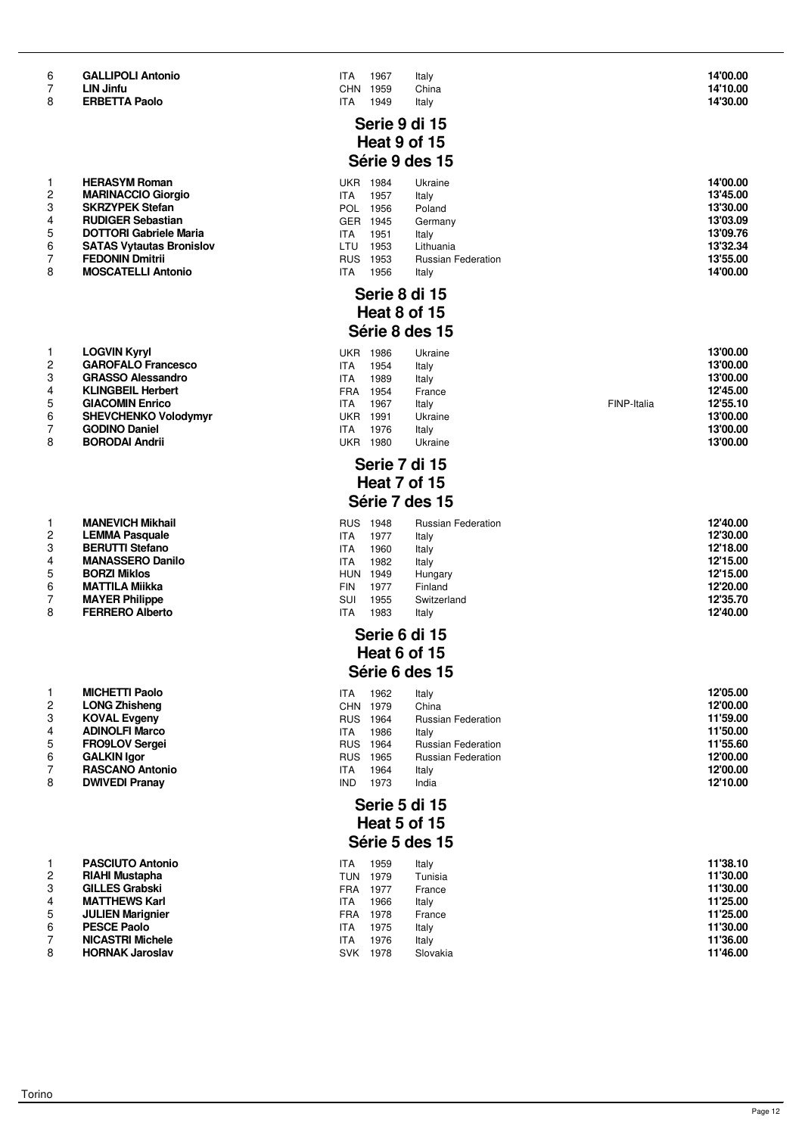|  |  |  | <b>GALLIPOLI Antonic</b> |
|--|--|--|--------------------------|
|--|--|--|--------------------------|

|                | <b>HERASYM Roman</b>            |
|----------------|---------------------------------|
| $\mathcal{P}$  | <b>MARINACCIO Giorgio</b>       |
| 3              | <b>SKRZYPEK Stefan</b>          |
| $\overline{4}$ | <b>RUDIGER Sebastian</b>        |
| 5              | <b>DOTTORI Gabriele Maria</b>   |
| 6              | <b>SATAS Vytautas Bronislov</b> |
| $\overline{7}$ | <b>FEDONIN Dmitrii</b>          |
| 8              | <b>MOSCATELLI Antonio</b>       |

| ı                       | LOGVIN KVIVI               |
|-------------------------|----------------------------|
| 2                       | <b>GAROFALO Francesco</b>  |
| 3                       | <b>GRASSO Alessandro</b>   |
| $\overline{\mathbf{4}}$ | <b>KLINGBEIL Herbert</b>   |
| 5                       | <b>GIACOMIN Enrico</b>     |
| 6                       | <b>SHEVCHENKO Volodymy</b> |
| 7                       | <b>GODINO Daniel</b>       |
| 요                       | <b>RORODAL Andrii</b>      |

|   | MANEVIUT MINICII        |
|---|-------------------------|
| 2 | <b>LEMMA Pasquale</b>   |
| 3 | <b>BERUTTI Stefano</b>  |
| 4 | <b>MANASSERO Danilo</b> |
| 5 | <b>BORZI Miklos</b>     |
| 6 | <b>MATTILA Miikka</b>   |
| 7 | <b>MAYER Philippe</b>   |
| - |                         |

|   | MICHETTI Paolo        |
|---|-----------------------|
| 2 | <b>LONG Zhisheng</b>  |
| 3 | <b>KOVAL Evgeny</b>   |
| 4 | <b>ADINOLFI Marco</b> |
| 5 | <b>FRO9LOV Sergei</b> |
| 6 | <b>GALKIN Igor</b>    |
| 7 | <b>RASCANO Anton</b>  |
| 8 | <b>DWIVEDI Pranav</b> |

| 1 | <b>PASCIUTO Antonio</b> |
|---|-------------------------|
| 2 | RIAHI Mustapha          |
| 3 | <b>GILLES Grabski</b>   |
| 4 | <b>MATTHEWS Karl</b>    |
| 5 | <b>JULIEN Marignier</b> |
| 6 | <b>PESCE Paolo</b>      |
| 7 | <b>NICASTRI Michele</b> |
| 8 | <b>HORNAK Jaroslav</b>  |

| 6 | <b>GALLIPOLI Antonio</b> | <b>ITA</b> | 1967 | Italy | 14'00.00 |
|---|--------------------------|------------|------|-------|----------|
|   | <b>LIN Jinfu</b>         | CHN        | 1959 | China | 14'10.00 |
| 8 | <b>ERBETTA Paolo</b>     | ITA        | 1949 | Italy | 14'30.00 |

# **Serie 9 di 15 Heat 9 of 15 Série 9 des 15**

|   | <b>HERASYM Roman</b>            | UKR        | 1984 | Ukraine                   | 14'00.00 |
|---|---------------------------------|------------|------|---------------------------|----------|
|   | <b>MARINACCIO Giorgio</b>       | ITA        | 1957 | Italy                     | 13'45.00 |
|   | <b>SKRZYPEK Stefan</b>          | POL        | 1956 | Poland                    | 13'30.00 |
|   | <b>RUDIGER Sebastian</b>        | GER        | 1945 | Germany                   | 13'03.09 |
| 5 | <b>DOTTORI Gabriele Maria</b>   | ITA        | 1951 | Italy                     | 13'09.76 |
| 6 | <b>SATAS Vytautas Bronislov</b> | LTU        | 1953 | Lithuania                 | 13'32.34 |
|   | <b>FEDONIN Dmitrii</b>          | <b>RUS</b> | 1953 | <b>Russian Federation</b> | 13'55.00 |
| 8 | <b>MOSCATELLI Antonio</b>       | ITA        | 1956 | Italv                     | 14'00.00 |

# **Serie 8 di 15 Heat 8 of 15 Série 8 des 15**

|   | <b>LOGVIN Kyryl</b>         | UKR | 1986 | Ukraine |             | 13'00.00 |
|---|-----------------------------|-----|------|---------|-------------|----------|
| 2 | <b>GAROFALO Francesco</b>   | ITA | 1954 | Italy   |             | 13'00.00 |
| 3 | <b>GRASSO Alessandro</b>    | ITA | 1989 | Italy   |             | 13'00.00 |
|   | <b>KLINGBEIL Herbert</b>    | FRA | 1954 | France  |             | 12'45.00 |
| 5 | <b>GIACOMIN Enrico</b>      | ITA | 1967 | Italv   | FINP-Italia | 12'55.10 |
| 6 | <b>SHEVCHENKO Volodymyr</b> | UKR | 1991 | Ukraine |             | 13'00.00 |
|   | <b>GODINO Daniel</b>        | ITA | 1976 | Italv   |             | 13'00.00 |
| 8 | <b>BORODAI Andrii</b>       | UKR | 1980 | Ukraine |             | 13'00.00 |

#### **Serie 7 di 15 Heat 7 of 15 Série 7 des 15**

|                      | <b>MANEVICH Mikhail</b> | <b>RUS</b> | 1948 | <b>Russian Federation</b> | 12'40.00 |
|----------------------|-------------------------|------------|------|---------------------------|----------|
| $\mathbf{2}^{\circ}$ | <b>LEMMA Pasquale</b>   | ITA        | 1977 | Italy                     | 12'30.00 |
| 3                    | <b>BERUTTI Stefano</b>  | ITA        | 1960 | Italy                     | 12'18.00 |
| 4                    | <b>MANASSERO Danilo</b> | ITA        | 1982 | Italy                     | 12'15.00 |
| 5                    | <b>BORZI Miklos</b>     | <b>HUN</b> | 1949 | Hungary                   | 12'15.00 |
| 6                    | <b>MATTILA Miikka</b>   | FIN        | 1977 | Finland                   | 12'20.00 |
|                      | <b>MAYER Philippe</b>   | SUI        | 1955 | Switzerland               | 12'35.70 |
| 8                    | <b>FERRERO Alberto</b>  | ITA        | 1983 | Italy                     | 12'40.00 |

#### **Serie 6 di 15 Heat 6 of 15 Série 6 des 15**

|    | <b>MICHETTI Paolo</b>  | ITA        | 1962 | Italy                     | 12'05.00 |
|----|------------------------|------------|------|---------------------------|----------|
| 2  | <b>LONG Zhisheng</b>   | <b>CHN</b> | 1979 | China                     | 12'00.00 |
|    | <b>KOVAL Evgeny</b>    | <b>RUS</b> | 1964 | <b>Russian Federation</b> | 11'59.00 |
|    | <b>ADINOLFI Marco</b>  | <b>ITA</b> | 1986 | Italy                     | 11'50.00 |
| 5  | <b>FRO9LOV Sergei</b>  | <b>RUS</b> | 1964 | <b>Russian Federation</b> | 11'55.60 |
| 6. | <b>GALKIN Igor</b>     | <b>RUS</b> | 1965 | <b>Russian Federation</b> | 12'00.00 |
|    | <b>RASCANO Antonio</b> | <b>ITA</b> | 1964 | Italy                     | 12'00.00 |
| 8  | <b>DWIVEDI Pranay</b>  | <b>IND</b> | 1973 | India                     | 12'10.00 |

# **Serie 5 di 15 Heat 5 of 15 Série 5 des 15**

|   | <b>PASCIUTO Antonio</b> | ITA        | 1959 | Italy    | 11'38.10 |
|---|-------------------------|------------|------|----------|----------|
|   | <b>RIAHI Mustapha</b>   | TUN        | 1979 | Tunisia  | 11'30.00 |
| 3 | <b>GILLES Grabski</b>   | FRA        | 1977 | France   | 11'30.00 |
|   | <b>MATTHEWS Karl</b>    | ITA        | 1966 | Italy    | 11'25.00 |
| 5 | <b>JULIEN Marignier</b> | FRA        | 1978 | France   | 11'25.00 |
| 6 | <b>PESCE Paolo</b>      | ITA        | 1975 | Italy    | 11'30.00 |
|   | <b>NICASTRI Michele</b> | ITA        | 1976 | Italy    | 11'36.00 |
| 8 | <b>HORNAK Jaroslav</b>  | <b>SVK</b> | 1978 | Slovakia | 11'46.00 |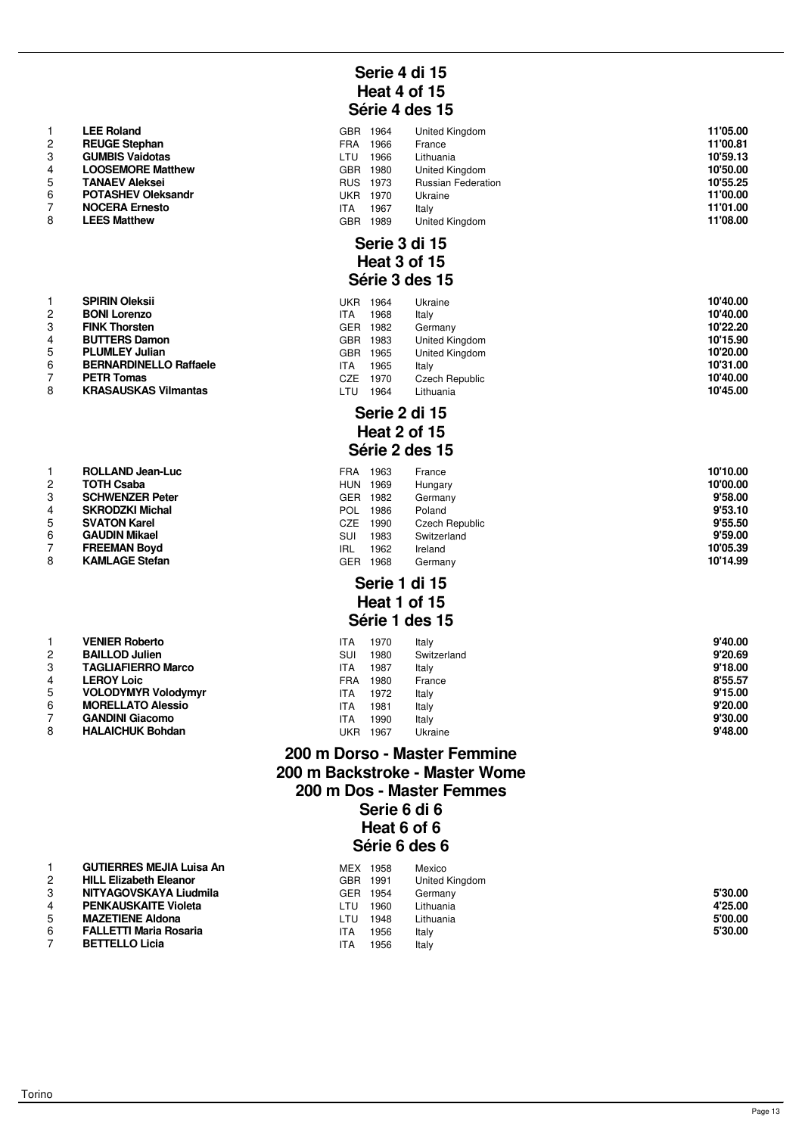|                | LEE Roland                |  |
|----------------|---------------------------|--|
| $\mathcal{P}$  | <b>REUGE Stephan</b>      |  |
| 3              | <b>GUMBIS Vaidotas</b>    |  |
| 4              | <b>LOOSEMORE Matthew</b>  |  |
| 5              | <b>TANAEV Aleksei</b>     |  |
| 6              | <b>POTASHEV Oleksandr</b> |  |
| $\overline{7}$ | <b>NOCERA Ernesto</b>     |  |
| 8              | <b>LEES Matthew</b>       |  |

|                | <b>SPIRIN Oleksii</b>         |
|----------------|-------------------------------|
| $\mathcal{P}$  | <b>BONI Lorenzo</b>           |
| 3              | <b>FINK Thorsten</b>          |
| $\overline{4}$ | <b>BUTTERS Damon</b>          |
| 5              | <b>PLUMLEY Julian</b>         |
| 6              | <b>BERNARDINELLO Raffaele</b> |
| 7              | <b>PETR Tomas</b>             |
| 8              | <b>KRASAUSKAS Vilmantas</b>   |

|                | HULLAND UGAIFLUU       |
|----------------|------------------------|
| $\mathcal{P}$  | <b>TOTH Csaba</b>      |
| 3              | <b>SCHWENZER Peter</b> |
| 4              | <b>SKRODZKI Michal</b> |
| 5              | <b>SVATON Karel</b>    |
| 6              | <b>GAUDIN Mikael</b>   |
| $\overline{7}$ | <b>FREEMAN Boyd</b>    |
| 8              | <b>KAMLAGE Stefan</b>  |
|                |                        |

|                         | <b>VENIER Roberto</b>     |
|-------------------------|---------------------------|
| $\overline{c}$          | <b>BAILLOD Julien</b>     |
| 3                       | <b>TAGLIAFIERRO Marco</b> |
| $\overline{\mathbf{4}}$ | <b>LEROY Loic</b>         |
| 5                       | <b>VOLODYMYR Volodymy</b> |
| 6                       | <b>MORELLATO Alessio</b>  |
| 7                       | <b>GANDINI Giacomo</b>    |
| 8                       | <b>HALAICHUK Bohdan</b>   |

# **Serie 4 di 15 Heat 4 of 15 Série 4 des 15**

|   | <b>LEE Roland</b>         | <b>GBR</b> | 1964 | United Kingdom            | 11'05.00 |
|---|---------------------------|------------|------|---------------------------|----------|
| 2 | <b>REUGE Stephan</b>      | <b>FRA</b> | 1966 | France                    | 11'00.81 |
|   | <b>GUMBIS Vaidotas</b>    | LTU        | 1966 | Lithuania                 | 10'59.13 |
|   | <b>LOOSEMORE Matthew</b>  | <b>GBR</b> | 1980 | United Kingdom            | 10'50.00 |
| 5 | <b>TANAEV Aleksei</b>     | <b>RUS</b> | 1973 | <b>Russian Federation</b> | 10'55.25 |
| 6 | <b>POTASHEV Oleksandr</b> | UKR        | 1970 | Ukraine                   | 11'00.00 |
|   | <b>NOCERA Ernesto</b>     | <b>ITA</b> | 1967 | Italy                     | 11'01.00 |
|   | <b>LEES Matthew</b>       | GBR        | 1989 | United Kingdom            | 11'08.00 |

#### **Serie 3 di 15 Heat 3 of 15 Série 3 des 15**

|   | <b>SPIRIN Oleksii</b>         | UKR        | 1964 | Ukraine        | 10'40.00 |
|---|-------------------------------|------------|------|----------------|----------|
|   |                               |            |      |                |          |
| 2 | <b>BONI Lorenzo</b>           | <b>ITA</b> | 1968 | Italv          | 10'40.00 |
|   | <b>FINK Thorsten</b>          | <b>GER</b> | 1982 | Germany        | 10'22.20 |
|   | <b>BUTTERS Damon</b>          | GBR        | 1983 | United Kingdom | 10'15.90 |
| 5 | <b>PLUMLEY Julian</b>         | GBR.       | 1965 | United Kingdom | 10'20.00 |
| 6 | <b>BERNARDINELLO Raffaele</b> | <b>ITA</b> | 1965 | Italv          | 10'31.00 |
|   | <b>PETR Tomas</b>             | CZE        | 1970 | Czech Republic | 10'40.00 |
| 8 | <b>KRASAUSKAS Vilmantas</b>   | LTU        | 1964 | Lithuania      | 10'45.00 |
|   |                               |            |      |                |          |

#### **Serie 2 di 15 Heat 2 of 15 Série 2 des 15**

|   | <b>ROLLAND Jean-Luc</b> | FRA        | 1963 | France         | 10'10.00 |
|---|-------------------------|------------|------|----------------|----------|
|   | <b>TOTH Csaba</b>       | <b>HUN</b> | 1969 | Hungary        | 10'00.00 |
|   | <b>SCHWENZER Peter</b>  | GER.       | 1982 | Germany        | 9'58.00  |
|   | <b>SKRODZKI Michal</b>  | <b>POL</b> | 1986 | Poland         | 9'53.10  |
|   | <b>SVATON Karel</b>     | CZE        | 1990 | Czech Republic | 9'55.50  |
| 6 | <b>GAUDIN Mikael</b>    | SUI        | 1983 | Switzerland    | 9'59.00  |
|   | <b>FREEMAN Boyd</b>     | <b>IRL</b> | 1962 | Ireland        | 10'05.39 |
| 8 | <b>KAMLAGE Stefan</b>   | GER        | 1968 | Germany        | 10'14.99 |

# **Serie 1 di 15 Heat 1 of 15**

# **Série 1 des 15**

|   | <b>VENIER Roberto</b>      | ITA        | 1970 | Italv       | 9'40.00 |
|---|----------------------------|------------|------|-------------|---------|
|   | <b>BAILLOD Julien</b>      | SUI        | 1980 | Switzerland | 9'20.69 |
| 3 | <b>TAGLIAFIERRO Marco</b>  | <b>ITA</b> | 1987 | Italy       | 9'18.00 |
|   | <b>LEROY Loic</b>          | FRA        | 1980 | France      | 8'55.57 |
| 5 | <b>VOLODYMYR Volodymyr</b> | <b>ITA</b> | 1972 | Italv       | 9'15.00 |
| 6 | <b>MORELLATO Alessio</b>   | ITA        | 1981 | Italy       | 9'20.00 |
|   | <b>GANDINI Giacomo</b>     | ITA        | 1990 | Italy       | 9'30.00 |
| 8 | <b>HALAICHUK Bohdan</b>    | UKR        | 1967 | Ukraine     | 9'48.00 |
|   |                            |            |      |             |         |

### **200 m Dorso - Master Femmine 200 m Backstroke - Master Wome 200 m Dos - Master Femmes Serie 6 di 6 Heat 6 of 6 Série 6 des 6**

| 1 | <b>GUTIERRES MEJIA Luisa An</b> |
|---|---------------------------------|
| 2 | <b>HILL Elizabeth Eleanor</b>   |
| 3 | NITYAGOVSKAYA Liudmila          |
| 4 | <b>PENKAUSKAITE Violeta</b>     |
| 5 | <b>MAZETIENE Aldona</b>         |
| 6 | <b>FALLETTI Maria Rosaria</b>   |
| 7 | <b>BETTELLO Licia</b>           |

|   | <b>GUTIERRES MEJIA Luisa An</b> | <b>MEX</b> | 1958 | Mexico         |         |
|---|---------------------------------|------------|------|----------------|---------|
|   | <b>HILL Elizabeth Eleanor</b>   | GBR.       | 1991 | United Kingdom |         |
|   | NITYAGOVSKAYA Liudmila          | GER        | 1954 | Germany        | 5'30.00 |
|   | <b>PENKAUSKAITE Violeta</b>     | LTU        | 1960 | Lithuania      | 4'25.00 |
|   | <b>MAZETIENE Aldona</b>         | LTU        | 1948 | Lithuania      | 5'00.00 |
| 6 | <b>FALLETTI Maria Rosaria</b>   | ITA        | 1956 | Italy          | 5'30.00 |
|   | <b>BETTELLO Licia</b>           | ITA        | 1956 | Italy          |         |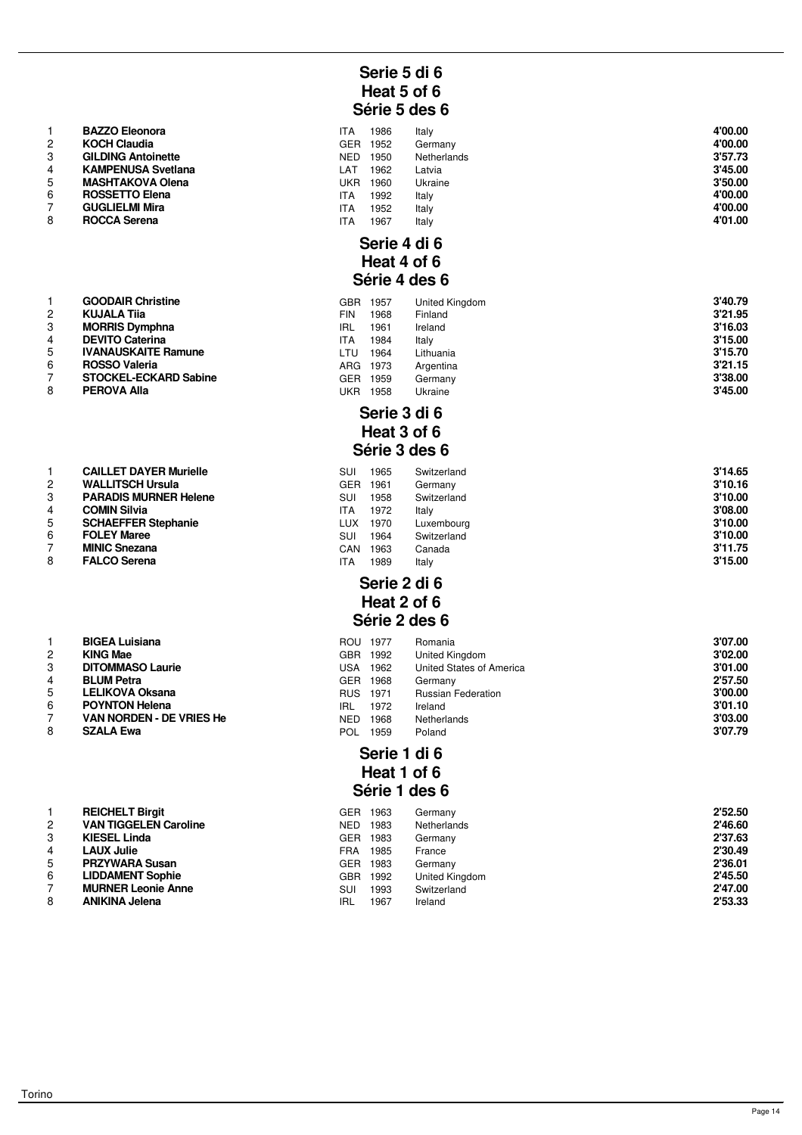|                | <b>BAZZO Eleonora</b>     |
|----------------|---------------------------|
| $\mathcal{P}$  | <b>KOCH Claudia</b>       |
| 3              | <b>GILDING Antoinette</b> |
| 4              | <b>KAMPENUSA Svetlana</b> |
| 5              | <b>MASHTAKOVA Olena</b>   |
| 6              | <b>ROSSETTO Elena</b>     |
| $\overline{7}$ | <b>GUGLIELMI Mira</b>     |
| 8              | <b>ROCCA Serena</b>       |
|                |                           |

|                | <b>GOODAIR Christine</b>     |
|----------------|------------------------------|
| $\overline{2}$ | <b>KUJALA Tija</b>           |
| 3              | <b>MORRIS Dymphna</b>        |
| $\overline{4}$ | <b>DEVITO Caterina</b>       |
| 5              | <b>IVANAUSKAITE Ramune</b>   |
| 6              | <b>ROSSO Valeria</b>         |
| $\overline{7}$ | <b>STOCKEL-ECKARD Sabine</b> |
| 8              | <b>PEROVA Alla</b>           |
|                |                              |

| 1              | <b>CAILLET DAYER Murielle</b> |
|----------------|-------------------------------|
| $\mathcal{P}$  | <b>WALLITSCH Ursula</b>       |
| 3              | <b>PARADIS MURNER Helene</b>  |
| $\overline{4}$ | <b>COMIN Silvia</b>           |
| 5              | <b>SCHAEFFER Stephanie</b>    |
| 6              | <b>FOLEY Maree</b>            |
| $\overline{7}$ | <b>MINIC Snezana</b>          |
| 8              | <b>FALCO Serena</b>           |

| 1              | <b>BIGEA Luisiana</b>          |
|----------------|--------------------------------|
| $\overline{2}$ | <b>KING Mae</b>                |
| 3              | <b>DITOMMASO Laurie</b>        |
| $\overline{4}$ | <b>BLUM Petra</b>              |
| 5              | <b>LELIKOVA Oksana</b>         |
| 6              | <b>POYNTON Helena</b>          |
| 7              | <b>VAN NORDEN - DE VRIES H</b> |
| 8              | <b>SZALA Ewa</b>               |

|    | <b>REICHELT Birgit</b>       |
|----|------------------------------|
| 2  | <b>VAN TIGGELEN Caroline</b> |
| 3  | <b>KIESEL Linda</b>          |
| 4  | <b>LAUX Julie</b>            |
| -5 | <b>PRZYWARA Susan</b>        |
| 6  | <b>LIDDAMENT Sophie</b>      |
| 7  | <b>MURNER Leonie Anne</b>    |
| 8  | <b>ANIKINA Jelena</b>        |
|    |                              |

# **Serie 5 di 6 Heat 5 of 6 Série 5 des 6**

|   | <b>BAZZO Eleonora</b>     | ITA        | 1986 | Italy       | 4'00.00 |
|---|---------------------------|------------|------|-------------|---------|
| 2 | <b>KOCH Claudia</b>       | <b>GER</b> | 1952 | Germany     | 4'00.00 |
| 3 | <b>GILDING Antoinette</b> | NED        | 1950 | Netherlands | 3'57.73 |
|   | <b>KAMPENUSA Svetlana</b> | ∟AT        | 1962 | Latvia      | 3'45.00 |
| 5 | <b>MASHTAKOVA Olena</b>   | UKR        | 1960 | Ukraine     | 3'50.00 |
| 6 | <b>ROSSETTO Elena</b>     | ITA        | 1992 | Italy       | 4'00.00 |
|   | <b>GUGLIELMI Mira</b>     | ITA        | 1952 | Italy       | 4'00.00 |
| 8 | <b>ROCCA Serena</b>       | ITA        | 1967 | Italy       | 4'01.00 |

#### **Serie 4 di 6 Heat 4 of 6 Série 4 des 6**

|   | <b>GOODAIR Christine</b>     | GBR        | 1957 | United Kingdom | 3'40.79 |
|---|------------------------------|------------|------|----------------|---------|
|   | <b>KUJALA Tija</b>           | <b>FIN</b> | 1968 | Finland        | 3'21.95 |
|   | <b>MORRIS Dymphna</b>        | <b>IRL</b> | 1961 | Ireland        | 3'16.03 |
| 4 | <b>DEVITO Caterina</b>       | <b>ITA</b> | 1984 | Italy          | 3'15.00 |
| 5 | <b>IVANAUSKAITE Ramune</b>   | LTU        | 1964 | Lithuania      | 3'15.70 |
| 6 | <b>ROSSO Valeria</b>         | ARG        | 1973 | Argentina      | 3'21.15 |
|   | <b>STOCKEL-ECKARD Sabine</b> | GER.       | 1959 | Germany        | 3'38.00 |
| 8 | <b>PEROVA Alla</b>           | UKR        | 1958 | Ukraine        | 3'45.00 |
|   |                              |            |      |                |         |

#### **Serie 3 di 6 Heat 3 of 6 Série 3 des 6**

|   | <b>CAILLET DAYER Murielle</b> | SUI        | 1965 | Switzerland | 3'14.65 |
|---|-------------------------------|------------|------|-------------|---------|
| 2 | <b>WALLITSCH Ursula</b>       | GER.       | 1961 | Germany     | 3'10.16 |
| 3 | <b>PARADIS MURNER Helene</b>  | SUI        | 1958 | Switzerland | 3'10.00 |
|   | <b>COMIN Silvia</b>           | <b>ITA</b> | 1972 | Italv       | 3'08.00 |
| 5 | <b>SCHAEFFER Stephanie</b>    | LUX        | 1970 | Luxembourg  | 3'10.00 |
| 6 | <b>FOLEY Maree</b>            | SUI        | 1964 | Switzerland | 3'10.00 |
|   | <b>MINIC Snezana</b>          | CAN        | 1963 | Canada      | 3'11.75 |
| 8 | <b>FALCO Serena</b>           | ITA        | 1989 | Italy       | 3'15.00 |

# **Serie 2 di 6 Heat 2 of 6 Série 2 des 6**

|    | <b>BIGEA Luisiana</b>    | ROU 1977   |      | Romania                   | 3'07.00 |
|----|--------------------------|------------|------|---------------------------|---------|
|    | <b>KING Mae</b>          | <b>GBR</b> | 1992 | United Kingdom            | 3'02.00 |
| 3  | <b>DITOMMASO Laurie</b>  | USA        | 1962 | United States of America  | 3'01.00 |
|    | <b>BLUM Petra</b>        | <b>GER</b> | 1968 | Germany                   | 2'57.50 |
| 5. | <b>LELIKOVA Oksana</b>   | <b>RUS</b> | 1971 | <b>Russian Federation</b> | 3'00.00 |
| 6  | <b>POYNTON Helena</b>    | <b>IRL</b> | 1972 | Ireland                   | 3'01.10 |
|    | VAN NORDEN - DE VRIES He | NED        | 1968 | Netherlands               | 3'03.00 |
| 8  | <b>SZALA Ewa</b>         | POL        | 1959 | Poland                    | 3'07.79 |

#### **Serie 1 di 6 Heat 1 of 6 Série 1 des 6**

| 2 | <b>REICHELT Birgit</b><br><b>VAN TIGGELEN Caroline</b><br><b>KIESEL Linda</b> | <b>GER</b><br><b>NED</b><br>GER | 1963<br>1983<br>1983 | Germany<br>Netherlands<br>Germany | 2'52.50<br>2'46.60<br>2'37.63 |
|---|-------------------------------------------------------------------------------|---------------------------------|----------------------|-----------------------------------|-------------------------------|
|   | <b>LAUX Julie</b>                                                             | FRA                             | 1985                 | France                            | 2'30.49                       |
| 5 | <b>PRZYWARA Susan</b>                                                         | GER.                            | 1983                 | Germany                           | 2'36.01                       |
| 6 | <b>LIDDAMENT Sophie</b>                                                       | <b>GBR</b>                      | 1992                 | United Kingdom                    | 2'45.50                       |
|   | <b>MURNER Leonie Anne</b>                                                     | SUI                             | 1993                 | Switzerland                       | 2'47.00                       |
| 8 | <b>ANIKINA Jelena</b>                                                         | <b>IRL</b>                      | 1967                 | Ireland                           | 2'53.33                       |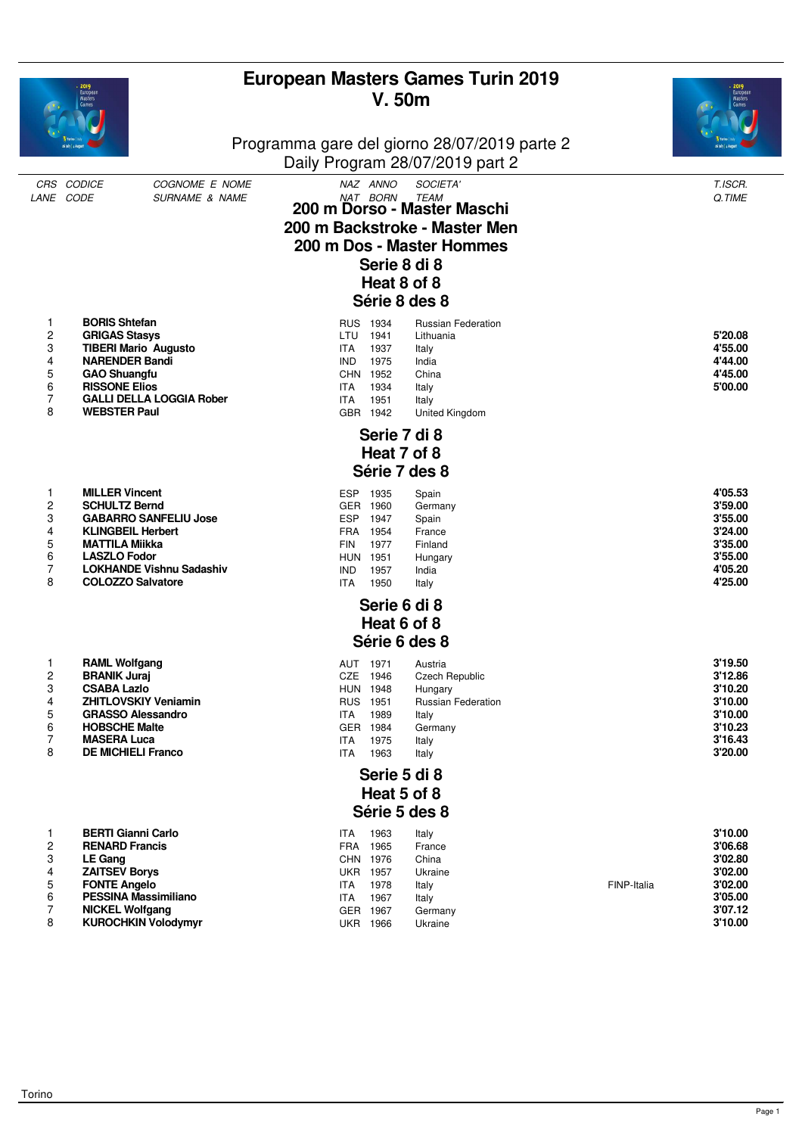|                                                            | European<br>Masters                                                                                                                                                                                                      |                                                             | <b>V.50m</b>                                                                                   | <b>European Masters Games Turin 2019</b>                                                                                              |             |                                                                                      |
|------------------------------------------------------------|--------------------------------------------------------------------------------------------------------------------------------------------------------------------------------------------------------------------------|-------------------------------------------------------------|------------------------------------------------------------------------------------------------|---------------------------------------------------------------------------------------------------------------------------------------|-------------|--------------------------------------------------------------------------------------|
|                                                            |                                                                                                                                                                                                                          |                                                             |                                                                                                | Programma gare del giorno 28/07/2019 parte 2<br>Daily Program 28/07/2019 part 2                                                       |             |                                                                                      |
|                                                            | CRS CODICE<br>COGNOME E NOME<br>LANE CODE<br><b>SURNAME &amp; NAME</b>                                                                                                                                                   |                                                             | NAZ ANNO<br>NAT BORN<br>Serie 8 di 8<br>Heat 8 of 8                                            | SOCIETA'<br><b>TEAM</b><br>200 m Dorso - Master Maschi<br>200 m Backstroke - Master Men<br>200 m Dos - Master Hommes<br>Série 8 des 8 |             | T.ISCR.<br>Q.TIME                                                                    |
| 1<br>2<br>3<br>4<br>5<br>6<br>7<br>8                       | <b>BORIS Shtefan</b><br><b>GRIGAS Stasys</b><br><b>TIBERI Mario Augusto</b><br><b>NARENDER Bandi</b><br><b>GAO Shuangfu</b><br><b>RISSONE Elios</b><br><b>GALLI DELLA LOGGIA Rober</b><br><b>WEBSTER Paul</b>            | LTU<br><b>ITA</b><br><b>IND</b><br><b>ITA</b><br><b>ITA</b> | RUS 1934<br>1941<br>1937<br>1975<br>CHN 1952<br>1934<br>1951<br>GBR 1942                       | <b>Russian Federation</b><br>Lithuania<br>Italy<br>India<br>China<br>Italy<br>Italy<br>United Kingdom                                 |             | 5'20.08<br>4'55.00<br>4'44.00<br>4'45.00<br>5'00.00                                  |
|                                                            |                                                                                                                                                                                                                          |                                                             | Serie 7 di 8<br>Heat 7 of 8                                                                    | Série 7 des 8                                                                                                                         |             |                                                                                      |
| 1<br>2<br>3<br>4<br>5<br>6<br>7<br>8                       | <b>MILLER Vincent</b><br><b>SCHULTZ Bernd</b><br><b>GABARRO SANFELIU Jose</b><br><b>KLINGBEIL Herbert</b><br><b>MATTILA Miikka</b><br><b>LASZLO Fodor</b><br><b>LOKHANDE Vishnu Sadashiv</b><br><b>COLOZZO Salvatore</b> | <b>ESP</b><br><b>FIN</b><br><b>IND</b><br><b>ITA</b>        | 1935<br>GER 1960<br>ESP 1947<br>FRA 1954<br>1977<br><b>HUN 1951</b><br>1957<br>1950            | Spain<br>Germany<br>Spain<br>France<br>Finland<br>Hungary<br>India<br>Italy                                                           |             | 4'05.53<br>3'59.00<br>3'55.00<br>3'24.00<br>3'35.00<br>3'55.00<br>4'05.20<br>4'25.00 |
|                                                            |                                                                                                                                                                                                                          |                                                             | Serie 6 di 8<br>Heat 6 of 8                                                                    |                                                                                                                                       |             |                                                                                      |
|                                                            |                                                                                                                                                                                                                          |                                                             |                                                                                                | Série 6 des 8                                                                                                                         |             |                                                                                      |
| 1<br>2<br>3<br>4<br>5<br>6<br>7<br>8                       | <b>RAML Wolfgang</b><br><b>BRANIK Juraj</b><br><b>CSABA Lazlo</b><br><b>ZHITLOVSKIY Veniamin</b><br><b>GRASSO Alessandro</b><br><b>HOBSCHE Malte</b><br><b>MASERA Luca</b><br><b>DE MICHIELI Franco</b>                  | ITA<br><b>ITA</b><br>ITA                                    | AUT 1971<br>CZE 1946<br><b>HUN 1948</b><br>RUS 1951<br>1989<br>GER 1984<br>1975<br>1963        | Austria<br><b>Czech Republic</b><br>Hungary<br><b>Russian Federation</b><br>Italy<br>Germany<br>Italy<br>Italy                        |             | 3'19.50<br>3'12.86<br>3'10.20<br>3'10.00<br>3'10.00<br>3'10.23<br>3'16.43<br>3'20.00 |
|                                                            |                                                                                                                                                                                                                          |                                                             | Serie 5 di 8<br>Heat 5 of 8                                                                    |                                                                                                                                       |             |                                                                                      |
|                                                            |                                                                                                                                                                                                                          |                                                             |                                                                                                | Série 5 des 8                                                                                                                         |             |                                                                                      |
| 1<br>$\overline{\mathbf{c}}$<br>3<br>4<br>5<br>6<br>7<br>8 | <b>BERTI Gianni Carlo</b><br><b>RENARD Francis</b><br><b>LE Gang</b><br><b>ZAITSEV Borys</b><br><b>FONTE Angelo</b><br><b>PESSINA Massimiliano</b><br><b>NICKEL Wolfgang</b><br><b>KUROCHKIN Volodymyr</b>               | ITA<br><b>ITA</b><br>ITA                                    | 1963<br>FRA 1965<br>CHN 1976<br><b>UKR 1957</b><br>1978<br>1967<br>GER 1967<br><b>UKR 1966</b> | Italy<br>France<br>China<br>Ukraine<br>Italy<br>Italy<br>Germany<br>Ukraine                                                           | FINP-Italia | 3'10.00<br>3'06.68<br>3'02.80<br>3'02.00<br>3'02.00<br>3'05.00<br>3'07.12<br>3'10.00 |
|                                                            |                                                                                                                                                                                                                          |                                                             |                                                                                                |                                                                                                                                       |             |                                                                                      |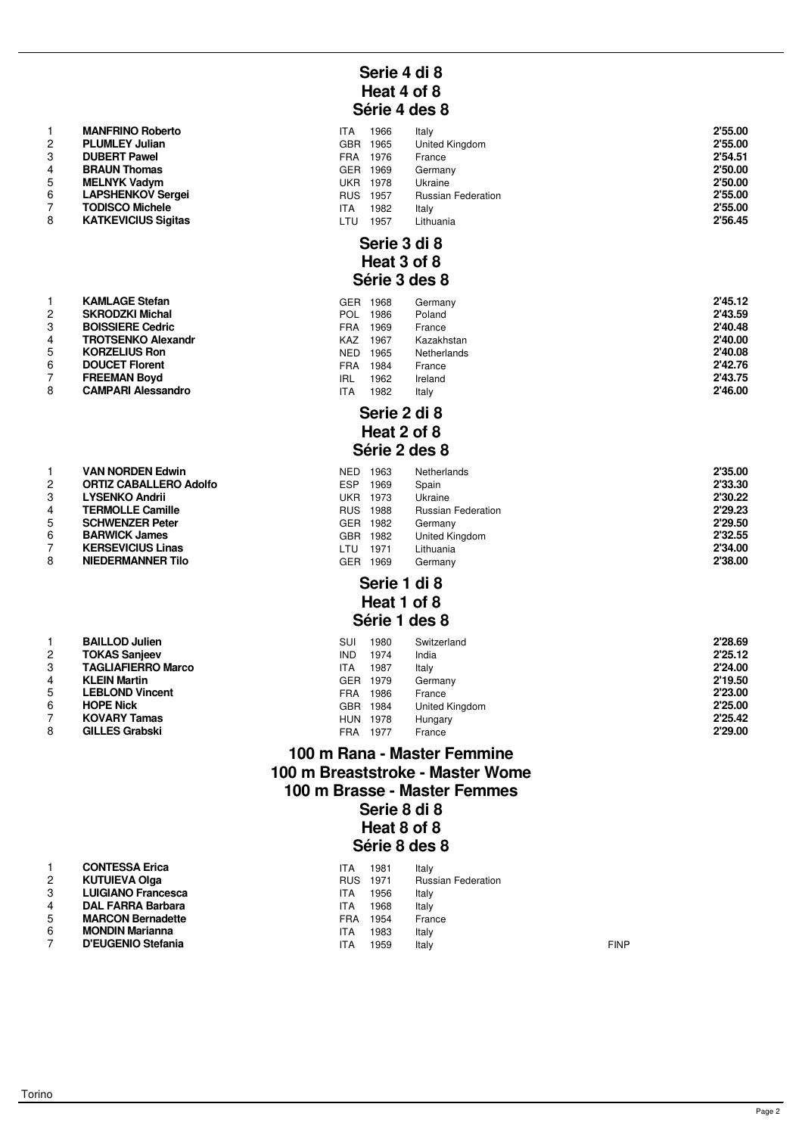|                | <b>MANFRINO RODETTO</b>    |
|----------------|----------------------------|
| 2              | <b>PLUMLEY Julian</b>      |
| 3              | <b>DUBERT Pawel</b>        |
| 4              | <b>BRAUN Thomas</b>        |
| 5              | <b>MELNYK Vadym</b>        |
| 6              | <b>LAPSHENKOV Sergei</b>   |
| $\overline{7}$ | <b>TODISCO Michele</b>     |
| 8              | <b>KATKEVICIUS Sigitas</b> |

| 1              | <b>KAMLAGE Stefan</b>    |
|----------------|--------------------------|
| 2              | <b>SKRODZKI Michal</b>   |
| 3              | <b>BOISSIERE Cedric</b>  |
| 4              | <b>TROTSENKO Alexand</b> |
| 5              | <b>KORZELIUS Ron</b>     |
| 6              | <b>DOUCET Florent</b>    |
| $\overline{7}$ | <b>FREEMAN Bovd</b>      |

| 8 | <b>CAMPARI Alessandro</b> |
|---|---------------------------|

|                | VAN NURDEN EGWIN              |
|----------------|-------------------------------|
| 2              | <b>ORTIZ CABALLERO Adolfo</b> |
| 3              | <b>LYSENKO Andrii</b>         |
| $\overline{4}$ | <b>TERMOLLE Camille</b>       |
| 5              | <b>SCHWENZER Peter</b>        |
| 6              | <b>BARWICK James</b>          |
| 7              | <b>KERSEVICIUS Linas</b>      |
| 8              | <b>NIEDERMANNER Tilo</b>      |
|                |                               |

| 1              | <b>BAILLOD Julien</b>     |
|----------------|---------------------------|
| $\overline{2}$ | <b>TOKAS Sanjeev</b>      |
| 3              | <b>TAGLIAFIERRO Marco</b> |
| 4              | <b>KLEIN Martin</b>       |
| 5              | <b>LEBLOND Vincent</b>    |
| 6              | <b>HOPE Nick</b>          |
| 7              | <b>KOVARY Tamas</b>       |
| я              | <b>GILLES Grabski</b>     |

# **Serie 4 di 8 Heat 4 of 8 Série 4 des 8**

|   | <b>MANFRINO Roberto</b>    | ITA        | 1966 | Italy                     | 2'55.00 |
|---|----------------------------|------------|------|---------------------------|---------|
|   | <b>PLUMLEY Julian</b>      | <b>GBR</b> | 1965 | United Kingdom            | 2'55.00 |
| 3 | <b>DUBERT Pawel</b>        | <b>FRA</b> | 1976 | France                    | 2'54.51 |
|   | <b>BRAUN Thomas</b>        | <b>GER</b> | 1969 | Germany                   | 2'50.00 |
| 5 | <b>MELNYK Vadym</b>        | <b>UKR</b> | 1978 | Ukraine                   | 2'50.00 |
| 6 | <b>LAPSHENKOV Sergei</b>   | <b>RUS</b> | 1957 | <b>Russian Federation</b> | 2'55.00 |
|   | <b>TODISCO Michele</b>     | <b>ITA</b> | 1982 | Italy                     | 2'55.00 |
| 8 | <b>KATKEVICIUS Sigitas</b> | LTU        | 1957 | Lithuania                 | 2'56.45 |

#### **Serie 3 di 8 Heat 3 of 8 Série 3 des 8**

|   | <b>KAMLAGE Stefan</b>     | GER.       | 1968 | Germany     | 2'45.12 |
|---|---------------------------|------------|------|-------------|---------|
| 2 | <b>SKRODZKI Michal</b>    | POL        | 1986 | Poland      | 2'43.59 |
| 3 | <b>BOISSIERE Cedric</b>   | FRA        | 1969 | France      | 2'40.48 |
|   | <b>TROTSENKO Alexandr</b> | KAZ        | 1967 | Kazakhstan  | 2'40.00 |
| 5 | <b>KORZELIUS Ron</b>      | <b>NED</b> | 1965 | Netherlands | 2'40.08 |
| 6 | <b>DOUCET Florent</b>     | FRA        | 1984 | France      | 2'42.76 |
|   | <b>FREEMAN Boyd</b>       | IRL        | 1962 | Ireland     | 2'43.75 |
| 8 | <b>CAMPARI Alessandro</b> | ITA        | 1982 | Italy       | 2'46.00 |
|   |                           |            |      |             |         |

#### **Serie 2 di 8 Heat 2 of 8 Série 2 des 8**

|   | <b>VAN NORDEN Edwin</b>       | NED        | 1963 | Netherlands               | 2'35.00 |
|---|-------------------------------|------------|------|---------------------------|---------|
|   | <b>ORTIZ CABALLERO Adolfo</b> | <b>ESP</b> | 1969 | Spain                     | 2'33.30 |
|   | <b>LYSENKO Andrii</b>         | UKR        | 1973 | Ukraine                   | 2'30.22 |
|   | <b>TERMOLLE Camille</b>       | <b>RUS</b> | 1988 | <b>Russian Federation</b> | 2'29.23 |
|   | <b>SCHWENZER Peter</b>        | GER.       | 1982 | Germany                   | 2'29.50 |
| 6 | <b>BARWICK James</b>          | <b>GBR</b> | 1982 | United Kingdom            | 2'32.55 |
|   | <b>KERSEVICIUS Linas</b>      | LTU        | 1971 | Lithuania                 | 2'34.00 |
| 8 | <b>NIEDERMANNER Tilo</b>      | GER.       | 1969 | Germany                   | 2'38.00 |

# **Serie 1 di 8 Heat 1 of 8**

# **Série 1 des 8**

|   | <b>BAILLOD Julien</b>     | SUI        | 1980 | Switzerland    | 2'28.69 |
|---|---------------------------|------------|------|----------------|---------|
|   | <b>TOKAS Sanjeev</b>      | <b>IND</b> | 1974 | India          | 2'25.12 |
|   | <b>TAGLIAFIERRO Marco</b> | <b>ITA</b> | 1987 | Italy          | 2'24.00 |
|   | <b>KLEIN Martin</b>       | GER        | 1979 | Germany        | 2'19.50 |
| 5 | <b>LEBLOND Vincent</b>    | FRA        | 1986 | France         | 2'23.00 |
| 6 | <b>HOPE Nick</b>          | GBR.       | 1984 | United Kingdom | 2'25.00 |
|   | <b>KOVARY Tamas</b>       | <b>HUN</b> | 1978 | Hungary        | 2'25.42 |
| 8 | <b>GILLES Grabski</b>     | FRA        | 1977 | France         | 2'29.00 |
|   |                           |            |      |                |         |

## **100 m Rana - Master Femmine 100 m Breaststroke - Master Wome 100 m Brasse - Master Femmes Serie 8 di 8 Heat 8 of 8 Série 8 des 8**

|   | <b>CONTESSA Erica</b>     | ITA        | 1981 | Italy                     |             |
|---|---------------------------|------------|------|---------------------------|-------------|
| 2 | <b>KUTUIEVA Olga</b>      | <b>RUS</b> | 1971 | <b>Russian Federation</b> |             |
| 3 | <b>LUIGIANO Francesca</b> | ITA        | 1956 | Italy                     |             |
| 4 | <b>DAL FARRA Barbara</b>  | ITA        | 1968 | Italy                     |             |
| 5 | <b>MARCON Bernadette</b>  | FRA        | 1954 | France                    |             |
| 6 | <b>MONDIN Marianna</b>    | ITA        | 1983 | Italy                     |             |
|   | D'EUGENIO Stefania        | ITA        | 1959 | Italy                     | <b>FINP</b> |
|   |                           |            |      |                           |             |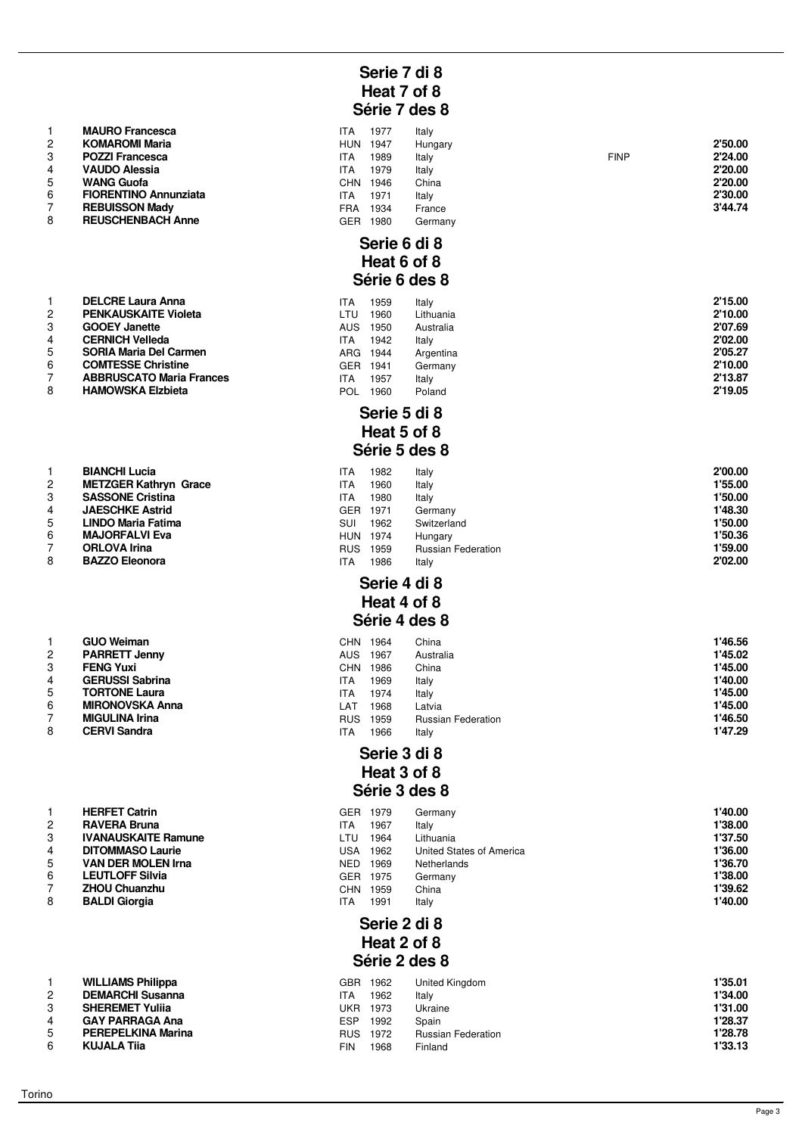|                | <b>MAURO Francesca</b>       | <b>ITA</b> | 1977 | Italy   |
|----------------|------------------------------|------------|------|---------|
| $\overline{2}$ | <b>KOMAROMI Maria</b>        | <b>HUN</b> | 1947 | Hungary |
| 3              | <b>POZZI Francesca</b>       | <b>ITA</b> | 1989 | Italy   |
| 4              | <b>VAUDO Alessia</b>         | <b>ITA</b> | 1979 | Italy   |
| 5              | <b>WANG Guofa</b>            | <b>CHN</b> | 1946 | China   |
| 6              | <b>FIORENTINO Annunziata</b> | <b>ITA</b> | 1971 | Italy   |
| $\overline{7}$ | <b>REBUISSON Mady</b>        | FRA        | 1934 | France  |
| 8              | <b>REUSCHENBACH Anne</b>     | GER        | 1980 | Germany |

|   | <b>DELCRE Laura Anna</b>       |
|---|--------------------------------|
| 2 | <b>PENKAUSKAITE Violeta</b>    |
| 3 | <b>GOOEY Janette</b>           |
| 4 | <b>CERNICH Velleda</b>         |
| 5 | SORIA Maria Del Carmen         |
| 6 | <b>COMTESSE Christine</b>      |
| 7 | <b>ABBRUSCATO Maria France</b> |
| Ω | <b>HAMOMCKA Elebiota</b>       |

|               | DIANUNI LUCIA                |
|---------------|------------------------------|
| $\mathcal{P}$ | <b>METZGER Kathryn Grace</b> |
| 3             | <b>SASSONE Cristina</b>      |
| 4             | <b>JAESCHKE Astrid</b>       |
| 5             | <b>LINDO Maria Fatima</b>    |
| 6             | <b>MAJORFALVI Eva</b>        |
| 7             | <b>ORLOVA Irina</b>          |
| 8             | <b>BAZZO Eleonora</b>        |

|                | <b>GUU Welfidh</b>     |
|----------------|------------------------|
| $\overline{2}$ | <b>PARRETT Jenny</b>   |
| 3              | <b>FENG Yuxi</b>       |
| 4              | <b>GERUSSI Sabrina</b> |
| 5              | <b>TORTONE Laura</b>   |
| 6              | <b>MIRONOVSKA Anna</b> |
| 7              | <b>MIGULINA Irina</b>  |
| 8              | <b>CERVI Sandra</b>    |

|                | <b>HERFET Catrin</b>       |
|----------------|----------------------------|
| $\overline{c}$ | <b>RAVERA Bruna</b>        |
| 3              | <b>IVANAUSKAITE Ramune</b> |
| 4              | <b>DITOMMASO Laurie</b>    |
| 5              | <b>VAN DER MOLEN Irna</b>  |
| 6              | <b>LEUTLOFF Silvia</b>     |
| $\overline{7}$ | <b>ZHOU Chuanzhu</b>       |
| 8              | <b>BALDI Giorgia</b>       |
|                |                            |

|   | WILLIAMS Philippa        |
|---|--------------------------|
| 2 | <b>DEMARCHI Susanna</b>  |
| 3 | <b>SHEREMET Yulija</b>   |
| 4 | <b>GAY PARRAGA Ana</b>   |
| 5 | <b>PEREPELKINA Marin</b> |
| ี | KILIAI A Tiis            |

# **Serie 7 di 8 Heat 7 of 8 Série 7 des 8**

|   | <b>MAURO Francesca</b>       | <b>ITA</b> | 1977   | Italy         |             |         |
|---|------------------------------|------------|--------|---------------|-------------|---------|
| 2 | <b>KOMAROMI Maria</b>        | <b>HUN</b> | 1947   | Hungary       |             | 2'50.00 |
| 3 | <b>POZZI Francesca</b>       | <b>ITA</b> | 1989   | Italy         | <b>FINP</b> | 2'24.00 |
|   | <b>VAUDO Alessia</b>         | <b>ITA</b> | 1979   | Italy         |             | 2'20.00 |
| 5 | <b>WANG Guofa</b>            | <b>CHN</b> | 1946   | China         |             | 2'20.00 |
| 6 | <b>FIORENTINO Annunziata</b> | <b>ITA</b> | 1971   | Italy         |             | 2'30.00 |
|   | <b>REBUISSON Mady</b>        | <b>FRA</b> | 1934   | France        |             | 3'44.74 |
| 8 | <b>REUSCHENBACH Anne</b>     | <b>GER</b> | 1980   | Germany       |             |         |
|   |                              |            | $\sim$ | $\sim$ $\sim$ |             |         |

### **Serie 6 di 8 Heat 6 of 8 Série 6 des 8**

|                | <b>DELCRE Laura Anna</b>        | ITA        | 1959 | Italy     | 2'15.00 |
|----------------|---------------------------------|------------|------|-----------|---------|
| $\overline{c}$ | <b>PENKAUSKAITE Violeta</b>     | LTU        | 1960 | Lithuania | 2'10.00 |
| 3              | <b>GOOEY Janette</b>            | <b>AUS</b> | 1950 | Australia | 2'07.69 |
| 4              | <b>CERNICH Velleda</b>          | ITA        | 1942 | Italy     | 2'02.00 |
| 5              | <b>SORIA Maria Del Carmen</b>   | ARG 1944   |      | Argentina | 2'05.27 |
| 6              | <b>COMTESSE Christine</b>       | GER.       | 1941 | Germany   | 2'10.00 |
|                | <b>ABBRUSCATO Maria Frances</b> | <b>ITA</b> | 1957 | Italy     | 2'13.87 |
| 8              | <b>HAMOWSKA Elzbieta</b>        | POL        | 1960 | Poland    | 2'19.05 |

## **Serie 5 di 8 Heat 5 of 8 Série 5 des 8**

|   | <b>BIANCHI Lucia</b>         | ITA        | 1982 | Italv                     | 2'00.00 |
|---|------------------------------|------------|------|---------------------------|---------|
|   | <b>METZGER Kathryn Grace</b> | ITA        | 1960 | Italy                     | 1'55.00 |
|   | <b>SASSONE Cristina</b>      | ITA        | 1980 | Italy                     | 1'50.00 |
|   | <b>JAESCHKE Astrid</b>       | GER.       | 1971 | Germany                   | 1'48.30 |
| 5 | LINDO Maria Fatima           | SUI        | 1962 | Switzerland               | 1'50.00 |
| 6 | <b>MAJORFALVI Eva</b>        | <b>HUN</b> | 1974 | Hungary                   | 1'50.36 |
|   | <b>ORLOVA</b> Irina          | <b>RUS</b> | 1959 | <b>Russian Federation</b> | 1'59.00 |
| 8 | <b>BAZZO Eleonora</b>        | ITA        | 1986 | Italv                     | 2'02.00 |

# **Serie 4 di 8 Heat 4 of 8**

# **Série 4 des 8**

|   | <b>GUO Weiman</b>      | <b>CHN</b> | 1964 | China                     | 1'46.56 |
|---|------------------------|------------|------|---------------------------|---------|
| 2 | <b>PARRETT Jenny</b>   | <b>AUS</b> | 1967 | Australia                 | 1'45.02 |
|   | <b>FENG Yuxi</b>       | CHN        | 1986 | China                     | 1'45.00 |
|   | <b>GERUSSI Sabrina</b> | ITA.       | 1969 | Italy                     | 1'40.00 |
| 5 | <b>TORTONE Laura</b>   | ITA.       | 1974 | Italy                     | 1'45.00 |
| 6 | <b>MIRONOVSKA Anna</b> | LAT        | 1968 | Latvia                    | 1'45.00 |
|   | <b>MIGULINA Irina</b>  | <b>RUS</b> | 1959 | <b>Russian Federation</b> | 1'46.50 |
| 8 | <b>CERVI Sandra</b>    | ITA        | 1966 | Italy                     | 1'47.29 |

#### **Serie 3 di 8 Heat 3 of 8 Série 3 des 8**

|   | <b>HERFET Catrin</b>       | GER.       | 1979 | Germany                  | 1'40.00 |
|---|----------------------------|------------|------|--------------------------|---------|
| 2 | <b>RAVERA Bruna</b>        | ITA        | 1967 | Italy                    | 1'38.00 |
| 3 | <b>IVANAUSKAITE Ramune</b> | LTU        | 1964 | Lithuania                | 1'37.50 |
| 4 | <b>DITOMMASO Laurie</b>    | USA        | 1962 | United States of America | 1'36.00 |
| 5 | <b>VAN DER MOLEN Irna</b>  | <b>NED</b> | 1969 | <b>Netherlands</b>       | 1'36.70 |
| 6 | <b>LEUTLOFF Silvia</b>     | GER.       | 1975 | Germany                  | 1'38.00 |
|   | <b>ZHOU Chuanzhu</b>       | CHN        | 1959 | China                    | 1'39.62 |
| 8 | <b>BALDI Giorgia</b>       | ITA        | 1991 | Italy                    | 1'40.00 |

# **Serie 2 di 8 Heat 2 of 8 Série 2 des 8**

|   | <b>WILLIAMS Philippa</b>  | GBR        | 1962 | United Kingdom            | 1'35.01 |
|---|---------------------------|------------|------|---------------------------|---------|
|   | <b>DEMARCHI Susanna</b>   | ITA        | 1962 | Italy                     | 1'34.00 |
|   | <b>SHEREMET Yulija</b>    | UKR.       | 1973 | Ukraine                   | 1'31.00 |
|   | <b>GAY PARRAGA Ana</b>    | <b>ESP</b> | 1992 | Spain                     | 1'28.37 |
|   | <b>PEREPELKINA Marina</b> | <b>RUS</b> | 1972 | <b>Russian Federation</b> | 1'28.78 |
| 6 | KUJALA Tija               | <b>FIN</b> | 1968 | Finland                   | 1'33.13 |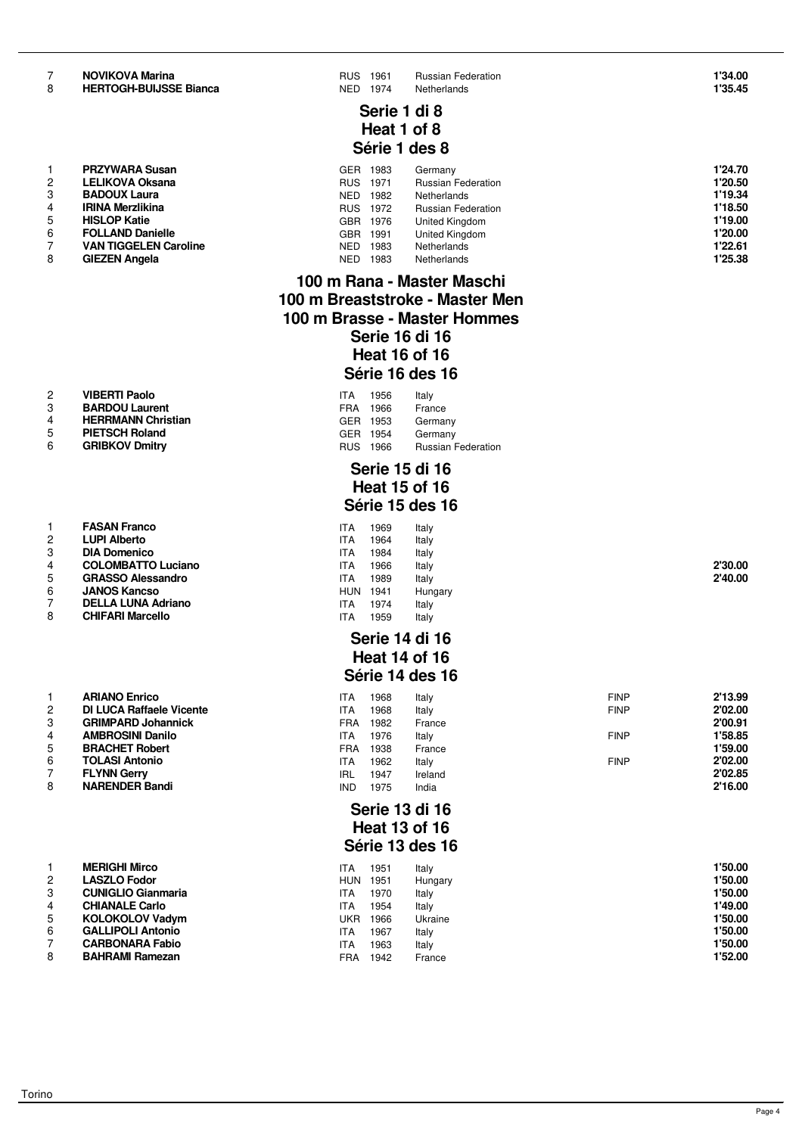| υ | TILN I VOI PDUIJJJL DIAIT |
|---|---------------------------|
|   |                           |
|   |                           |
|   |                           |
|   |                           |

|                | FNA I WANA JUSAII            |
|----------------|------------------------------|
| $\mathcal{P}$  | <b>LELIKOVA Oksana</b>       |
| 3              | <b>BADOUX Laura</b>          |
| 4              | <b>IRINA Merzlikina</b>      |
| 5              | <b>HISLOP Katie</b>          |
| 6              | <b>FOLLAND Danielle</b>      |
| $\overline{7}$ | <b>VAN TIGGELEN Caroline</b> |
| 8              | <b>GIEZEN Angela</b>         |
|                |                              |

| $\overline{2}$ | <b>VIBERTI Paolo</b>      | <b>ITA</b> | 1956     | Italy          |
|----------------|---------------------------|------------|----------|----------------|
| 3              | <b>BARDOU Laurent</b>     |            | FRA 1966 | France         |
| $\overline{4}$ | <b>HERRMANN Christian</b> |            | GER 1953 | Germany        |
| 5              | <b>PIETSCH Roland</b>     |            | GER 1954 | Germany        |
| $\epsilon$     | CDIRKOV Dmitry            |            | DUC 1000 | <b>Duccion</b> |

|   | <b>FASAN Franco</b>       | ITA        | 1969 | Italy   |         |
|---|---------------------------|------------|------|---------|---------|
| 2 | <b>LUPI Alberto</b>       | ITA        | 1964 | Italy   |         |
| 3 | <b>DIA Domenico</b>       | ITA        | 1984 | Italy   |         |
| 4 | <b>COLOMBATTO Luciano</b> | ITA        | 1966 | Italy   | 2'30.00 |
| 5 | <b>GRASSO Alessandro</b>  | ITA        | 1989 | Italy   | 2'40.00 |
| 6 | <b>JANOS Kancso</b>       | <b>HUN</b> | 1941 | Hungary |         |
| ⇁ | <b>DELLA LUNA Adriano</b> | ITA        | 1974 | Italy   |         |
| 8 | <b>CHIFARI Marcello</b>   | ITA        | 1959 | Italy   |         |

|                | ANIANU EHIICU                   |
|----------------|---------------------------------|
| 2              | <b>DI LUCA Raffaele Vicente</b> |
| 3              | <b>GRIMPARD Johannick</b>       |
| $\overline{4}$ | <b>AMBROSINI Danilo</b>         |
| 5              | <b>BRACHET Robert</b>           |
| 6              | <b>TOLASI Antonio</b>           |
| $\overline{7}$ | <b>FLYNN Gerry</b>              |
| 8              | <b>NARENDER Bandi</b>           |
|                |                                 |

|   | MERIGHI MIICO             |
|---|---------------------------|
| 2 | <b>LASZLO Fodor</b>       |
| 3 | <b>CUNIGLIO Gianmaria</b> |
| 4 | <b>CHIANALE Carlo</b>     |
| 5 | <b>KOLOKOLOV Vadym</b>    |
| 6 | <b>GALLIPOLI Antonio</b>  |
| 7 | <b>CARBONARA Fabio</b>    |
| 8 | <b>BAHRAMI Ramezan</b>    |
|   |                           |

 **NOVIKOVA Marina** RUS 1961 Russian Federation **1'34.00 COVA Matrica<br>OGH-BUIJSSE Bianca** NED 1974 Netherlands

### **Serie 1 di 8 Heat 1 of 8 Série 1 des 8**

|   | <b>PRZYWARA Susan</b>        | <b>GER</b> | 1983 | Germany                   | 1'24.70 |
|---|------------------------------|------------|------|---------------------------|---------|
| 2 | <b>LELIKOVA Oksana</b>       | <b>RUS</b> | 1971 | <b>Russian Federation</b> | 1'20.50 |
|   | <b>BADOUX Laura</b>          | NED.       | 1982 | Netherlands               | 1'19.34 |
|   | <b>IRINA Merzlikina</b>      | <b>RUS</b> | 1972 | <b>Russian Federation</b> | 1'18.50 |
| 5 | <b>HISLOP Katie</b>          | <b>GBR</b> | 1976 | United Kingdom            | 1'19.00 |
| 6 | <b>FOLLAND Danielle</b>      | GBR        | 1991 | United Kingdom            | 1'20.00 |
|   | <b>VAN TIGGELEN Caroline</b> | <b>NED</b> | 1983 | Netherlands               | 1'22.61 |
|   | <b>GIEZEN Angela</b>         | <b>NED</b> | 1983 | Netherlands               | 1'25.38 |

## **100 m Rana - Master Maschi 100 m Breaststroke - Master Men 100 m Brasse - Master Hommes Serie 16 di 16 Heat 16 of 16 Série 16 des 16**

| <b>ITA</b> | 1956 | Italy                                    |
|------------|------|------------------------------------------|
|            |      | France                                   |
|            |      | Germany                                  |
|            |      | Germany                                  |
| <b>RUS</b> |      | <b>Russian Federation</b>                |
|            |      | FRA 1966<br>GER 1953<br>GER 1954<br>1966 |

# **Serie 15 di 16 Heat 15 of 16 Série 15 des 16**

| ITA | 1969 | Italy |
|-----|------|-------|
| ITA | 1964 | Italy |
| ITA | 1984 | Italy |
| ITA | 1966 | Italy |
| ITA | 1989 | Italy |
| HUN | 1941 | Hunga |
| ITA | 1974 | Italy |
| ITA | 1959 | Italy |
|     |      |       |

#### **Serie 14 di 16 Heat 14 of 16 Série 14 des 16**

|   | <b>ARIANO Enrico</b>            | ITA        | 1968 | Italy   | <b>FINP</b> | 2'13.99 |
|---|---------------------------------|------------|------|---------|-------------|---------|
|   | <b>DI LUCA Raffaele Vicente</b> | ITA        | 1968 | Italy   | <b>FINP</b> | 2'02.00 |
| 3 | <b>GRIMPARD Johannick</b>       | FRA        | 1982 | France  |             | 2'00.91 |
|   | <b>AMBROSINI Danilo</b>         | ITA        | 1976 | Italv   | <b>FINP</b> | 1'58.85 |
| 5 | <b>BRACHET Robert</b>           | FRA        | 1938 | France  |             | 1'59.00 |
| 6 | <b>TOLASI Antonio</b>           | ITA        | 1962 | Italy   | <b>FINP</b> | 2'02.00 |
|   | <b>FLYNN Gerry</b>              | IRL        | 1947 | Ireland |             | 2'02.85 |
| 8 | <b>NARENDER Bandi</b>           | <b>IND</b> | 1975 | India   |             | 2'16.00 |

#### **Serie 13 di 16 Heat 13 of 16 Série 13 des 16**

|   | <b>MERIGHI Mirco</b>      | ITA        | 1951 | Italy   | 1'50.00 |
|---|---------------------------|------------|------|---------|---------|
| 2 | <b>LASZLO Fodor</b>       | <b>HUN</b> | 1951 | Hungary | 1'50.00 |
| 3 | <b>CUNIGLIO Gianmaria</b> | ITA        | 1970 | Italy   | 1'50.00 |
|   | <b>CHIANALE Carlo</b>     | ITA        | 1954 | Italy   | 1'49.00 |
| 5 | <b>KOLOKOLOV Vadym</b>    | UKR        | 1966 | Ukraine | 1'50.00 |
| 6 | <b>GALLIPOLI Antonio</b>  | ITA        | 1967 | Italy   | 1'50.00 |
|   | <b>CARBONARA Fabio</b>    | ITA        | 1963 | Italy   | 1'50.00 |
| 8 | <b>BAHRAMI Ramezan</b>    | FRA        | 1942 | France  | 1'52.00 |
|   |                           |            |      |         |         |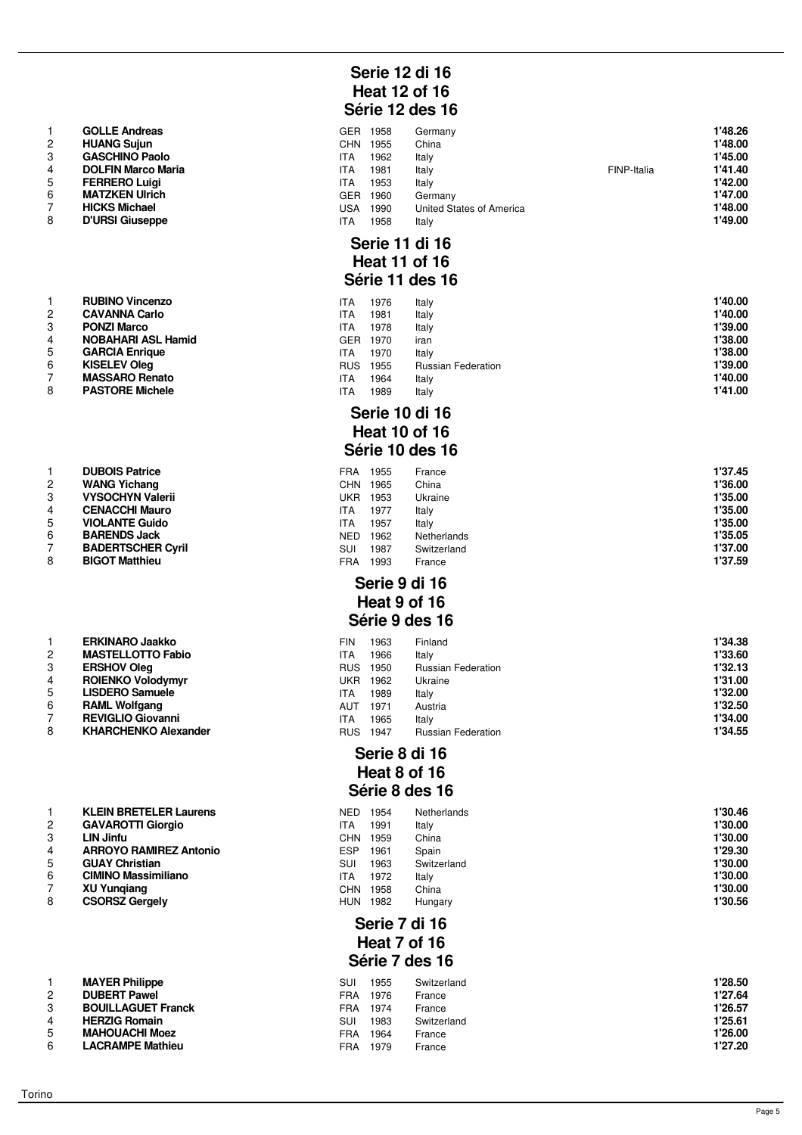| 1              | <b>GOLLE Andreas</b>      |
|----------------|---------------------------|
| $\overline{2}$ | <b>HUANG Sujun</b>        |
| 3              | <b>GASCHINO Paolo</b>     |
| $\overline{4}$ | <b>DOLFIN Marco Maria</b> |
| 5              | <b>FERRERO Luigi</b>      |
| 6              | <b>MATZKEN Ulrich</b>     |
| $\overline{7}$ | <b>HICKS Michael</b>      |
| 8              | <b>D'URSI Giuseppe</b>    |

|                | <b>DUBOIS Patrice</b>   |
|----------------|-------------------------|
| $\overline{c}$ | <b>WANG Yichang</b>     |
| 3              | <b>VYSOCHYN Valerii</b> |
| 4              | <b>CENACCHI Mauro</b>   |
| 5              | <b>VIOLANTE Guido</b>   |
| 6              | <b>BARENDS Jack</b>     |
| $\overline{7}$ | <b>BADERTSCHER Cyri</b> |
| 8              | <b>BIGOT Matthieu</b>   |
|                |                         |

|                | ERKINARO JAAKKO             |
|----------------|-----------------------------|
| $\overline{2}$ | <b>MASTELLOTTO Fabio</b>    |
| 3              | <b>ERSHOV Oleg</b>          |
| $\overline{4}$ | <b>ROIENKO Volodymyr</b>    |
| 5              | <b>LISDERO Samuele</b>      |
| 6              | <b>RAML Wolfgang</b>        |
| 7              | <b>REVIGLIO Giovanni</b>    |
| 8              | <b>KHARCHENKO Alexander</b> |

|                | <b>KLEIN BRETELER Laurens</b> |
|----------------|-------------------------------|
| $\mathcal{P}$  | <b>GAVAROTTI Giorgio</b>      |
| 3              | <b>LIN Jinfu</b>              |
| $\overline{4}$ | <b>ARROYO RAMIREZ Antonio</b> |
| 5              | <b>GUAY Christian</b>         |
| 6              | <b>CIMINO Massimiliano</b>    |
| $\overline{7}$ | <b>XU Yungiang</b>            |
| 8              | <b>CSORSZ Gergely</b>         |
|                |                               |

| 1 | <b>MAYER Philippe</b>    |
|---|--------------------------|
| 2 | <b>DUBERT Pawel</b>      |
| 3 | <b>BOUILLAGUET Franc</b> |
| 4 | <b>HERZIG Romain</b>     |
| 5 | <b>MAHOUACHI Moez</b>    |
| հ | <b>LACRAMPE Mathieu</b>  |

# **Serie 12 di 16 Heat 12 of 16 Série 12 des 16**

|   | <b>GOLLE Andreas</b>      | GER | 1958 | Germany                  |             | 1'48.26 |
|---|---------------------------|-----|------|--------------------------|-------------|---------|
|   | <b>HUANG Suiun</b>        | CHN | 1955 | China                    |             | 1'48.00 |
|   | <b>GASCHINO Paolo</b>     | ITA | 1962 | Italy                    |             | 1'45.00 |
|   | <b>DOLFIN Marco Maria</b> | ITA | 1981 | Italy                    | FINP-Italia | 1'41.40 |
| 5 | <b>FERRERO Luigi</b>      | ITA | 1953 | Italy                    |             | 1'42.00 |
| 6 | <b>MATZKEN Ulrich</b>     | GER | 1960 | Germany                  |             | 1'47.00 |
|   | <b>HICKS Michael</b>      | USA | 1990 | United States of America |             | 1'48.00 |
| 8 | <b>D'URSI Giuseppe</b>    | ITA | 1958 | Italy                    |             | 1'49.00 |

#### **Serie 11 di 16 Heat 11 of 16 Série 11 des 16**

|   | <b>RUBINO Vincenzo</b>    | ITA        | 1976 | Italy                     | 1'40.00 |
|---|---------------------------|------------|------|---------------------------|---------|
| 2 | <b>CAVANNA Carlo</b>      | ITA        | 1981 | Italy                     | 1'40.00 |
| 3 | <b>PONZI Marco</b>        | ITA        | 1978 | Italy                     | 1'39.00 |
|   | <b>NOBAHARI ASL Hamid</b> | <b>GER</b> | 1970 | iran                      | 1'38.00 |
| 5 | <b>GARCIA Enrique</b>     | ITA        | 1970 | Italy                     | 1'38.00 |
| 6 | <b>KISELEV Oleg</b>       | <b>RUS</b> | 1955 | <b>Russian Federation</b> | 1'39.00 |
|   | <b>MASSARO Renato</b>     | <b>ITA</b> | 1964 | Italy                     | 1'40.00 |
| 8 | <b>PASTORE Michele</b>    | ITA        | 1989 | Italy                     | 1'41.00 |

#### **Serie 10 di 16 Heat 10 of 16 Série 10 des 16**

|   | <b>DUBOIS Patrice</b>    | FRA        | 1955 | France      | 1'37.45 |
|---|--------------------------|------------|------|-------------|---------|
| 2 | <b>WANG Yichang</b>      | CHN        | 1965 | China       | 1'36.00 |
| 3 | <b>VYSOCHYN Valerii</b>  | UKR        | 1953 | Ukraine     | 1'35.00 |
|   | <b>CENACCHI Mauro</b>    | ITA        | 1977 | Italy       | 1'35.00 |
| 5 | <b>VIOLANTE Guido</b>    | ITA        | 1957 | Italy       | 1'35.00 |
| 6 | <b>BARENDS Jack</b>      | <b>NED</b> | 1962 | Netherlands | 1'35.05 |
|   | <b>BADERTSCHER Cyril</b> | <b>SUI</b> | 1987 | Switzerland | 1'37.00 |
| 8 | <b>BIGOT Matthieu</b>    | <b>FRA</b> | 1993 | France      | 1'37.59 |

#### **Serie 9 di 16 Heat 9 of 16 Série 9 des 16**

|   | <b>ERKINARO Jaakko</b>      | FIN        | 1963 | Finland                   | 1'34.38 |
|---|-----------------------------|------------|------|---------------------------|---------|
| 2 | <b>MASTELLOTTO Fabio</b>    | ITA        | 1966 | Italy                     | 1'33.60 |
| 3 | <b>ERSHOV Oleg</b>          | <b>RUS</b> | 1950 | <b>Russian Federation</b> | 1'32.13 |
|   | <b>ROIENKO Volodymyr</b>    | UKR        | 1962 | Ukraine                   | 1'31.00 |
| 5 | <b>LISDERO Samuele</b>      | ITA        | 1989 | Italy                     | 1'32.00 |
| 6 | <b>RAML Wolfgang</b>        | AUT        | 1971 | Austria                   | 1'32.50 |
|   | <b>REVIGLIO Giovanni</b>    | ITA        | 1965 | Italy                     | 1'34.00 |
| 8 | <b>KHARCHENKO Alexander</b> | <b>RUS</b> | 1947 | <b>Russian Federation</b> | 1'34.55 |
|   |                             |            |      |                           |         |

# **Serie 8 di 16 Heat 8 of 16 Série 8 des 16**

|   | <b>KLEIN BRETELER Laurens</b> | NED        | 1954 | Netherlands | 1'30.46 |
|---|-------------------------------|------------|------|-------------|---------|
|   | <b>GAVAROTTI Giorgio</b>      | ITA        | 1991 | Italy       | 1'30.00 |
|   | <b>LIN Jinfu</b>              | CHN.       | 1959 | China       | 1'30.00 |
|   | <b>ARROYO RAMIREZ Antonio</b> | <b>ESP</b> | 1961 | Spain       | 1'29.30 |
| 5 | <b>GUAY Christian</b>         | SUI        | 1963 | Switzerland | 1'30.00 |
| 6 | <b>CIMINO Massimiliano</b>    | ITA        | 1972 | Italv       | 1'30.00 |
|   | <b>XU Yungiang</b>            | CHN        | 1958 | China       | 1'30.00 |
| 8 | <b>CSORSZ Gergely</b>         | <b>HUN</b> | 1982 | Hungary     | 1'30.56 |
|   |                               |            |      |             |         |

# **Serie 7 di 16 Heat 7 of 16 Série 7 des 16**

|   | <b>MAYER Philippe</b>     | SUI | 1955 | Switzerland | 1'28.50 |
|---|---------------------------|-----|------|-------------|---------|
| 2 | <b>DUBERT Pawel</b>       | FRA | 1976 | France      | 1'27.64 |
| 3 | <b>BOUILLAGUET Franck</b> | FRA | 1974 | France      | 1'26.57 |
|   | <b>HERZIG Romain</b>      | SUI | 1983 | Switzerland | 1'25.61 |
|   | <b>MAHOUACHI Moez</b>     | FRA | 1964 | France      | 1'26.00 |
| c | LACRAMPE Mathieu          | FRA | 1979 | France      | 1'27.20 |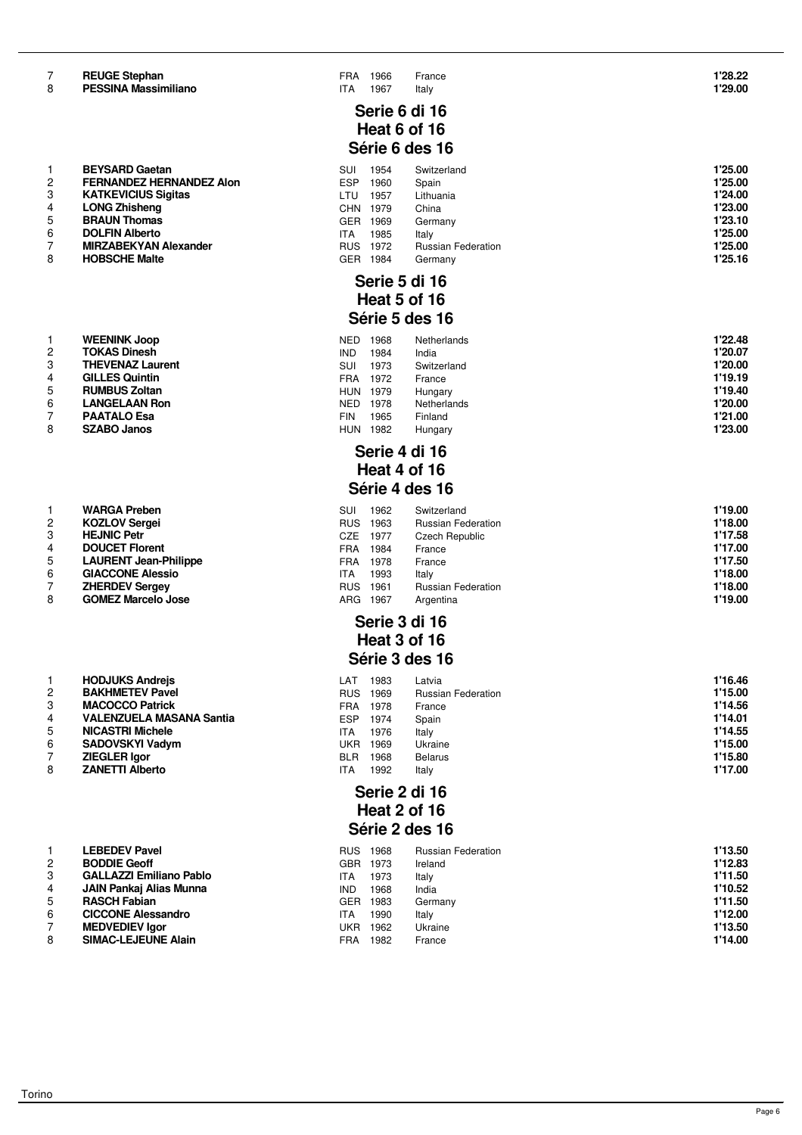#### **PESSINA Massimiliano 17A 1967** Italy

- 1 **BEYSARD Gaetan**<br>2 **FERNANDEZ HERI** 2 **FERNANDEZ HERNANDEZ Alon**<br>3 **KATKEVICIUS Sigitas** 3 **KATKEVICIUS Sigitas<br>4 LONG Zhisheng<br>5 <b>BRAUN Thomas LONG Zhisheng** 5 **BRAUN Thomas**<br>6 **DOLFIN Alberto**<br>7 **MIRZABEKYAN**  $DOLFIN$  Alberto
- 7 **MIRZABEKYAN Alexander**<br>8 **HOBSCHE Malte HOBSCHE Malte**
- **6 RUMBUS Zoltan 1978 NETHERLAND ROOM NETHERLAND ROOM NETHERLAND ROOM NETHERLAND ROOM NETHERLAND RESPONSIVE STATE IN A PERFOMBLE STATE OF PERFOMBLEM STATE STATE STATE STATE STATE STATE STATE STATE STATE STATE STATE STATE S**

| 1              | WARGA Preben                 |
|----------------|------------------------------|
| 2              | <b>KOZLOV Sergei</b>         |
| 3              | <b>HEJNIC Petr</b>           |
| 4              | <b>DOUCET Florent</b>        |
| 5              | <b>LAURENT Jean-Philippe</b> |
| 6              | <b>GIACCONE Alessio</b>      |
| $\overline{7}$ | <b>ZHERDEV Sergey</b>        |
| 8              | <b>GOMEZ Marcelo Jose</b>    |

|                | <b>HODJUKS Andreis</b>          |
|----------------|---------------------------------|
| $\overline{2}$ | <b>BAKHMETEV Pavel</b>          |
| 3              | <b>MACOCCO Patrick</b>          |
| 4              | <b>VALENZUELA MASANA Santia</b> |
| 5              | <b>NICASTRI Michele</b>         |
| 6              | <b>SADOVSKYI Vadym</b>          |
| 7              | <b>ZIEGLER Igor</b>             |
| -              |                                 |

|   | LEDEUEV PAVEI                  |
|---|--------------------------------|
| 2 | <b>BODDIE Geoff</b>            |
| 3 | <b>GALLAZZI Emiliano Pablo</b> |
| 4 | <b>JAIN Pankaj Alias Munna</b> |
| 5 | <b>RASCH Fabian</b>            |
| 6 | <b>CICCONE Alessandro</b>      |
| 7 | <b>MEDVEDIEV lgor</b>          |
| 8 | <b>SIMAC-LEJEUNE Alain</b>     |

|   | <b>WELIVING UUUP</b>    |
|---|-------------------------|
| 2 | <b>TOKAS Dinesh</b>     |
| 3 | <b>THEVENAZ Laurent</b> |
| 4 | <b>GILLES Quintin</b>   |

| <b>THEVENAZ Laurent</b> |  |
|-------------------------|--|
| <b>GILLES Quintin</b>   |  |
| <b>RUMBUS Zoltan</b>    |  |
| .                       |  |

# **Serie 6 di 16 Heat 6 of 16 Série 6 des 16**

| SUI  | 1954 | Switzerland               | 1'25.00 |
|------|------|---------------------------|---------|
| ESP  | 1960 | Spain                     | 1'25.00 |
| LTU  | 1957 | Lithuania                 | 1'24.00 |
| CHN  | 1979 | China                     | 1'23.00 |
| GER  | 1969 | Germany                   | 1'23.10 |
| TА   | 1985 | Italv                     | 1'25.00 |
| RUS. | 1972 | <b>Russian Federation</b> | 1'25.00 |
| GER. | 1984 | Germanv                   | 1'25.16 |

# **Serie 5 di 16 Heat 5 of 16 Série 5 des 16**

|   | <b>WEENINK Joop</b>     | <b>NED</b> | 1968 | Netherlands | 1'22.48 |
|---|-------------------------|------------|------|-------------|---------|
|   | <b>TOKAS Dinesh</b>     | <b>IND</b> | 1984 | India       | 1'20.07 |
| 3 | <b>THEVENAZ Laurent</b> | SUI        | 1973 | Switzerland | 1'20.00 |
|   | <b>GILLES Quintin</b>   | <b>FRA</b> | 1972 | France      | 1'19.19 |
| 5 | <b>RUMBUS Zoltan</b>    | <b>HUN</b> | 1979 | Hungary     | 1'19.40 |
| 6 | <b>LANGELAAN Ron</b>    | <b>NED</b> | 1978 | Netherlands | 1'20.00 |
|   | <b>PAATALO Esa</b>      | <b>FIN</b> | 1965 | Finland     | 1'21.00 |
| 8 | <b>SZABO Janos</b>      | <b>HUN</b> | 1982 | Hungary     | 1'23.00 |

### **Serie 4 di 16 Heat 4 of 16 Série 4 des 16**

|    | <b>WARGA Preben</b>          | SUI        | 1962 | Switzerland               | 1'19.00 |
|----|------------------------------|------------|------|---------------------------|---------|
|    | <b>KOZLOV Sergei</b>         | <b>RUS</b> | 1963 | <b>Russian Federation</b> | 1'18.00 |
|    | <b>HEJNIC Petr</b>           | CZE        | 1977 | Czech Republic            | 1'17.58 |
|    | <b>DOUCET Florent</b>        | <b>FRA</b> | 1984 | France                    | 1'17.00 |
| 5  | <b>LAURENT Jean-Philippe</b> | <b>FRA</b> | 1978 | France                    | 1'17.50 |
| 6. | <b>GIACCONE Alessio</b>      | ITA        | 1993 | Italy                     | 1'18.00 |
|    | <b>ZHERDEV Sergey</b>        | <b>RUS</b> | 1961 | <b>Russian Federation</b> | 1'18.00 |
| 8  | <b>GOMEZ Marcelo Jose</b>    | ARG        | 1967 | Argentina                 | 1'19.00 |

# **Serie 3 di 16 Heat 3 of 16 Série 3 des 16**

|   | <b>HODJUKS Andreis</b>          | LAT        | 1983 | Latvia                    | 1'16.46 |
|---|---------------------------------|------------|------|---------------------------|---------|
|   | <b>BAKHMETEV Pavel</b>          | <b>RUS</b> | 1969 | <b>Russian Federation</b> | 1'15.00 |
| 3 | <b>MACOCCO Patrick</b>          | <b>FRA</b> | 1978 | France                    | 1'14.56 |
|   | <b>VALENZUELA MASANA Santia</b> | <b>ESP</b> | 1974 | Spain                     | 1'14.01 |
| 5 | <b>NICASTRI Michele</b>         | ITA.       | 1976 | Italy                     | 1'14.55 |
| 6 | <b>SADOVSKYI Vadym</b>          | UKR        | 1969 | Ukraine                   | 1'15.00 |
|   | <b>ZIEGLER Igor</b>             | <b>BLR</b> | 1968 | <b>Belarus</b>            | 1'15.80 |
| 8 | <b>ZANETTI Alberto</b>          | ITA        | 1992 | Italy                     | 1'17.00 |

#### **Serie 2 di 16 Heat 2 of 16 Série 2 des 16**

|   | <b>LEBEDEV Pavel</b>           | <b>RUS</b> | 1968 | <b>Russian Federation</b> | 1'13.50 |
|---|--------------------------------|------------|------|---------------------------|---------|
|   | <b>BODDIE Geoff</b>            | GBR        | 1973 | Ireland                   | 1'12.83 |
| 3 | <b>GALLAZZI Emiliano Pablo</b> | <b>ITA</b> | 1973 | Italy                     | 1'11.50 |
|   | JAIN Pankaj Alias Munna        | <b>IND</b> | 1968 | India                     | 1'10.52 |
| 5 | <b>RASCH Fabian</b>            | <b>GER</b> | 1983 | Germany                   | 1'11.50 |
| 6 | <b>CICCONE Alessandro</b>      | <b>ITA</b> | 1990 | Italy                     | 1'12.00 |
|   | <b>MEDVEDIEV lgor</b>          | UKR        | 1962 | Ukraine                   | 1'13.50 |
| 8 | <b>SIMAC-LEJEUNE Alain</b>     | <b>FRA</b> | 1982 | France                    | 1'14.00 |
|   |                                |            |      |                           |         |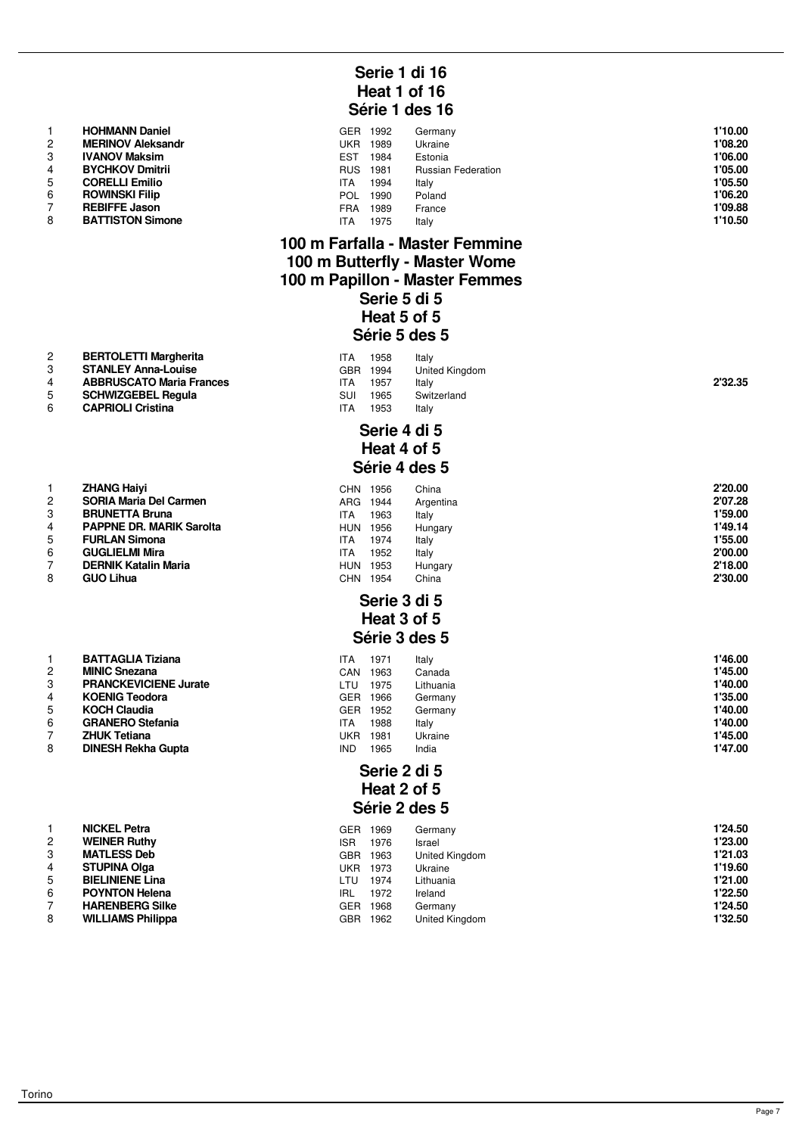| 1              | <b>HOHMANN Daniel</b>    |
|----------------|--------------------------|
| $\mathcal{P}$  | <b>MERINOV Aleksandr</b> |
| 3              | <b>IVANOV Maksim</b>     |
| 4              | <b>BYCHKOV Dmitrii</b>   |
| 5              | <b>CORELLI Emilio</b>    |
| 6              | <b>ROWINSKI Filip</b>    |
| $\overline{7}$ | <b>REBIFFE Jason</b>     |
| 8              | <b>BATTISTON Simone</b>  |

# **STANLEY**

| 4 | <b>ABBRUSCATO Maria France</b> |
|---|--------------------------------|

| . . | SCHWIZGEREL Requia |
|-----|--------------------|

#### **CAPRIOL**

| -1             | <b>ZHANG Haivi</b>              |
|----------------|---------------------------------|
| 2              | <b>SORIA Maria Del Carmen</b>   |
| 3              | <b>BRUNETTA Bruna</b>           |
| $\overline{4}$ | <b>PAPPNE DR. MARIK Sarolta</b> |
| 5              | <b>FURLAN Simona</b>            |
| 6              | <b>GUGLIELMI Mira</b>           |
| $\overline{7}$ | <b>DERNIK Katalin Maria</b>     |
| ନ୍ଦ            | $CIO$ $I$ ihus                  |

|               | BATTAGLIA Tiziana            |
|---------------|------------------------------|
| $\mathcal{P}$ | <b>MINIC Snezana</b>         |
| 3             | <b>PRANCKEVICIENE Jurate</b> |
| 4             | <b>KOENIG Teodora</b>        |
| 5             | <b>KOCH Claudia</b>          |
| 6             | <b>GRANERO Stefania</b>      |
| 7             | <b>ZHUK Tetiana</b>          |
|               |                              |

|                | <b>NICKEL Petra</b>      | G  |
|----------------|--------------------------|----|
| $\overline{2}$ | <b>WEINER Ruthy</b>      | IS |
| 3              | <b>MATLESS Deb</b>       | G  |
| $\overline{4}$ | <b>STUPINA Olga</b>      | U  |
| 5              | <b>BIELINIENE Lina</b>   | L. |
| 6              | <b>POYNTON Helena</b>    | ΙF |
| 7              | <b>HARENBERG Silke</b>   | G  |
| 8              | <b>WILLIAMS Philippa</b> | G  |
|                |                          |    |

# **Serie 1 di 16 Heat 1 of 16 Série 1 des 16**

|   | <b>HOHMANN Daniel</b>    | <b>GER</b> | 1992 | Germany                   | 1'10.00 |
|---|--------------------------|------------|------|---------------------------|---------|
| 2 | <b>MERINOV Aleksandr</b> | UKR        | 1989 | Ukraine                   | 1'08.20 |
|   | <b>IVANOV Maksim</b>     | <b>EST</b> | 1984 | Estonia                   | 1'06.00 |
|   | <b>BYCHKOV Dmitrii</b>   | <b>RUS</b> | 1981 | <b>Russian Federation</b> | 1'05.00 |
| 5 | <b>CORELLI Emilio</b>    | ITA        | 1994 | Italy                     | 1'05.50 |
| 6 | <b>ROWINSKI Filip</b>    | POL        | 1990 | Poland                    | 1'06.20 |
|   | <b>REBIFFE Jason</b>     | <b>FRA</b> | 1989 | France                    | 1'09.88 |
| 8 | <b>BATTISTON Simone</b>  | ITA        | 1975 | Italy                     | 1'10.50 |

# **100 m Farfalla - Master Femmine 100 m Butterfly - Master Wome 100 m Papillon - Master Femmes Serie 5 di 5 Heat 5 of 5**

# **Série 5 des 5**

| 2<br>3<br>4<br>5<br>6 | <b>BERTOLETTI Margherita</b><br><b>STANLEY Anna-Louise</b><br><b>ABBRUSCATO Maria Frances</b><br><b>SCHWIZGEBEL Regula</b><br><b>CAPRIOLI Cristina</b> | ITA<br>ITA<br>SUI<br>ITA | 1958<br>GBR 1994<br>1957<br>1965<br>1953 | Italv<br>United Kingdom<br>Italv<br>Switzerland<br>Italy | 2'32.35 |
|-----------------------|--------------------------------------------------------------------------------------------------------------------------------------------------------|--------------------------|------------------------------------------|----------------------------------------------------------|---------|
|                       |                                                                                                                                                        |                          |                                          |                                                          |         |

#### **Serie 4 di 5 Heat 4 of 5 Série 4 des 5**

|   | <b>ZHANG Haivi</b>              | CHN        | 1956 | China     | 2'20.00 |
|---|---------------------------------|------------|------|-----------|---------|
| 2 | <b>SORIA Maria Del Carmen</b>   | ARG        | 1944 | Argentina | 2'07.28 |
| 3 | <b>BRUNETTA Bruna</b>           | ITA        | 1963 | Italy     | 1'59.00 |
|   | <b>PAPPNE DR. MARIK Sarolta</b> | HUN        | 1956 | Hungary   | 1'49.14 |
| 5 | <b>FURLAN Simona</b>            | ITA        | 1974 | Italy     | 1'55.00 |
| 6 | <b>GUGLIELMI Mira</b>           | ITA        | 1952 | Italy     | 2'00.00 |
|   | <b>DERNIK Katalin Maria</b>     | <b>HUN</b> | 1953 | Hungary   | 2'18.00 |
| 8 | <b>GUO Lihua</b>                | <b>CHN</b> | 1954 | China     | 2'30.00 |

#### **Serie 3 di 5 Heat 3 of 5 Série 3 des 5**

|                | <b>BATTAGLIA Tiziana</b>     | ITA | 1971 | Italy     | 1'46.00 |
|----------------|------------------------------|-----|------|-----------|---------|
| $\overline{c}$ | <b>MINIC Snezana</b>         | CAN | 1963 | Canada    | 1'45.00 |
| 3              | <b>PRANCKEVICIENE Jurate</b> | LTU | 1975 | Lithuania | 1'40.00 |
| 4              | <b>KOENIG Teodora</b>        | GER | 1966 | Germany   | 1'35.00 |
| 5              | <b>KOCH Claudia</b>          | GER | 1952 | Germany   | 1'40.00 |
| 6              | <b>GRANERO Stefania</b>      | ITA | 1988 | Italy     | 1'40.00 |
|                | <b>ZHUK Tetiana</b>          | JKR | 1981 | Ukraine   | 1'45.00 |
| 8              | <b>DINESH Rekha Gupta</b>    | IND | 1965 | India     | 1'47.00 |

# **Serie 2 di 5 Heat 2 of 5 Série 2 des 5**

|   | <b>NICKEL Petra</b>      | GER        | 1969 | Germany               | 1'24.50 |
|---|--------------------------|------------|------|-----------------------|---------|
| 2 | <b>WEINER Ruthy</b>      | <b>ISR</b> | 1976 | Israel                | 1'23.00 |
|   | <b>MATLESS Deb</b>       | <b>GBR</b> | 1963 | United Kingdom        | 1'21.03 |
|   | <b>STUPINA Olga</b>      | UKR        | 1973 | Ukraine               | 1'19.60 |
|   | <b>BIELINIENE Lina</b>   | LTU        | 1974 | Lithuania             | 1'21.00 |
| 6 | <b>POYNTON Helena</b>    | <b>IRL</b> | 1972 | Ireland               | 1'22.50 |
|   | <b>HARENBERG Silke</b>   | <b>GER</b> | 1968 | Germany               | 1'24.50 |
| 8 | <b>WILLIAMS Philippa</b> | GBR.       | 1962 | <b>United Kingdom</b> | 1'32.50 |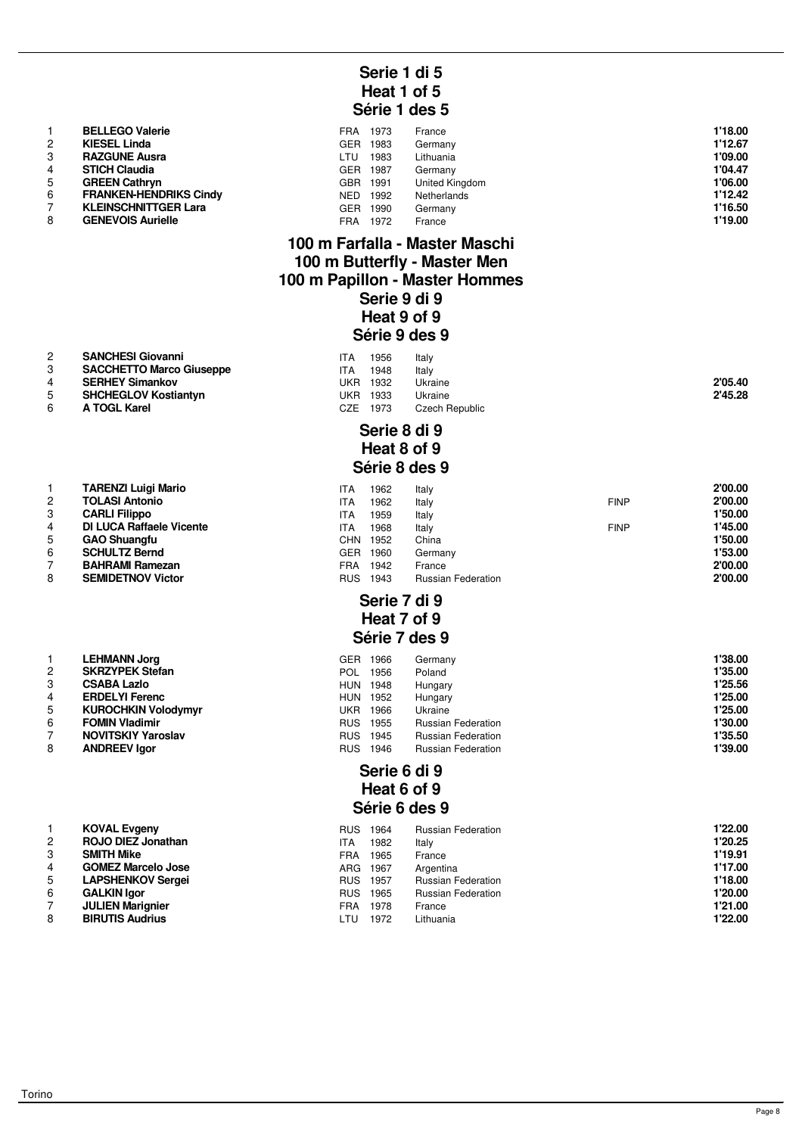# **Serie 1 di 5 Heat 1 of 5 Série 1 des 5**

|   | <b>BELLEGO Valerie</b>        | FRA        | 1973 | France         | 1'18.00 |
|---|-------------------------------|------------|------|----------------|---------|
| 2 | <b>KIESEL Linda</b>           | <b>GER</b> | 1983 | Germany        | 1'12.67 |
| 3 | <b>RAZGUNE Ausra</b>          | LTU        | 1983 | Lithuania      | 1'09.00 |
| 4 | <b>STICH Claudia</b>          | <b>GER</b> | 1987 | Germany        | 1'04.47 |
| 5 | <b>GREEN Cathryn</b>          | <b>GBR</b> | 1991 | United Kingdom | 1'06.00 |
| 6 | <b>FRANKEN-HENDRIKS Cindy</b> | NED        | 1992 | Netherlands    | 1'12.42 |
|   | <b>KLEINSCHNITTGER Lara</b>   | <b>GER</b> | 1990 | Germany        | 1'16.50 |
| 8 | <b>GENEVOIS Aurielle</b>      | FRA        | 1972 | France         | 1'19.00 |

#### **100 m Farfalla - Master Maschi 100 m Butterfly - Master Men 100 m Papillon - Master Hommes Serie 9 di 9 Heat 9 of 9 Série 9 des 9**

| $\overline{2}$ | <b>SANCHESI Giovanni</b>        | ITA | 1956            | Italy          |         |
|----------------|---------------------------------|-----|-----------------|----------------|---------|
|                | <b>SACCHETTO Marco Giuseppe</b> | ITA | 1948            | Italy          |         |
| 4              | <b>SERHEY Simankov</b>          |     | <b>UKR 1932</b> | Ukraine        | 2'05.40 |
| 5              | <b>SHCHEGLOV Kostiantyn</b>     |     | <b>UKR 1933</b> | Ukraine        | 2'45.28 |
|                | A TOGL Karel                    | CZE | 1973            | Czech Republic |         |

# **Serie 8 di 9 Heat 8 of 9 Série 8 des 9**

|    | <b>TARENZI Luigi Mario</b>      | ITA        | 1962 | Italy                     |             | 2'00.00 |
|----|---------------------------------|------------|------|---------------------------|-------------|---------|
|    | <b>TOLASI Antonio</b>           | ITA        | 1962 | Italy                     | <b>FINP</b> | 2'00.00 |
|    | <b>CARLI Filippo</b>            | ITA        | 1959 | Italy                     |             | 1'50.00 |
|    | <b>DI LUCA Raffaele Vicente</b> | ITA        | 1968 | Italy                     | <b>FINP</b> | 1'45.00 |
| 5  | <b>GAO Shuangfu</b>             | CHN.       | 1952 | China                     |             | 1'50.00 |
| 6. | <b>SCHULTZ Bernd</b>            | GER        | 1960 | Germany                   |             | 1'53.00 |
|    | <b>BAHRAMI Ramezan</b>          | FRA        | 1942 | France                    |             | 2'00.00 |
| 8  | <b>SEMIDETNOV Victor</b>        | <b>RUS</b> | 1943 | <b>Russian Federation</b> |             | 2'00.00 |

## **Serie 7 di 9 Heat 7 of 9 Série 7 des 9**

|                | <b>LEHMANN Jorg</b>        | <b>GER</b> | 1966 | Germany                   | 1'38.00 |
|----------------|----------------------------|------------|------|---------------------------|---------|
| $\overline{2}$ | <b>SKRZYPEK Stefan</b>     | POL.       | 1956 | Poland                    | 1'35.00 |
| 3              | <b>CSABA Lazlo</b>         | <b>HUN</b> | 1948 | Hungary                   | 1'25.56 |
| 4              | <b>ERDELYI Ferenc</b>      | <b>HUN</b> | 1952 | Hungary                   | 1'25.00 |
| 5              | <b>KUROCHKIN Volodymyr</b> | UKR        | 1966 | Ukraine                   | 1'25.00 |
| 6              | <b>FOMIN Vladimir</b>      | <b>RUS</b> | 1955 | <b>Russian Federation</b> | 1'30.00 |
|                | <b>NOVITSKIY Yaroslav</b>  | <b>RUS</b> | 1945 | <b>Russian Federation</b> | 1'35.50 |
| 8              | <b>ANDREEV laor</b>        | <b>RUS</b> | 1946 | <b>Russian Federation</b> | 1'39.00 |

# **Serie 6 di 9 Heat 6 of 9 Série 6 des 9**

|   | <b>KOVAL Evgeny</b>       | <b>RUS</b> | 1964     | <b>Russian Federation</b> | 1'22.00 |
|---|---------------------------|------------|----------|---------------------------|---------|
| 2 | <b>ROJO DIEZ Jonathan</b> | ITA        | 1982     | Italy                     | 1'20.25 |
|   | <b>SMITH Mike</b>         | FRA        | 1965     | France                    | 1'19.91 |
|   | <b>GOMEZ Marcelo Jose</b> |            | ARG 1967 | Argentina                 | 1'17.00 |
| 5 | <b>LAPSHENKOV Sergei</b>  | <b>RUS</b> | 1957     | <b>Russian Federation</b> | 1'18.00 |
| 6 | <b>GALKIN Igor</b>        | <b>RUS</b> | 1965     | <b>Russian Federation</b> | 1'20.00 |
|   | <b>JULIEN Marignier</b>   | FRA        | 1978     | France                    | 1'21.00 |
| 8 | <b>BIRUTIS Audrius</b>    | LTU        | 1972     | Lithuania                 | 1'22.00 |

1 **TARENZI Luigi Mario**<br>2 **TOLASI Antonio** 2 **TOLASI Antonio**<br>3 **CARLI Filippo** 

**BAHRAMI Ramezan** 8 **SEMIDETNOV Victor** 

**7 JULIEN Marignier** 8 **BIRUTIS Audrius**